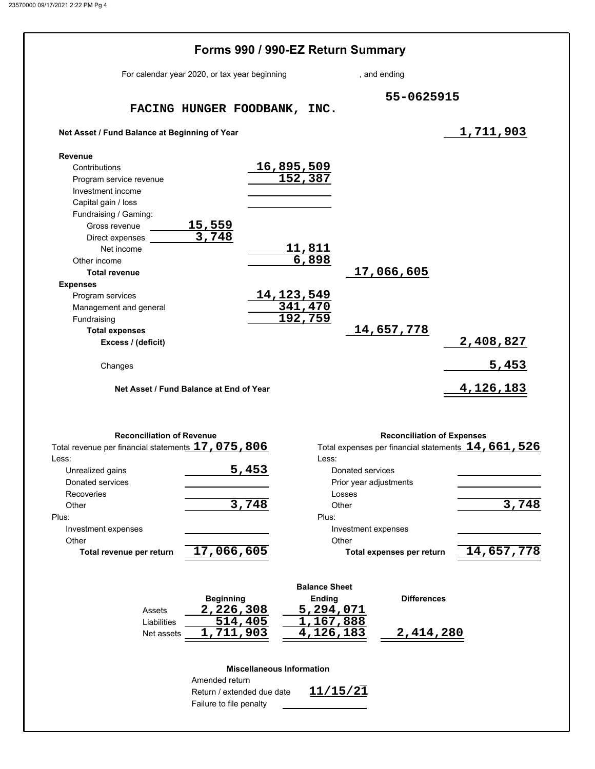| For calendar year 2020, or tax year beginning                                           |                              |            | , and ending                                                                                      |            |
|-----------------------------------------------------------------------------------------|------------------------------|------------|---------------------------------------------------------------------------------------------------|------------|
|                                                                                         |                              |            | 55-0625915                                                                                        |            |
|                                                                                         | FACING HUNGER FOODBANK, INC. |            |                                                                                                   |            |
| Net Asset / Fund Balance at Beginning of Year                                           |                              |            |                                                                                                   | 1,711,903  |
| Revenue                                                                                 |                              |            |                                                                                                   |            |
| Contributions                                                                           |                              | 16,895,509 |                                                                                                   |            |
| Program service revenue                                                                 |                              | 152,387    |                                                                                                   |            |
| Investment income                                                                       |                              |            |                                                                                                   |            |
| Capital gain / loss                                                                     |                              |            |                                                                                                   |            |
| Fundraising / Gaming:                                                                   |                              |            |                                                                                                   |            |
| Gross revenue                                                                           | 15,559                       |            |                                                                                                   |            |
| Direct expenses                                                                         | 3,748                        |            |                                                                                                   |            |
| Net income                                                                              |                              | 11,811     |                                                                                                   |            |
| Other income                                                                            |                              | 6,898      |                                                                                                   |            |
| <b>Total revenue</b>                                                                    |                              |            | 17,066,605                                                                                        |            |
| <b>Expenses</b>                                                                         |                              |            |                                                                                                   |            |
| Program services                                                                        |                              | 14,123,549 |                                                                                                   |            |
| Management and general                                                                  |                              | 341,470    |                                                                                                   |            |
| Fundraising                                                                             |                              | 192,759    |                                                                                                   |            |
| <b>Total expenses</b>                                                                   |                              |            | 14,657,778                                                                                        |            |
| Excess / (deficit)                                                                      |                              |            |                                                                                                   | 2,408,827  |
| Changes                                                                                 |                              |            |                                                                                                   | 5,453      |
| Net Asset / Fund Balance at End of Year                                                 |                              |            |                                                                                                   | 4,126,183  |
|                                                                                         |                              |            |                                                                                                   |            |
| <b>Reconciliation of Revenue</b><br>Total revenue per financial statements 17, 075, 806 |                              |            | <b>Reconciliation of Expenses</b><br>Total expenses per financial statements $14$ , $661$ , $526$ |            |
|                                                                                         |                              |            |                                                                                                   |            |
| Less:                                                                                   | 5,453                        | Less:      |                                                                                                   |            |
| Unrealized gains<br>Donated services                                                    |                              |            | Donated services                                                                                  |            |
| Recoveries                                                                              |                              |            | Prior year adjustments<br>Losses                                                                  |            |
|                                                                                         | 3,748                        |            | Other                                                                                             | 3,748      |
| Other<br>Plus:                                                                          |                              | Plus:      |                                                                                                   |            |
|                                                                                         |                              |            |                                                                                                   |            |
| Investment expenses<br>Other                                                            |                              |            | Investment expenses<br>Other                                                                      |            |
|                                                                                         | 17,066,605                   |            | Total expenses per return                                                                         | 14,657,778 |

|             |                  | Paianvo Univot |                    |
|-------------|------------------|----------------|--------------------|
|             | <b>Beginning</b> | Ending         | <b>Differences</b> |
| Assets      | 2,226,308        | 5,294,071      |                    |
| Liabilities | 514,405          | 1,167,888      |                    |
| Net assets  | 1,711,903        | 4,126,183      | 2,414,280          |
|             |                  |                |                    |

### **Miscellaneous Information**

 $\overline{\phantom{a}}$ 

Return / extended due date Failure to file penalty Amended return

**11/15/21**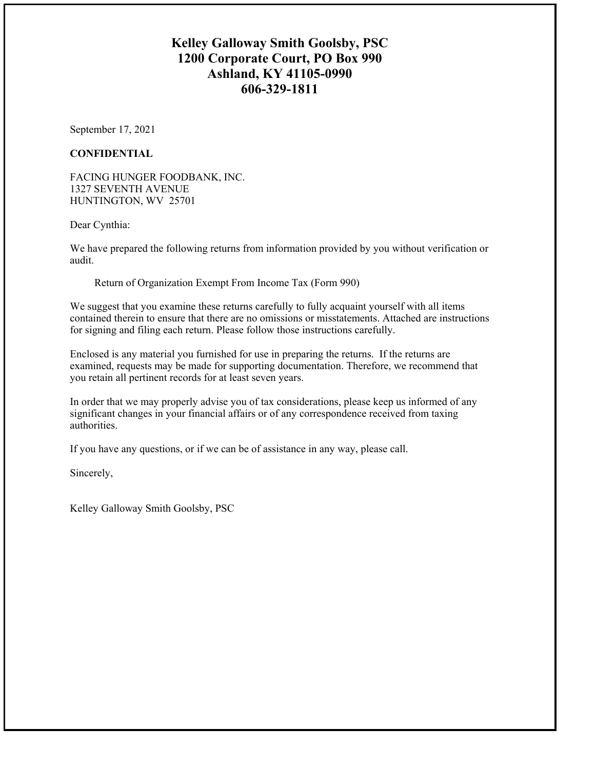### **Kelley Galloway Smith Goolsby, PSC 1200 Corporate Court, PO Box 990 Ashland, KY 41105-0990 606-329-1811**

September 17, 2021

### **CONFIDENTIAL**

FACING HUNGER FOODBANK, INC. 1327 SEVENTH AVENUE HUNTINGTON, WV 25701

Dear Cynthia:

We have prepared the following returns from information provided by you without verification or audit.

Return of Organization Exempt From Income Tax (Form 990)

We suggest that you examine these returns carefully to fully acquaint yourself with all items contained therein to ensure that there are no omissions or misstatements. Attached are instructions for signing and filing each return. Please follow those instructions carefully.

Enclosed is any material you furnished for use in preparing the returns. If the returns are examined, requests may be made for supporting documentation. Therefore, we recommend that you retain all pertinent records for at least seven years.

In order that we may properly advise you of tax considerations, please keep us informed of any significant changes in your financial affairs or of any correspondence received from taxing authorities.

If you have any questions, or if we can be of assistance in any way, please call.

Sincerely,

Kelley Galloway Smith Goolsby, PSC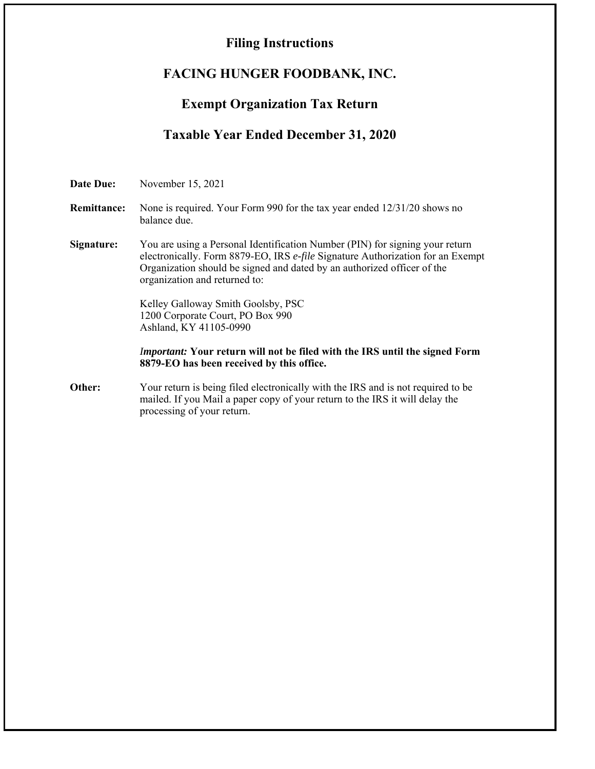### **Filing Instructions**

### **FACING HUNGER FOODBANK, INC.**

### **Exempt Organization Tax Return**

### **Taxable Year Ended December 31, 2020**

**Date Due:** November 15, 2021

- **Remittance:** None is required. Your Form 990 for the tax year ended 12/31/20 shows no balance due.
- **Signature:** You are using a Personal Identification Number (PIN) for signing your return electronically. Form 8879-EO, IRS *e-file* Signature Authorization for an Exempt Organization should be signed and dated by an authorized officer of the organization and returned to:

Kelley Galloway Smith Goolsby, PSC 1200 Corporate Court, PO Box 990 Ashland, KY 41105-0990

*Important:* **Your return will not be filed with the IRS until the signed Form 8879-EO has been received by this office.**

**Other:** Your return is being filed electronically with the IRS and is not required to be mailed. If you Mail a paper copy of your return to the IRS it will delay the processing of your return.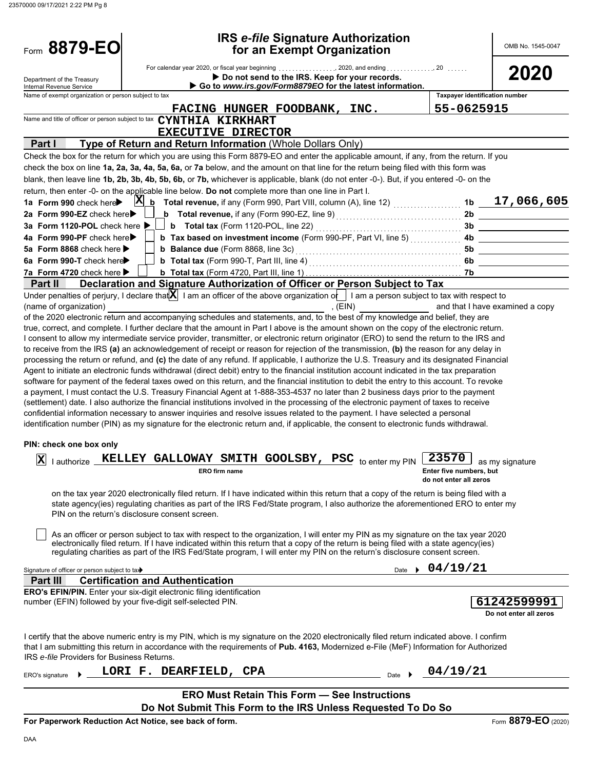| Form 8879-EO                                                  | <b>IRS e-file Signature Authorization</b><br>for an Exempt Organization                                                                                                                                                                                                                                                                                                                                                                                                                                                                                                                                                                                                                                                                                                                                                                                                                                                                                                                         |                                                   | OMB No. 1545-0047                     |
|---------------------------------------------------------------|-------------------------------------------------------------------------------------------------------------------------------------------------------------------------------------------------------------------------------------------------------------------------------------------------------------------------------------------------------------------------------------------------------------------------------------------------------------------------------------------------------------------------------------------------------------------------------------------------------------------------------------------------------------------------------------------------------------------------------------------------------------------------------------------------------------------------------------------------------------------------------------------------------------------------------------------------------------------------------------------------|---------------------------------------------------|---------------------------------------|
|                                                               |                                                                                                                                                                                                                                                                                                                                                                                                                                                                                                                                                                                                                                                                                                                                                                                                                                                                                                                                                                                                 |                                                   |                                       |
| Department of the Treasury<br><b>Internal Revenue Service</b> | Do not send to the IRS. Keep for your records.<br>Go to www.irs.gov/Form8879EO for the latest information.                                                                                                                                                                                                                                                                                                                                                                                                                                                                                                                                                                                                                                                                                                                                                                                                                                                                                      |                                                   | 2020                                  |
| Name of exempt organization or person subject to tax          |                                                                                                                                                                                                                                                                                                                                                                                                                                                                                                                                                                                                                                                                                                                                                                                                                                                                                                                                                                                                 |                                                   | Taxpayer identification number        |
|                                                               | FACING HUNGER FOODBANK, INC.                                                                                                                                                                                                                                                                                                                                                                                                                                                                                                                                                                                                                                                                                                                                                                                                                                                                                                                                                                    | 55-0625915                                        |                                       |
|                                                               | Name and title of officer or person subject to tax CYNTHIA KIRKHART                                                                                                                                                                                                                                                                                                                                                                                                                                                                                                                                                                                                                                                                                                                                                                                                                                                                                                                             |                                                   |                                       |
|                                                               | <b>EXECUTIVE DIRECTOR</b>                                                                                                                                                                                                                                                                                                                                                                                                                                                                                                                                                                                                                                                                                                                                                                                                                                                                                                                                                                       |                                                   |                                       |
| Part I                                                        | Type of Return and Return Information (Whole Dollars Only)                                                                                                                                                                                                                                                                                                                                                                                                                                                                                                                                                                                                                                                                                                                                                                                                                                                                                                                                      |                                                   |                                       |
|                                                               | Check the box for the return for which you are using this Form 8879-EO and enter the applicable amount, if any, from the return. If you                                                                                                                                                                                                                                                                                                                                                                                                                                                                                                                                                                                                                                                                                                                                                                                                                                                         |                                                   |                                       |
|                                                               | check the box on line 1a, 2a, 3a, 4a, 5a, 6a, or 7a below, and the amount on that line for the return being filed with this form was<br>blank, then leave line 1b, 2b, 3b, 4b, 5b, 6b, or 7b, whichever is applicable, blank (do not enter -0-). But, if you entered -0- on the                                                                                                                                                                                                                                                                                                                                                                                                                                                                                                                                                                                                                                                                                                                 |                                                   |                                       |
|                                                               | return, then enter -0- on the applicable line below. Do not complete more than one line in Part I.                                                                                                                                                                                                                                                                                                                                                                                                                                                                                                                                                                                                                                                                                                                                                                                                                                                                                              |                                                   |                                       |
| 1a Form 990 check here                                        | $X_0$ Total revenue, if any (Form 990, Part VIII, column (A), line 12) $\ldots$                                                                                                                                                                                                                                                                                                                                                                                                                                                                                                                                                                                                                                                                                                                                                                                                                                                                                                                 |                                                   | 1b 17,066,605                         |
| 2a Form 990-EZ check here▶                                    |                                                                                                                                                                                                                                                                                                                                                                                                                                                                                                                                                                                                                                                                                                                                                                                                                                                                                                                                                                                                 | 2 <sub>b</sub>                                    |                                       |
| 3a Form 1120-POL check here ▶                                 |                                                                                                                                                                                                                                                                                                                                                                                                                                                                                                                                                                                                                                                                                                                                                                                                                                                                                                                                                                                                 | 3b                                                |                                       |
| 4a Form 990-PF check here▶                                    | b Tax based on investment income (Form 990-PF, Part VI, line 5) [[[[[[[[[[[[[[[[[[[[[[]]]]]]]]                                                                                                                                                                                                                                                                                                                                                                                                                                                                                                                                                                                                                                                                                                                                                                                                                                                                                                  | 4b                                                |                                       |
| 5a Form 8868 check here $\blacktriangleright$                 |                                                                                                                                                                                                                                                                                                                                                                                                                                                                                                                                                                                                                                                                                                                                                                                                                                                                                                                                                                                                 | 5b                                                |                                       |
| 6a Form 990-T check here                                      |                                                                                                                                                                                                                                                                                                                                                                                                                                                                                                                                                                                                                                                                                                                                                                                                                                                                                                                                                                                                 | 6b                                                |                                       |
| 7a Form 4720 check here $\blacktriangleright$                 |                                                                                                                                                                                                                                                                                                                                                                                                                                                                                                                                                                                                                                                                                                                                                                                                                                                                                                                                                                                                 | 7b.                                               |                                       |
| Part II                                                       | Declaration and Signature Authorization of Officer or Person Subject to Tax                                                                                                                                                                                                                                                                                                                                                                                                                                                                                                                                                                                                                                                                                                                                                                                                                                                                                                                     |                                                   |                                       |
|                                                               | Under penalties of perjury, I declare that $X$ I am an officer of the above organization of I am a person subject to tax with respect to                                                                                                                                                                                                                                                                                                                                                                                                                                                                                                                                                                                                                                                                                                                                                                                                                                                        |                                                   |                                       |
| (name of organization)                                        | , $(EIN)$<br>of the 2020 electronic return and accompanying schedules and statements, and, to the best of my knowledge and belief, they are                                                                                                                                                                                                                                                                                                                                                                                                                                                                                                                                                                                                                                                                                                                                                                                                                                                     |                                                   | and that I have examined a copy       |
| PIN: check one box only                                       | processing the return or refund, and (c) the date of any refund. If applicable, I authorize the U.S. Treasury and its designated Financial<br>Agent to initiate an electronic funds withdrawal (direct debit) entry to the financial institution account indicated in the tax preparation<br>software for payment of the federal taxes owed on this return, and the financial institution to debit the entry to this account. To revoke<br>a payment, I must contact the U.S. Treasury Financial Agent at 1-888-353-4537 no later than 2 business days prior to the payment<br>(settlement) date. I also authorize the financial institutions involved in the processing of the electronic payment of taxes to receive<br>confidential information necessary to answer inquiries and resolve issues related to the payment. I have selected a personal<br>identification number (PIN) as my signature for the electronic return and, if applicable, the consent to electronic funds withdrawal. |                                                   |                                       |
|                                                               | KELLEY GALLOWAY SMITH GOOLSBY, PSC to enter my PIN                                                                                                                                                                                                                                                                                                                                                                                                                                                                                                                                                                                                                                                                                                                                                                                                                                                                                                                                              | 23570                                             |                                       |
| $\vert \mathbf{x} \vert$<br>I authorize                       | ERO firm name                                                                                                                                                                                                                                                                                                                                                                                                                                                                                                                                                                                                                                                                                                                                                                                                                                                                                                                                                                                   | Enter five numbers, but<br>do not enter all zeros | as my signature                       |
|                                                               | on the tax year 2020 electronically filed return. If I have indicated within this return that a copy of the return is being filed with a<br>state agency(ies) regulating charities as part of the IRS Fed/State program, I also authorize the aforementioned ERO to enter my<br>PIN on the return's disclosure consent screen.                                                                                                                                                                                                                                                                                                                                                                                                                                                                                                                                                                                                                                                                  |                                                   |                                       |
|                                                               | As an officer or person subject to tax with respect to the organization, I will enter my PIN as my signature on the tax year 2020<br>electronically filed return. If I have indicated within this return that a copy of the return is being filed with a state agency(ies)<br>regulating charities as part of the IRS Fed/State program, I will enter my PIN on the return's disclosure consent screen.                                                                                                                                                                                                                                                                                                                                                                                                                                                                                                                                                                                         |                                                   |                                       |
| Signature of officer or person subject to tax                 | Date $\rightarrow$ 04/19/21                                                                                                                                                                                                                                                                                                                                                                                                                                                                                                                                                                                                                                                                                                                                                                                                                                                                                                                                                                     |                                                   |                                       |
| Part III                                                      | <b>Certification and Authentication</b>                                                                                                                                                                                                                                                                                                                                                                                                                                                                                                                                                                                                                                                                                                                                                                                                                                                                                                                                                         |                                                   |                                       |
|                                                               | ERO's EFIN/PIN. Enter your six-digit electronic filing identification                                                                                                                                                                                                                                                                                                                                                                                                                                                                                                                                                                                                                                                                                                                                                                                                                                                                                                                           |                                                   |                                       |
|                                                               | number (EFIN) followed by your five-digit self-selected PIN.                                                                                                                                                                                                                                                                                                                                                                                                                                                                                                                                                                                                                                                                                                                                                                                                                                                                                                                                    |                                                   | 61242599991<br>Do not enter all zeros |
| IRS e-file Providers for Business Returns.                    | I certify that the above numeric entry is my PIN, which is my signature on the 2020 electronically filed return indicated above. I confirm<br>that I am submitting this return in accordance with the requirements of Pub. 4163, Modernized e-File (MeF) Information for Authorized                                                                                                                                                                                                                                                                                                                                                                                                                                                                                                                                                                                                                                                                                                             |                                                   |                                       |
| ERO's signature                                               | LORI F. DEARFIELD, CPA<br>Date                                                                                                                                                                                                                                                                                                                                                                                                                                                                                                                                                                                                                                                                                                                                                                                                                                                                                                                                                                  | 04/19/21                                          |                                       |
|                                                               |                                                                                                                                                                                                                                                                                                                                                                                                                                                                                                                                                                                                                                                                                                                                                                                                                                                                                                                                                                                                 |                                                   |                                       |
|                                                               | <b>ERO Must Retain This Form - See Instructions</b><br>Do Not Submit This Form to the IRS Unless Requested To Do So                                                                                                                                                                                                                                                                                                                                                                                                                                                                                                                                                                                                                                                                                                                                                                                                                                                                             |                                                   |                                       |

**For Paperwork Reduction Act Notice, see back of form.**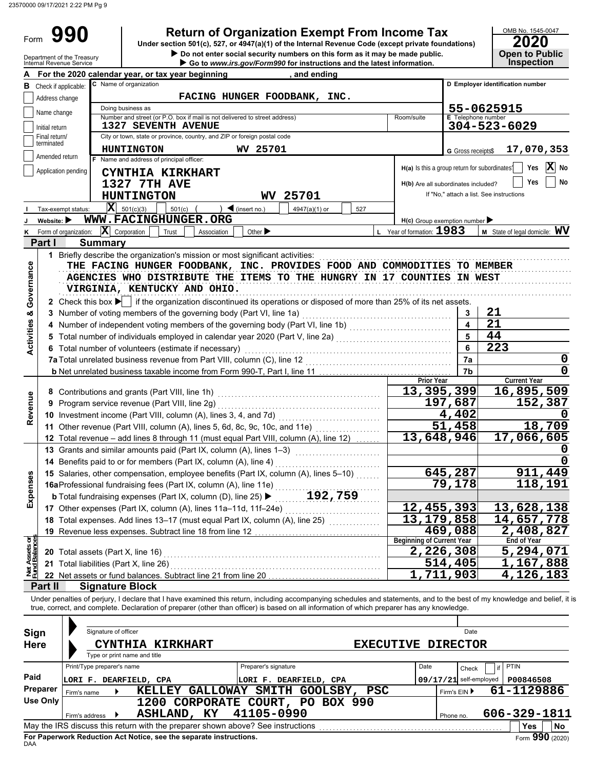Form 990

**Return of Organization Exempt From Income Tax**<br> **Pous No. 327, or 4947(a)(1) of the Internal Revenue Code (except private foundations)**<br> **Pous tenter social security numbers on this form as it may be made public.**<br> **Pouse Under section 501(c), 527, or 4947(a)(1) of the Internal Revenue Code (except private foundations)**

|                                | Department of the Treasury<br>Internal Revenue Service | Do not enter social security numbers on this form as it may be made public.<br>Go to www.irs.gov/Form990 for instructions and the latest information.                                                                                                                                                                    |                                     | <b>Open to Public</b><br><b>Inspection</b>                     |
|--------------------------------|--------------------------------------------------------|--------------------------------------------------------------------------------------------------------------------------------------------------------------------------------------------------------------------------------------------------------------------------------------------------------------------------|-------------------------------------|----------------------------------------------------------------|
|                                |                                                        | For the 2020 calendar year, or tax year beginning<br>, and ending                                                                                                                                                                                                                                                        |                                     |                                                                |
|                                | <b>B</b> Check if applicable:                          | C Name of organization                                                                                                                                                                                                                                                                                                   |                                     | D Employer identification number                               |
|                                | Address change                                         | FACING HUNGER FOODBANK, INC.                                                                                                                                                                                                                                                                                             |                                     |                                                                |
|                                |                                                        | Doing business as                                                                                                                                                                                                                                                                                                        |                                     | 55-0625915                                                     |
|                                | Name change                                            | Number and street (or P.O. box if mail is not delivered to street address)<br>Room/suite                                                                                                                                                                                                                                 | E Telephone number                  |                                                                |
|                                | Initial return                                         | <b>1327 SEVENTH AVENUE</b>                                                                                                                                                                                                                                                                                               |                                     | $304 - 523 - 6029$                                             |
|                                | Final return/<br>terminated                            | City or town, state or province, country, and ZIP or foreign postal code                                                                                                                                                                                                                                                 |                                     |                                                                |
|                                | Amended return                                         | HUNTINGTON<br>WV 25701                                                                                                                                                                                                                                                                                                   | G Gross receipts\$                  | 17,070,353                                                     |
|                                |                                                        | F Name and address of principal officer:                                                                                                                                                                                                                                                                                 |                                     | X No<br>Yes<br>$H(a)$ Is this a group return for subordinates? |
|                                | Application pending                                    | <b>CYNTHIA KIRKHART</b>                                                                                                                                                                                                                                                                                                  |                                     |                                                                |
|                                |                                                        | <b>1327 7TH AVE</b>                                                                                                                                                                                                                                                                                                      | H(b) Are all subordinates included? | No<br>Yes                                                      |
|                                |                                                        | WV 25701<br>HUNTINGTON                                                                                                                                                                                                                                                                                                   |                                     | If "No," attach a list. See instructions                       |
|                                | Tax-exempt status:                                     | $\mathbf{X}$ 501(c)(3)<br>$501(c)$ (<br>$\big)$ (insert no.)<br>4947(a)(1) or<br>527                                                                                                                                                                                                                                     |                                     |                                                                |
|                                | Website: $\blacktriangleright$                         | WWW.FACINGHUNGER.ORG                                                                                                                                                                                                                                                                                                     | $H(c)$ Group exemption number       |                                                                |
|                                | Form of organization:                                  | $ \mathbf{X} $ Corporation<br>L Year of formation: 1983<br>Trust<br>Other $\blacktriangleright$<br>Association                                                                                                                                                                                                           |                                     | <b>M</b> State of legal domicile: $WV$                         |
|                                | Part I                                                 | Summary                                                                                                                                                                                                                                                                                                                  |                                     |                                                                |
|                                |                                                        | 1 Briefly describe the organization's mission or most significant activities:                                                                                                                                                                                                                                            |                                     |                                                                |
| Governance                     |                                                        | THE FACING HUNGER FOODBANK, INC. PROVIDES FOOD AND COMMODITIES TO MEMBER                                                                                                                                                                                                                                                 |                                     |                                                                |
|                                |                                                        | AGENCIES WHO DISTRIBUTE THE ITEMS TO THE HUNGRY IN 17 COUNTIES IN WEST                                                                                                                                                                                                                                                   |                                     |                                                                |
|                                |                                                        | VIRGINIA, KENTUCKY AND OHIO.                                                                                                                                                                                                                                                                                             |                                     |                                                                |
|                                |                                                        | 2 Check this box $\blacktriangleright$ if the organization discontinued its operations or disposed of more than 25% of its net assets.                                                                                                                                                                                   |                                     |                                                                |
|                                |                                                        | 3 Number of voting members of the governing body (Part VI, line 1a)                                                                                                                                                                                                                                                      | 3<br>$\overline{\mathbf{4}}$        | 21<br>$\overline{21}$                                          |
|                                |                                                        | 4 Number of independent voting members of the governing body (Part VI, line 1b) [[[[[[[[[[[[[[[[[[[[[[[[[[[[[                                                                                                                                                                                                            | 5                                   | 44                                                             |
| <b>Activities &amp;</b>        |                                                        | 5 Total number of individuals employed in calendar year 2020 (Part V, line 2a) [[[[[[[[[[[[[[[[[[[[[[[[[[[[[[[                                                                                                                                                                                                           | 6                                   | 223                                                            |
|                                |                                                        | 6 Total number of volunteers (estimate if necessary)                                                                                                                                                                                                                                                                     |                                     |                                                                |
|                                |                                                        |                                                                                                                                                                                                                                                                                                                          | 7a                                  | 0<br>$\mathbf{0}$                                              |
|                                |                                                        | <b>Prior Year</b>                                                                                                                                                                                                                                                                                                        | 7b                                  | <b>Current Year</b>                                            |
|                                |                                                        |                                                                                                                                                                                                                                                                                                                          | 13,395,399                          | 16,895,509                                                     |
| Revenue                        |                                                        | 9 Program service revenue (Part VIII, line 2g)                                                                                                                                                                                                                                                                           | 197,687                             | 152,387                                                        |
|                                |                                                        |                                                                                                                                                                                                                                                                                                                          | 4,402                               |                                                                |
|                                |                                                        | 11 Other revenue (Part VIII, column (A), lines 5, 6d, 8c, 9c, 10c, and 11e)                                                                                                                                                                                                                                              | 51,458                              | 18,709                                                         |
|                                |                                                        | 12 Total revenue - add lines 8 through 11 (must equal Part VIII, column (A), line 12)                                                                                                                                                                                                                                    | 13,648,946                          | 17,066,605                                                     |
|                                |                                                        | 13 Grants and similar amounts paid (Part IX, column (A), lines 1-3)                                                                                                                                                                                                                                                      |                                     |                                                                |
|                                |                                                        | 14 Benefits paid to or for members (Part IX, column (A), line 4)                                                                                                                                                                                                                                                         |                                     | $\mathbf{0}$                                                   |
| ses                            |                                                        | 15 Salaries, other compensation, employee benefits (Part IX, column (A), lines 5-10)                                                                                                                                                                                                                                     | 645,287                             | 911,449                                                        |
|                                |                                                        | 16aProfessional fundraising fees (Part IX, column (A), line 11e)                                                                                                                                                                                                                                                         | 79,178                              | <u>118,191</u>                                                 |
| Expen                          |                                                        | 192,759<br><b>b</b> Total fundraising expenses (Part IX, column (D), line 25) $\blacktriangleright$                                                                                                                                                                                                                      |                                     |                                                                |
|                                |                                                        | 17 Other expenses (Part IX, column (A), lines 11a-11d, 11f-24e)                                                                                                                                                                                                                                                          | 12,455,393                          | 13,628,138                                                     |
|                                |                                                        | 18 Total expenses. Add lines 13-17 (must equal Part IX, column (A), line 25)                                                                                                                                                                                                                                             | $\overline{13}$ , 179, 858          | 14,657,778                                                     |
|                                |                                                        | 19 Revenue less expenses. Subtract line 18 from line 12                                                                                                                                                                                                                                                                  | $\overline{469,088}$                | 2,408,827                                                      |
| Net Assets or<br>Fund Balances |                                                        | <b>Beginning of Current Year</b>                                                                                                                                                                                                                                                                                         |                                     | <b>End of Year</b>                                             |
|                                |                                                        | 20 Total assets (Part X, line 16)                                                                                                                                                                                                                                                                                        | 2,226,308                           | 5,294,071                                                      |
|                                |                                                        | 21 Total liabilities (Part X, line 26)                                                                                                                                                                                                                                                                                   | 514,405                             | <u>1,167,888</u>                                               |
|                                |                                                        | 22 Net assets or fund balances. Subtract line 21 from line 20                                                                                                                                                                                                                                                            | 1,711,903                           | 4,126,183                                                      |
|                                | Part II                                                | <b>Signature Block</b>                                                                                                                                                                                                                                                                                                   |                                     |                                                                |
|                                |                                                        | Under penalties of perjury, I declare that I have examined this return, including accompanying schedules and statements, and to the best of my knowledge and belief, it is<br>true, correct, and complete. Declaration of preparer (other than officer) is based on all information of which preparer has any knowledge. |                                     |                                                                |
|                                |                                                        |                                                                                                                                                                                                                                                                                                                          |                                     |                                                                |
|                                |                                                        | Signature of officer                                                                                                                                                                                                                                                                                                     | Date                                |                                                                |
| Sign<br><b>Here</b>            |                                                        | <b>CYNTHIA KIRKHART</b><br><b>EXECUTIVE DIRECTOR</b>                                                                                                                                                                                                                                                                     |                                     |                                                                |
|                                |                                                        | Type or print name and title                                                                                                                                                                                                                                                                                             |                                     |                                                                |
|                                |                                                        | Print/Type preparer's name<br>Preparer's signature<br>Date                                                                                                                                                                                                                                                               |                                     | <b>PTIN</b><br>if                                              |
| Paid                           |                                                        | LORI F. DEARFIELD, CPA<br>LORI F. DEARFIELD, CPA                                                                                                                                                                                                                                                                         | Check<br>$09/17/21$ self-employed   | P00846508                                                      |
|                                | <b>Preparer</b>                                        | KELLEY GALLOWAY SMITH GOOLSBY, PSC                                                                                                                                                                                                                                                                                       |                                     | 61-1129886                                                     |
|                                | Firm's name<br><b>Use Only</b>                         | 1200 CORPORATE COURT, PO BOX 990                                                                                                                                                                                                                                                                                         | Firm's EIN ▶                        |                                                                |
|                                |                                                        | ASHLAND, KY<br>41105-0990                                                                                                                                                                                                                                                                                                | Phone no.                           | 606-329-1811                                                   |
|                                |                                                        | Firm's address                                                                                                                                                                                                                                                                                                           |                                     | <b>Yes</b><br>No                                               |
|                                |                                                        |                                                                                                                                                                                                                                                                                                                          |                                     |                                                                |

| Sign<br><b>Here</b>                                                                                 |                            | Signature of officer<br>Type or print name and title | CYNTHIA KIRKHART       |  |                 |                                                                                 |                                  | EXECUTIVE DIRECTOR |      |              | Date                     |    |              |    |
|-----------------------------------------------------------------------------------------------------|----------------------------|------------------------------------------------------|------------------------|--|-----------------|---------------------------------------------------------------------------------|----------------------------------|--------------------|------|--------------|--------------------------|----|--------------|----|
|                                                                                                     | Print/Type preparer's name |                                                      |                        |  |                 | Preparer's signature                                                            |                                  |                    | Date |              | Check                    | if | <b>PTIN</b>  |    |
| Paid                                                                                                |                            |                                                      | LORI F. DEARFIELD, CPA |  |                 |                                                                                 | LORI F. DEARFIELD, CPA           |                    |      |              | $09/17/21$ self-employed |    | P00846508    |    |
| Preparer                                                                                            | Firm's name                |                                                      | <b>KELLEY</b>          |  | <b>GALLOWAY</b> | SMITH                                                                           | GOOLSBY,                         | <b>PSC</b>         |      | Firm's $EIN$ |                          |    | 61-1129886   |    |
| Use Only                                                                                            |                            |                                                      |                        |  |                 |                                                                                 | 1200 CORPORATE COURT, PO BOX 990 |                    |      |              |                          |    |              |    |
|                                                                                                     | Firm's address             |                                                      | <b>ASHLAND,</b>        |  | KY              | 41105-0990                                                                      |                                  |                    |      | Phone no.    |                          |    | 606-329-1811 |    |
|                                                                                                     |                            |                                                      |                        |  |                 | May the IRS discuss this return with the preparer shown above? See instructions |                                  |                    |      |              |                          |    | Yes          | No |
| Form 990 (2020)<br>For Paperwork Reduction Act Notice, see the separate instructions.<br><b>DAA</b> |                            |                                                      |                        |  |                 |                                                                                 |                                  |                    |      |              |                          |    |              |    |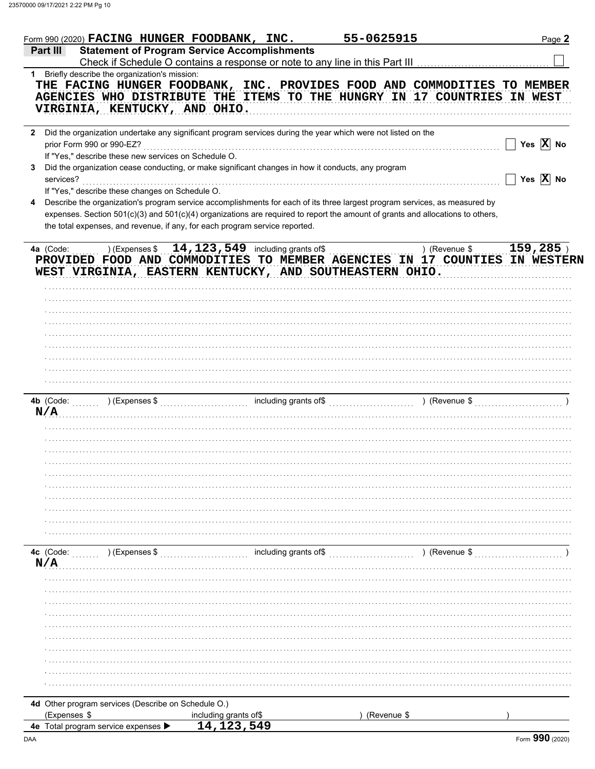| Form 990 (2020) $\verb FACTNG$ HUNGER FOODBANK, INC.                |                                                                                                                                                                                                                                      | 55-0625915                | Page 2                |
|---------------------------------------------------------------------|--------------------------------------------------------------------------------------------------------------------------------------------------------------------------------------------------------------------------------------|---------------------------|-----------------------|
| Part III                                                            | <b>Statement of Program Service Accomplishments</b>                                                                                                                                                                                  |                           |                       |
|                                                                     |                                                                                                                                                                                                                                      |                           |                       |
| Briefly describe the organization's mission:                        |                                                                                                                                                                                                                                      |                           |                       |
|                                                                     | THE FACING HUNGER FOODBANK, INC. PROVIDES FOOD AND COMMODITIES TO MEMBER                                                                                                                                                             |                           |                       |
|                                                                     | AGENCIES WHO DISTRIBUTE THE ITEMS TO THE HUNGRY IN 17 COUNTRIES IN WEST                                                                                                                                                              |                           |                       |
| VIRGINIA, KENTUCKY, AND OHIO.                                       |                                                                                                                                                                                                                                      |                           |                       |
|                                                                     |                                                                                                                                                                                                                                      |                           |                       |
|                                                                     | 2 Did the organization undertake any significant program services during the year which were not listed on the                                                                                                                       |                           |                       |
| prior Form 990 or 990-EZ?                                           |                                                                                                                                                                                                                                      |                           | Yes $\overline{X}$ No |
| If "Yes," describe these new services on Schedule O.                |                                                                                                                                                                                                                                      |                           |                       |
|                                                                     | Did the organization cease conducting, or make significant changes in how it conducts, any program                                                                                                                                   |                           |                       |
| services?                                                           |                                                                                                                                                                                                                                      |                           | Yes $\overline{X}$ No |
| If "Yes," describe these changes on Schedule O.                     |                                                                                                                                                                                                                                      |                           |                       |
|                                                                     | Describe the organization's program service accomplishments for each of its three largest program services, as measured by                                                                                                           |                           |                       |
|                                                                     | expenses. Section 501(c)(3) and 501(c)(4) organizations are required to report the amount of grants and allocations to others,                                                                                                       |                           |                       |
|                                                                     | the total expenses, and revenue, if any, for each program service reported.                                                                                                                                                          |                           |                       |
|                                                                     |                                                                                                                                                                                                                                      |                           |                       |
| 4a (Code:                                                           | ) (Expenses $$14,123,549$ including grants of \$                                                                                                                                                                                     | ) (Revenue \$             | $159,285$ )           |
|                                                                     | PROVIDED FOOD AND COMMODITIES TO MEMBER AGENCIES IN 17 COUNTIES IN WESTERN                                                                                                                                                           |                           |                       |
|                                                                     | WEST VIRGINIA, EASTERN KENTUCKY, AND SOUTHEASTERN OHIO.                                                                                                                                                                              |                           |                       |
|                                                                     |                                                                                                                                                                                                                                      |                           |                       |
|                                                                     |                                                                                                                                                                                                                                      |                           |                       |
|                                                                     |                                                                                                                                                                                                                                      |                           |                       |
|                                                                     |                                                                                                                                                                                                                                      |                           |                       |
|                                                                     |                                                                                                                                                                                                                                      |                           |                       |
|                                                                     |                                                                                                                                                                                                                                      |                           |                       |
|                                                                     |                                                                                                                                                                                                                                      |                           |                       |
|                                                                     |                                                                                                                                                                                                                                      |                           |                       |
|                                                                     |                                                                                                                                                                                                                                      |                           |                       |
|                                                                     |                                                                                                                                                                                                                                      |                           |                       |
|                                                                     |                                                                                                                                                                                                                                      |                           |                       |
|                                                                     | 4b (Code: William Code: 1991) (Expenses \$ \\squire{\text{ ncluding grants of \$ \\squire{\text{ ncluding grants of \$ \\squire{ ncluding grants of \$ \\squire{ ncluding qrants of \$ \\squire{ ncluding qrants of \$ \\squire{ ncl |                           |                       |
| N/A                                                                 |                                                                                                                                                                                                                                      |                           |                       |
|                                                                     |                                                                                                                                                                                                                                      |                           |                       |
|                                                                     |                                                                                                                                                                                                                                      |                           |                       |
|                                                                     |                                                                                                                                                                                                                                      |                           |                       |
|                                                                     |                                                                                                                                                                                                                                      |                           |                       |
|                                                                     |                                                                                                                                                                                                                                      |                           |                       |
|                                                                     |                                                                                                                                                                                                                                      |                           |                       |
|                                                                     |                                                                                                                                                                                                                                      |                           |                       |
|                                                                     |                                                                                                                                                                                                                                      |                           |                       |
|                                                                     |                                                                                                                                                                                                                                      |                           |                       |
|                                                                     |                                                                                                                                                                                                                                      |                           |                       |
|                                                                     |                                                                                                                                                                                                                                      |                           |                       |
| 4c (Code:<br>) (Expenses \$                                         | including grants of\$                                                                                                                                                                                                                | (Revenue \$) (Revenue \$) |                       |
| N/A                                                                 |                                                                                                                                                                                                                                      |                           |                       |
|                                                                     |                                                                                                                                                                                                                                      |                           |                       |
|                                                                     |                                                                                                                                                                                                                                      |                           |                       |
|                                                                     |                                                                                                                                                                                                                                      |                           |                       |
|                                                                     |                                                                                                                                                                                                                                      |                           |                       |
|                                                                     |                                                                                                                                                                                                                                      |                           |                       |
|                                                                     |                                                                                                                                                                                                                                      |                           |                       |
|                                                                     |                                                                                                                                                                                                                                      |                           |                       |
|                                                                     |                                                                                                                                                                                                                                      |                           |                       |
|                                                                     |                                                                                                                                                                                                                                      |                           |                       |
|                                                                     |                                                                                                                                                                                                                                      |                           |                       |
|                                                                     |                                                                                                                                                                                                                                      |                           |                       |
|                                                                     |                                                                                                                                                                                                                                      |                           |                       |
|                                                                     |                                                                                                                                                                                                                                      |                           |                       |
|                                                                     |                                                                                                                                                                                                                                      |                           |                       |
| 4d Other program services (Describe on Schedule O.)<br>(Expenses \$ | including grants of $14, 123, 549$                                                                                                                                                                                                   | (Revenue \$               |                       |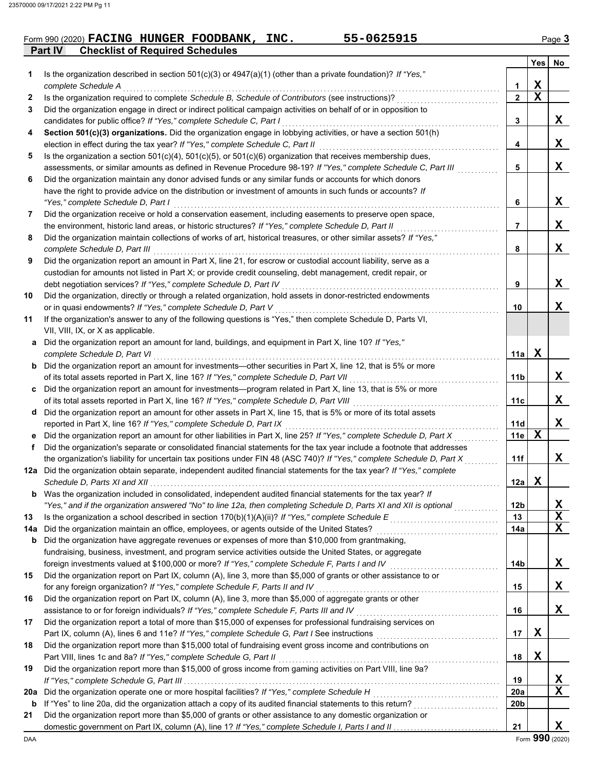#### **Part IV Checklist of Required Schedules** Form 990 (2020) Page **3 FACING HUNGER FOODBANK, INC. 55-0625915**

|     |                                                                                                                                                                                                                                 |                 | Yes         | No          |
|-----|---------------------------------------------------------------------------------------------------------------------------------------------------------------------------------------------------------------------------------|-----------------|-------------|-------------|
| 1   | Is the organization described in section $501(c)(3)$ or $4947(a)(1)$ (other than a private foundation)? If "Yes,"                                                                                                               |                 |             |             |
|     | complete Schedule A                                                                                                                                                                                                             | 1               | $\mathbf x$ |             |
| 2   | Is the organization required to complete Schedule B, Schedule of Contributors (see instructions)?                                                                                                                               | $\overline{2}$  | $\mathbf x$ |             |
| 3   | Did the organization engage in direct or indirect political campaign activities on behalf of or in opposition to                                                                                                                |                 |             |             |
|     | candidates for public office? If "Yes," complete Schedule C, Part I                                                                                                                                                             | 3               |             | X           |
| 4   | Section 501(c)(3) organizations. Did the organization engage in lobbying activities, or have a section 501(h)                                                                                                                   |                 |             |             |
|     | election in effect during the tax year? If "Yes," complete Schedule C, Part II                                                                                                                                                  | 4               |             | x           |
| 5   | Is the organization a section $501(c)(4)$ , $501(c)(5)$ , or $501(c)(6)$ organization that receives membership dues,                                                                                                            |                 |             |             |
|     | assessments, or similar amounts as defined in Revenue Procedure 98-19? If "Yes," complete Schedule C, Part III                                                                                                                  | 5               |             | X           |
| 6   | Did the organization maintain any donor advised funds or any similar funds or accounts for which donors                                                                                                                         |                 |             |             |
|     | have the right to provide advice on the distribution or investment of amounts in such funds or accounts? If                                                                                                                     |                 |             |             |
|     | "Yes," complete Schedule D, Part I                                                                                                                                                                                              | 6               |             | X           |
| 7   | Did the organization receive or hold a conservation easement, including easements to preserve open space,                                                                                                                       |                 |             |             |
|     | the environment, historic land areas, or historic structures? If "Yes," complete Schedule D, Part II                                                                                                                            | 7               |             | X           |
| 8   | Did the organization maintain collections of works of art, historical treasures, or other similar assets? If "Yes,"                                                                                                             |                 |             | X           |
|     | complete Schedule D, Part III                                                                                                                                                                                                   | 8               |             |             |
| 9   | Did the organization report an amount in Part X, line 21, for escrow or custodial account liability, serve as a<br>custodian for amounts not listed in Part X; or provide credit counseling, debt management, credit repair, or |                 |             |             |
|     | debt negotiation services? If "Yes," complete Schedule D, Part IV                                                                                                                                                               | 9               |             | x           |
| 10  | Did the organization, directly or through a related organization, hold assets in donor-restricted endowments                                                                                                                    |                 |             |             |
|     | or in quasi endowments? If "Yes," complete Schedule D, Part V                                                                                                                                                                   | 10              |             | x           |
| 11  | If the organization's answer to any of the following questions is "Yes," then complete Schedule D, Parts VI,                                                                                                                    |                 |             |             |
|     | VII, VIII, IX, or X as applicable.                                                                                                                                                                                              |                 |             |             |
|     | a Did the organization report an amount for land, buildings, and equipment in Part X, line 10? If "Yes,"                                                                                                                        |                 |             |             |
|     | complete Schedule D, Part VI                                                                                                                                                                                                    | 11a             | $\mathbf X$ |             |
|     | <b>b</b> Did the organization report an amount for investments—other securities in Part X, line 12, that is 5% or more                                                                                                          |                 |             |             |
|     | of its total assets reported in Part X, line 16? If "Yes," complete Schedule D, Part VII                                                                                                                                        | 11b             |             | X           |
|     | c Did the organization report an amount for investments—program related in Part X, line 13, that is 5% or more                                                                                                                  |                 |             |             |
|     | of its total assets reported in Part X, line 16? If "Yes," complete Schedule D, Part VIII                                                                                                                                       | 11c             |             | X           |
|     | d Did the organization report an amount for other assets in Part X, line 15, that is 5% or more of its total assets                                                                                                             |                 |             |             |
|     | reported in Part X, line 16? If "Yes," complete Schedule D, Part IX                                                                                                                                                             | 11d             |             | X           |
| е   | Did the organization report an amount for other liabilities in Part X, line 25? If "Yes," complete Schedule D, Part X                                                                                                           | 11e             | X           |             |
| f   | Did the organization's separate or consolidated financial statements for the tax year include a footnote that addresses                                                                                                         |                 |             |             |
|     | the organization's liability for uncertain tax positions under FIN 48 (ASC 740)? If "Yes," complete Schedule D, Part X                                                                                                          | 11f             |             | X           |
|     | 12a Did the organization obtain separate, independent audited financial statements for the tax year? If "Yes," complete                                                                                                         |                 |             |             |
|     |                                                                                                                                                                                                                                 | 12a             | X           |             |
|     | Was the organization included in consolidated, independent audited financial statements for the tax year? If                                                                                                                    |                 |             |             |
|     | "Yes," and if the organization answered "No" to line 12a, then completing Schedule D, Parts XI and XII is optional                                                                                                              | 12 <sub>b</sub> |             | X           |
| 13  | Is the organization a school described in section 170(b)(1)(A)(ii)? If "Yes," complete Schedule E                                                                                                                               | 13              |             | X           |
| 14a | Did the organization maintain an office, employees, or agents outside of the United States?                                                                                                                                     | 14a             |             | $\mathbf x$ |
| b   | Did the organization have aggregate revenues or expenses of more than \$10,000 from grantmaking,                                                                                                                                |                 |             |             |
|     | fundraising, business, investment, and program service activities outside the United States, or aggregate                                                                                                                       |                 |             |             |
|     | foreign investments valued at \$100,000 or more? If "Yes," complete Schedule F, Parts I and IV                                                                                                                                  | 14b             |             | X           |
| 15  | Did the organization report on Part IX, column (A), line 3, more than \$5,000 of grants or other assistance to or                                                                                                               |                 |             |             |
|     | for any foreign organization? If "Yes," complete Schedule F, Parts II and IV                                                                                                                                                    | 15              |             | X           |
| 16  | Did the organization report on Part IX, column (A), line 3, more than \$5,000 of aggregate grants or other                                                                                                                      |                 |             |             |
|     | assistance to or for foreign individuals? If "Yes," complete Schedule F, Parts III and IV                                                                                                                                       | 16              |             | X           |
| 17  | Did the organization report a total of more than \$15,000 of expenses for professional fundraising services on                                                                                                                  |                 | X           |             |
| 18  | Did the organization report more than \$15,000 total of fundraising event gross income and contributions on                                                                                                                     | 17              |             |             |
|     | Part VIII, lines 1c and 8a? If "Yes," complete Schedule G, Part II                                                                                                                                                              | 18              | X           |             |
| 19  | Did the organization report more than \$15,000 of gross income from gaming activities on Part VIII, line 9a?                                                                                                                    |                 |             |             |
|     |                                                                                                                                                                                                                                 | 19              |             | X           |
| 20a | Did the organization operate one or more hospital facilities? If "Yes," complete Schedule H                                                                                                                                     | 20a             |             | X           |
| b   |                                                                                                                                                                                                                                 | 20 <sub>b</sub> |             |             |
| 21  | Did the organization report more than \$5,000 of grants or other assistance to any domestic organization or                                                                                                                     |                 |             |             |
|     |                                                                                                                                                                                                                                 | 21              |             | X           |
|     |                                                                                                                                                                                                                                 |                 |             |             |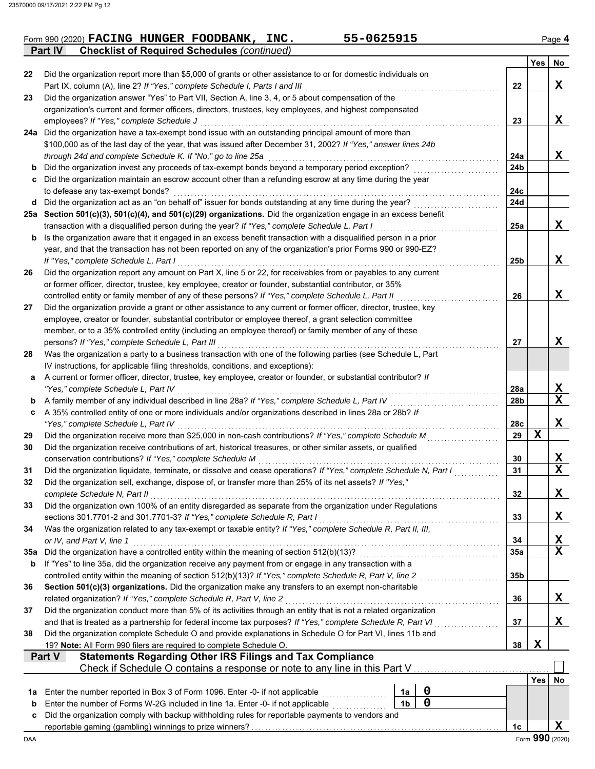|     |                                                                                                                                               |                 | Yes        | No                      |
|-----|-----------------------------------------------------------------------------------------------------------------------------------------------|-----------------|------------|-------------------------|
| 22  | Did the organization report more than \$5,000 of grants or other assistance to or for domestic individuals on                                 |                 |            |                         |
|     | Part IX, column (A), line 2? If "Yes," complete Schedule I, Parts I and III                                                                   | 22              |            | X                       |
| 23  | Did the organization answer "Yes" to Part VII, Section A, line 3, 4, or 5 about compensation of the                                           |                 |            |                         |
|     | organization's current and former officers, directors, trustees, key employees, and highest compensated                                       |                 |            |                         |
|     | employees? If "Yes," complete Schedule J                                                                                                      | 23              |            | X                       |
|     | 24a Did the organization have a tax-exempt bond issue with an outstanding principal amount of more than                                       |                 |            |                         |
|     | \$100,000 as of the last day of the year, that was issued after December 31, 2002? If "Yes," answer lines 24b                                 |                 |            |                         |
|     | through 24d and complete Schedule K. If "No," go to line 25a                                                                                  | 24a             |            | X                       |
| b   | Did the organization invest any proceeds of tax-exempt bonds beyond a temporary period exception?                                             | 24b             |            |                         |
| C   | Did the organization maintain an escrow account other than a refunding escrow at any time during the year<br>to defease any tax-exempt bonds? | 24c             |            |                         |
| d   | Did the organization act as an "on behalf of" issuer for bonds outstanding at any time during the year?                                       | 24d             |            |                         |
|     | 25a Section 501(c)(3), 501(c)(4), and 501(c)(29) organizations. Did the organization engage in an excess benefit                              |                 |            |                         |
|     | transaction with a disqualified person during the year? If "Yes," complete Schedule L, Part I                                                 | 25a             |            | x                       |
|     | Is the organization aware that it engaged in an excess benefit transaction with a disqualified person in a prior                              |                 |            |                         |
| b   |                                                                                                                                               |                 |            |                         |
|     | year, and that the transaction has not been reported on any of the organization's prior Forms 990 or 990-EZ?                                  |                 |            |                         |
|     | If "Yes," complete Schedule L, Part I                                                                                                         | 25b             |            | X                       |
| 26  | Did the organization report any amount on Part X, line 5 or 22, for receivables from or payables to any current                               |                 |            |                         |
|     | or former officer, director, trustee, key employee, creator or founder, substantial contributor, or 35%                                       |                 |            |                         |
|     | controlled entity or family member of any of these persons? If "Yes," complete Schedule L, Part II                                            | 26              |            | x                       |
| 27  | Did the organization provide a grant or other assistance to any current or former officer, director, trustee, key                             |                 |            |                         |
|     | employee, creator or founder, substantial contributor or employee thereof, a grant selection committee                                        |                 |            |                         |
|     | member, or to a 35% controlled entity (including an employee thereof) or family member of any of these                                        |                 |            |                         |
|     | persons? If "Yes," complete Schedule L, Part III                                                                                              | 27              |            | X                       |
| 28  | Was the organization a party to a business transaction with one of the following parties (see Schedule L, Part                                |                 |            |                         |
|     | IV instructions, for applicable filing thresholds, conditions, and exceptions):                                                               |                 |            |                         |
| а   | A current or former officer, director, trustee, key employee, creator or founder, or substantial contributor? If                              |                 |            |                         |
|     | "Yes," complete Schedule L, Part IV                                                                                                           | 28a             |            | X                       |
| b   | A family member of any individual described in line 28a? If "Yes," complete Schedule L, Part IV                                               | 28b             |            | $\mathbf x$             |
| c   | A 35% controlled entity of one or more individuals and/or organizations described in lines 28a or 28b? If                                     |                 |            |                         |
|     | "Yes," complete Schedule L, Part IV                                                                                                           | 28c             |            | X                       |
| 29  | Did the organization receive more than \$25,000 in non-cash contributions? If "Yes," complete Schedule M                                      | 29              | х          |                         |
| 30  | Did the organization receive contributions of art, historical treasures, or other similar assets, or qualified                                |                 |            |                         |
|     | conservation contributions? If "Yes," complete Schedule M                                                                                     | 30              |            | X                       |
| 31  | Did the organization liquidate, terminate, or dissolve and cease operations? If "Yes," complete Schedule N, Part I                            | 31              |            | $\overline{\mathbf{x}}$ |
| 32  | Did the organization sell, exchange, dispose of, or transfer more than 25% of its net assets? If "Yes,"                                       |                 |            |                         |
|     | complete Schedule N, Part II                                                                                                                  | 32              |            | X                       |
| 33  | Did the organization own 100% of an entity disregarded as separate from the organization under Regulations                                    |                 |            |                         |
|     | sections 301.7701-2 and 301.7701-3? If "Yes," complete Schedule R, Part I                                                                     | 33              |            | X                       |
| 34  | Was the organization related to any tax-exempt or taxable entity? If "Yes," complete Schedule R, Part II, III,                                |                 |            |                         |
|     | or IV, and Part V, line 1                                                                                                                     | 34              |            | X                       |
| 35а | Did the organization have a controlled entity within the meaning of section 512(b)(13)?                                                       | 35a             |            | X                       |
| b   | If "Yes" to line 35a, did the organization receive any payment from or engage in any transaction with a                                       |                 |            |                         |
|     | controlled entity within the meaning of section 512(b)(13)? If "Yes," complete Schedule R, Part V, line 2                                     | 35 <sub>b</sub> |            |                         |
| 36  | Section 501(c)(3) organizations. Did the organization make any transfers to an exempt non-charitable                                          |                 |            |                         |
|     | related organization? If "Yes," complete Schedule R, Part V, line 2                                                                           | 36              |            | X                       |
| 37  | Did the organization conduct more than 5% of its activities through an entity that is not a related organization                              |                 |            |                         |
|     | and that is treated as a partnership for federal income tax purposes? If "Yes," complete Schedule R, Part VI                                  | 37              |            | X                       |
| 38  | Did the organization complete Schedule O and provide explanations in Schedule O for Part VI, lines 11b and                                    |                 |            |                         |
|     | 19? Note: All Form 990 filers are required to complete Schedule O.                                                                            | 38              | X          |                         |
|     | <b>Statements Regarding Other IRS Filings and Tax Compliance</b><br>Part V                                                                    |                 |            |                         |
|     | Check if Schedule O contains a response or note to any line in this Part V                                                                    |                 |            |                         |
|     |                                                                                                                                               |                 | <b>Yes</b> | No                      |
| 1a  | 0<br>Enter the number reported in Box 3 of Form 1096. Enter -0- if not applicable<br>1a                                                       |                 |            |                         |
| b   | $\mathbf 0$<br>1 <sub>b</sub><br>Enter the number of Forms W-2G included in line 1a. Enter -0- if not applicable                              |                 |            |                         |
| c   | Did the organization comply with backup withholding rules for reportable payments to vendors and                                              |                 |            |                         |
|     |                                                                                                                                               | 1c              |            | X                       |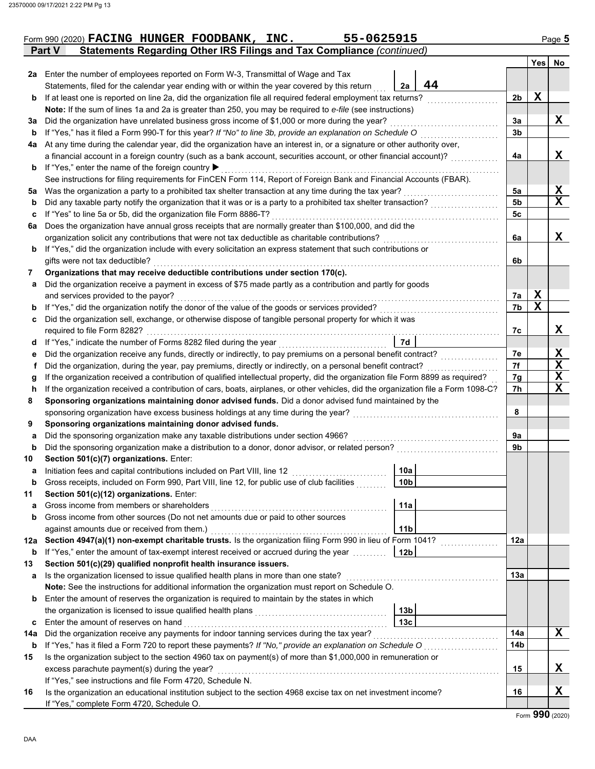|     | 55-0625915<br>Form 990 (2020) FACING HUNGER FOODBANK, INC.                                                                         |                 |                |     | Page 5      |
|-----|------------------------------------------------------------------------------------------------------------------------------------|-----------------|----------------|-----|-------------|
|     | Statements Regarding Other IRS Filings and Tax Compliance (continued)<br>Part V                                                    |                 |                |     |             |
|     |                                                                                                                                    |                 |                | Yes | No          |
|     | 2a Enter the number of employees reported on Form W-3, Transmittal of Wage and Tax                                                 |                 |                |     |             |
|     | Statements, filed for the calendar year ending with or within the year covered by this return                                      | 44<br>2a        |                |     |             |
| b   | If at least one is reported on line 2a, did the organization file all required federal employment tax returns?                     |                 | 2b             | X   |             |
|     | Note: If the sum of lines 1a and 2a is greater than 250, you may be required to e-file (see instructions)                          |                 |                |     |             |
| За  | Did the organization have unrelated business gross income of \$1,000 or more during the year?                                      |                 | За             |     | X           |
| b   | If "Yes," has it filed a Form 990-T for this year? If "No" to line 3b, provide an explanation on Schedule O                        |                 | 3b             |     |             |
|     | 4a At any time during the calendar year, did the organization have an interest in, or a signature or other authority over,         |                 |                |     |             |
|     | a financial account in a foreign country (such as a bank account, securities account, or other financial account)?                 |                 | 4a             |     | X           |
| b   | If "Yes," enter the name of the foreign country ▶                                                                                  |                 |                |     |             |
|     | See instructions for filing requirements for FinCEN Form 114, Report of Foreign Bank and Financial Accounts (FBAR).                |                 |                |     |             |
| 5a  | Was the organization a party to a prohibited tax shelter transaction at any time during the tax year?                              |                 | 5a             |     | X           |
| b   | Did any taxable party notify the organization that it was or is a party to a prohibited tax shelter transaction?                   |                 | 5 <sub>b</sub> |     | $\mathbf x$ |
| c   | If "Yes" to line 5a or 5b, did the organization file Form 8886-T?                                                                  |                 | 5c             |     |             |
| 6а  | Does the organization have annual gross receipts that are normally greater than \$100,000, and did the                             |                 |                |     |             |
|     | organization solicit any contributions that were not tax deductible as charitable contributions?                                   |                 | 6a             |     | X           |
| b   | If "Yes," did the organization include with every solicitation an express statement that such contributions or                     |                 |                |     |             |
|     | gifts were not tax deductible?                                                                                                     |                 | 6b             |     |             |
| 7   | Organizations that may receive deductible contributions under section 170(c).                                                      |                 |                |     |             |
| a   | Did the organization receive a payment in excess of \$75 made partly as a contribution and partly for goods                        |                 |                |     |             |
|     | and services provided to the payor?                                                                                                |                 | 7а             | X   |             |
| b   | If "Yes," did the organization notify the donor of the value of the goods or services provided?                                    |                 | 7b             | X   |             |
| c   | Did the organization sell, exchange, or otherwise dispose of tangible personal property for which it was                           |                 |                |     |             |
|     | required to file Form 8282?                                                                                                        |                 | 7с             |     | X           |
| d   | If "Yes," indicate the number of Forms 8282 filed during the year                                                                  | 7d              |                |     |             |
| е   | Did the organization receive any funds, directly or indirectly, to pay premiums on a personal benefit contract?                    |                 | 7e             |     | X           |
| f   | Did the organization, during the year, pay premiums, directly or indirectly, on a personal benefit contract?                       |                 | 7f             |     | $\mathbf X$ |
| g   | If the organization received a contribution of qualified intellectual property, did the organization file Form 8899 as required?   |                 | 7g             |     | $\mathbf X$ |
| h   | If the organization received a contribution of cars, boats, airplanes, or other vehicles, did the organization file a Form 1098-C? |                 | 7h             |     | $\mathbf x$ |
| 8   | Sponsoring organizations maintaining donor advised funds. Did a donor advised fund maintained by the                               |                 |                |     |             |
|     | sponsoring organization have excess business holdings at any time during the year?                                                 |                 | 8              |     |             |
| 9   | Sponsoring organizations maintaining donor advised funds.                                                                          |                 |                |     |             |
| a   | Did the sponsoring organization make any taxable distributions under section 4966?                                                 |                 | 9а             |     |             |
| b   | Did the sponsoring organization make a distribution to a donor, donor advisor, or related person?                                  |                 | 9b             |     |             |
| 10  | Section 501(c)(7) organizations. Enter:                                                                                            |                 |                |     |             |
|     | Initiation fees and capital contributions included on Part VIII, line 12                                                           | 10a             |                |     |             |
| b   | Gross receipts, included on Form 990, Part VIII, line 12, for public use of club facilities                                        | 10 <sub>b</sub> |                |     |             |
| 11  | Section 501(c)(12) organizations. Enter:                                                                                           |                 |                |     |             |
| a   | Gross income from members or shareholders                                                                                          | 11a             |                |     |             |
| b   | Gross income from other sources (Do not net amounts due or paid to other sources                                                   |                 |                |     |             |
|     | against amounts due or received from them.)                                                                                        | 11 <sub>b</sub> |                |     |             |
| 12a | Section 4947(a)(1) non-exempt charitable trusts. Is the organization filing Form 990 in lieu of Form 1041?                         |                 | 12a            |     |             |
| b   | If "Yes," enter the amount of tax-exempt interest received or accrued during the year                                              | 12b             |                |     |             |
| 13  | Section 501(c)(29) qualified nonprofit health insurance issuers.                                                                   |                 |                |     |             |
| a   | Is the organization licensed to issue qualified health plans in more than one state?                                               |                 | 13a            |     |             |
|     | Note: See the instructions for additional information the organization must report on Schedule O.                                  |                 |                |     |             |
| b   | Enter the amount of reserves the organization is required to maintain by the states in which                                       |                 |                |     |             |
|     | the organization is licensed to issue qualified health plans                                                                       | 13b             |                |     |             |
| c   | Enter the amount of reserves on hand                                                                                               | 13 <sub>c</sub> |                |     |             |
| 14a | Did the organization receive any payments for indoor tanning services during the tax year?                                         |                 | 14a            |     | x           |
| b   | If "Yes," has it filed a Form 720 to report these payments? If "No," provide an explanation on Schedule O                          |                 | 14b            |     |             |
| 15  | Is the organization subject to the section 4960 tax on payment(s) of more than \$1,000,000 in remuneration or                      |                 |                |     |             |
|     | excess parachute payment(s) during the year?                                                                                       |                 | 15             |     | X           |
|     | If "Yes," see instructions and file Form 4720, Schedule N.                                                                         |                 |                |     |             |
| 16  | Is the organization an educational institution subject to the section 4968 excise tax on net investment income?                    |                 | 16             |     | X           |
|     | If "Yes," complete Form 4720, Schedule O.                                                                                          |                 |                |     |             |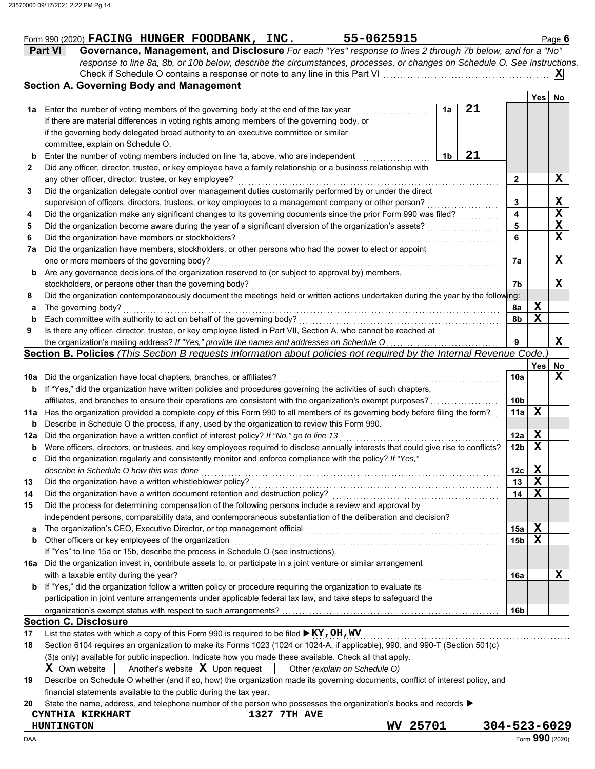### Form 990 (2020) Page **6 FACING HUNGER FOODBANK, INC. 55-0625915**

**Part VI Governance, Management, and Disclosure** *For each "Yes" response to lines 2 through 7b below, and for a "No" response to line 8a, 8b, or 10b below, describe the circumstances, processes, or changes on Schedule O. See instructions.* Check if Schedule O contains a response or note to any line in this Part VI **X**

|              | <b>Section A. Governing Body and Management</b>                                                                                     |    |    |                 |     |             |
|--------------|-------------------------------------------------------------------------------------------------------------------------------------|----|----|-----------------|-----|-------------|
|              |                                                                                                                                     |    |    |                 | Yes | No.         |
| 1а           | Enter the number of voting members of the governing body at the end of the tax year                                                 | 1a | 21 |                 |     |             |
|              | If there are material differences in voting rights among members of the governing body, or                                          |    |    |                 |     |             |
|              | if the governing body delegated broad authority to an executive committee or similar                                                |    |    |                 |     |             |
|              | committee, explain on Schedule O.                                                                                                   |    |    |                 |     |             |
| b            | Enter the number of voting members included on line 1a, above, who are independent                                                  | 1b | 21 |                 |     |             |
| $\mathbf{2}$ | Did any officer, director, trustee, or key employee have a family relationship or a business relationship with                      |    |    |                 |     |             |
|              | any other officer, director, trustee, or key employee?                                                                              |    |    | 2               |     | x           |
| 3            | Did the organization delegate control over management duties customarily performed by or under the direct                           |    |    |                 |     |             |
|              | supervision of officers, directors, trustees, or key employees to a management company or other person?                             |    |    | 3               |     | X           |
| 4            | Did the organization make any significant changes to its governing documents since the prior Form 990 was filed?                    |    |    | 4               |     | $\mathbf X$ |
| 5            | Did the organization become aware during the year of a significant diversion of the organization's assets?                          |    |    | 5               |     | $\mathbf X$ |
| 6            | Did the organization have members or stockholders?                                                                                  |    |    | 6               |     | $\mathbf X$ |
| 7a           | Did the organization have members, stockholders, or other persons who had the power to elect or appoint                             |    |    |                 |     |             |
|              | one or more members of the governing body?                                                                                          |    |    | 7a              |     | x           |
| $\mathbf{p}$ | Are any governance decisions of the organization reserved to (or subject to approval by) members,                                   |    |    |                 |     |             |
|              | stockholders, or persons other than the governing body?                                                                             |    |    | 7b              |     | x           |
| 8            | Did the organization contemporaneously document the meetings held or written actions undertaken during the year by the following:   |    |    |                 |     |             |
| а            | The governing body?                                                                                                                 |    |    | 8a              | Х   |             |
| b            | Each committee with authority to act on behalf of the governing body?                                                               |    |    | 8b              | X   |             |
| 9            | Is there any officer, director, trustee, or key employee listed in Part VII, Section A, who cannot be reached at                    |    |    |                 |     |             |
|              | the organization's mailing address? If "Yes," provide the names and addresses on Schedule O                                         |    |    | 9               |     | X           |
|              | Section B. Policies (This Section B requests information about policies not required by the Internal Revenue Code.                  |    |    |                 |     |             |
|              |                                                                                                                                     |    |    |                 | Yes | <b>No</b>   |
| 10a          | Did the organization have local chapters, branches, or affiliates?                                                                  |    |    | 10a             |     | X           |
| b            | If "Yes," did the organization have written policies and procedures governing the activities of such chapters,                      |    |    |                 |     |             |
|              | affiliates, and branches to ensure their operations are consistent with the organization's exempt purposes?                         |    |    | 10 <sub>b</sub> |     |             |
| 11a          | Has the organization provided a complete copy of this Form 990 to all members of its governing body before filing the form?         |    |    | 11a             | X   |             |
| b            | Describe in Schedule O the process, if any, used by the organization to review this Form 990.                                       |    |    |                 |     |             |
| 12a          | Did the organization have a written conflict of interest policy? If "No," go to line 13                                             |    |    | 12a             | X   |             |
| b            | Were officers, directors, or trustees, and key employees required to disclose annually interests that could give rise to conflicts? |    |    | 12 <sub>b</sub> | X   |             |
| C            | Did the organization regularly and consistently monitor and enforce compliance with the policy? If "Yes,"                           |    |    |                 |     |             |
|              | describe in Schedule O how this was done                                                                                            |    |    | 12c             | Х   |             |
| 13           | Did the organization have a written whistleblower policy?                                                                           |    |    | 13              | Х   |             |
| 14           | Did the organization have a written document retention and destruction policy?                                                      |    |    | 14              | X   |             |
| 15           | Did the process for determining compensation of the following persons include a review and approval by                              |    |    |                 |     |             |
|              | independent persons, comparability data, and contemporaneous substantiation of the deliberation and decision?                       |    |    |                 |     |             |
|              | The organization's CEO, Executive Director, or top management official                                                              |    |    | 15a             | Х   |             |
| b            | Other officers or key employees of the organization                                                                                 |    |    | 15 <sub>b</sub> | X   |             |
|              | If "Yes" to line 15a or 15b, describe the process in Schedule O (see instructions).                                                 |    |    |                 |     |             |
|              | 16a Did the organization invest in, contribute assets to, or participate in a joint venture or similar arrangement                  |    |    |                 |     |             |
|              | with a taxable entity during the year?                                                                                              |    |    | 16a             |     | X           |
|              | <b>b</b> If "Yes," did the organization follow a written policy or procedure requiring the organization to evaluate its             |    |    |                 |     |             |
|              | participation in joint venture arrangements under applicable federal tax law, and take steps to safeguard the                       |    |    |                 |     |             |
|              |                                                                                                                                     |    |    | 16b             |     |             |
|              | <b>Section C. Disclosure</b>                                                                                                        |    |    |                 |     |             |
| 17           | List the states with which a copy of this Form 990 is required to be filed $\triangleright$ KY, OH, WV                              |    |    |                 |     |             |
| 40           | Soction 6104 requires an erganization to make its Eerms 1022 (1024 or 1024 A if applicable), 000, and 000 T (Soction 501(e)         |    |    |                 |     |             |

|  |  | 18 Section 6104 requires an organization to make its Forms 1023 (1024 or 1024-A, if applicable), 990, and 990-T (Section 501(c) |  |  |  |  |  |
|--|--|---------------------------------------------------------------------------------------------------------------------------------|--|--|--|--|--|
|--|--|---------------------------------------------------------------------------------------------------------------------------------|--|--|--|--|--|

(3)s only) available for public inspection. Indicate how you made these available. Check all that apply.

 $\overline{\textbf{X}}$  Own website  $\quad \Box$  Another's website  $\overline{\textbf{X}}$  Upon request  $\quad \Box$  Other *(explain on Schedule O)* 

| 19 Describe on Schedule O whether (and if so, how) the organization made its governing documents, conflict of interest policy, and |  |
|------------------------------------------------------------------------------------------------------------------------------------|--|
| financial statements available to the public during the tax year.                                                                  |  |

|  |  |  |  |  | 20 State the name, address, and telephone number of the person who possesses the organization's books and records $\blacktriangleright$ |  |
|--|--|--|--|--|-----------------------------------------------------------------------------------------------------------------------------------------|--|
|--|--|--|--|--|-----------------------------------------------------------------------------------------------------------------------------------------|--|

### **CYNTHIA KIRKHART 1327 7TH AVE**

DAA Form **990** (2020)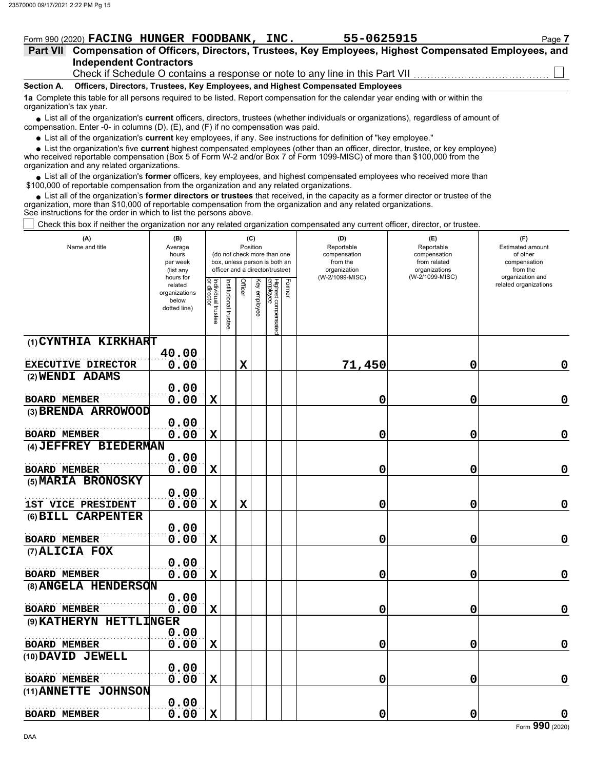|  |  | Form 990 (2020) FACING HUNGER FOODBANK, INC. |                                                                                                           | 55-0625915 | Page 7 |
|--|--|----------------------------------------------|-----------------------------------------------------------------------------------------------------------|------------|--------|
|  |  |                                              | Part VII Compensation of Officers, Directors, Trustees, Key Employees, Highest Compensated Employees, and |            |        |

### **Independent Contractors**

Check if Schedule O contains a response or note to any line in this Part VII

#### **Section A. Officers, Directors, Trustees, Key Employees, and Highest Compensated Employees**

**1a** Complete this table for all persons required to be listed. Report compensation for the calendar year ending with or within the organization's tax year.

■ List all of the organization's **current** officers, directors, trustees (whether individuals or organizations), regardless of amount of compensation. Enter -0- in columns (D), (E), and (F) if no compensation was paid.

List all of the organization's **current** key employees, if any. See instructions for definition of "key employee."

■ List all of the organization's **current** key employees, if any. See instructions for definition of "key employee."<br>■ List the organization's five **current** highest compensated employees (other than an officer, director,

who received reportable compensation (Box 5 of Form W-2 and/or Box 7 of Form 1099-MISC) of more than \$100,000 from the organization and any related organizations.

• List all of the organization's **former** officers, key employees, and highest compensated employees who received more than<br>00,000 of reportable compensation from the organization and any related erganizations. \$100,000 of reportable compensation from the organization and any related organizations.

• List all of the organization's **former directors or trustees** that received, in the capacity as a former director or trustee of the anization more than \$10,000 of reportable compensation from the organization and any rel organization, more than \$10,000 of reportable compensation from the organization and any related organizations. See instructions for the order in which to list the persons above.

 $\Box$ Check this box if neither the organization nor any related organization compensated any current officer, director, or trustee.

| (A)<br>Name and title     | (B)<br>Average<br>hours<br>per week<br>(list any<br>hours for |                                   |                       | (C)<br>Position |              | (do not check more than one<br>box, unless person is both an<br>officer and a director/trustee) |        | (D)<br>Reportable<br>compensation<br>from the<br>organization<br>(W-2/1099-MISC) | (E)<br>Reportable<br>compensation<br>from related<br>organizations<br>(W-2/1099-MISC) | (F)<br>Estimated amount<br>of other<br>compensation<br>from the<br>organization and |
|---------------------------|---------------------------------------------------------------|-----------------------------------|-----------------------|-----------------|--------------|-------------------------------------------------------------------------------------------------|--------|----------------------------------------------------------------------------------|---------------------------------------------------------------------------------------|-------------------------------------------------------------------------------------|
|                           | related<br>organizations<br>below<br>dotted line)             | Individual trustee<br>or director | Institutional trustee | Officer         | Key employee | Highest compensated<br>employee                                                                 | Former |                                                                                  |                                                                                       | related organizations                                                               |
| (1) CYNTHIA KIRKHART      |                                                               |                                   |                       |                 |              |                                                                                                 |        |                                                                                  |                                                                                       |                                                                                     |
| <b>EXECUTIVE DIRECTOR</b> | 40.00<br>0.00                                                 |                                   |                       | $\mathbf x$     |              |                                                                                                 |        | 71,450                                                                           | 0                                                                                     | 0                                                                                   |
| (2) WENDI ADAMS           |                                                               |                                   |                       |                 |              |                                                                                                 |        |                                                                                  |                                                                                       |                                                                                     |
|                           | 0.00                                                          |                                   |                       |                 |              |                                                                                                 |        |                                                                                  |                                                                                       |                                                                                     |
| <b>BOARD MEMBER</b>       | 0.00                                                          | $\mathbf x$                       |                       |                 |              |                                                                                                 |        | 0                                                                                | 0                                                                                     | $\mathbf 0$                                                                         |
| (3) BRENDA ARROWOOD       |                                                               |                                   |                       |                 |              |                                                                                                 |        |                                                                                  |                                                                                       |                                                                                     |
| <b>BOARD MEMBER</b>       | 0.00<br>0.00                                                  | $\mathbf x$                       |                       |                 |              |                                                                                                 |        | 0                                                                                | 0                                                                                     | $\mathbf 0$                                                                         |
| (4) JEFFREY BIEDERMAN     |                                                               |                                   |                       |                 |              |                                                                                                 |        |                                                                                  |                                                                                       |                                                                                     |
|                           | 0.00                                                          |                                   |                       |                 |              |                                                                                                 |        |                                                                                  |                                                                                       |                                                                                     |
| <b>BOARD MEMBER</b>       | 0.00                                                          | $\mathbf x$                       |                       |                 |              |                                                                                                 |        | 0                                                                                | 0                                                                                     | $\mathbf 0$                                                                         |
| (5) MARIA BRONOSKY        |                                                               |                                   |                       |                 |              |                                                                                                 |        |                                                                                  |                                                                                       |                                                                                     |
| <b>1ST VICE PRESIDENT</b> | 0.00<br>0.00                                                  | $\mathbf x$                       |                       | $\mathbf x$     |              |                                                                                                 |        | 0                                                                                | 0                                                                                     | $\mathbf 0$                                                                         |
| (6) BILL CARPENTER        |                                                               |                                   |                       |                 |              |                                                                                                 |        |                                                                                  |                                                                                       |                                                                                     |
|                           | 0.00                                                          |                                   |                       |                 |              |                                                                                                 |        |                                                                                  |                                                                                       |                                                                                     |
| <b>BOARD MEMBER</b>       | 0.00                                                          | $\mathbf X$                       |                       |                 |              |                                                                                                 |        | 0                                                                                | 0                                                                                     | $\mathbf 0$                                                                         |
| (7) ALICIA FOX            |                                                               |                                   |                       |                 |              |                                                                                                 |        |                                                                                  |                                                                                       |                                                                                     |
|                           | 0.00                                                          |                                   |                       |                 |              |                                                                                                 |        |                                                                                  |                                                                                       |                                                                                     |
| <b>BOARD MEMBER</b>       | 0.00                                                          | $\mathbf x$                       |                       |                 |              |                                                                                                 |        | 0                                                                                | 0                                                                                     | 0                                                                                   |
| (8) ANGELA HENDERSON      |                                                               |                                   |                       |                 |              |                                                                                                 |        |                                                                                  |                                                                                       |                                                                                     |
| <b>BOARD MEMBER</b>       | 0.00<br>0.00                                                  | $\mathbf x$                       |                       |                 |              |                                                                                                 |        | 0                                                                                | 0                                                                                     | $\mathbf 0$                                                                         |
| (9) KATHERYN HETTLINGER   |                                                               |                                   |                       |                 |              |                                                                                                 |        |                                                                                  |                                                                                       |                                                                                     |
|                           | 0.00                                                          |                                   |                       |                 |              |                                                                                                 |        |                                                                                  |                                                                                       |                                                                                     |
| <b>BOARD MEMBER</b>       | 0.00                                                          | X                                 |                       |                 |              |                                                                                                 |        | 0                                                                                | 0                                                                                     | $\mathbf 0$                                                                         |
| (10) DAVID JEWELL         |                                                               |                                   |                       |                 |              |                                                                                                 |        |                                                                                  |                                                                                       |                                                                                     |
|                           | 0.00                                                          |                                   |                       |                 |              |                                                                                                 |        |                                                                                  |                                                                                       |                                                                                     |
| <b>BOARD MEMBER</b>       | 0.00                                                          | $\mathbf x$                       |                       |                 |              |                                                                                                 |        | 0                                                                                | 0                                                                                     | 0                                                                                   |
| (11) ANNETTE JOHNSON      |                                                               |                                   |                       |                 |              |                                                                                                 |        |                                                                                  |                                                                                       |                                                                                     |
|                           | 0.00                                                          |                                   |                       |                 |              |                                                                                                 |        |                                                                                  |                                                                                       |                                                                                     |
| <b>BOARD MEMBER</b>       | 0.00                                                          | $\mathbf x$                       |                       |                 |              |                                                                                                 |        | 0                                                                                | 0                                                                                     | $\mathbf 0$                                                                         |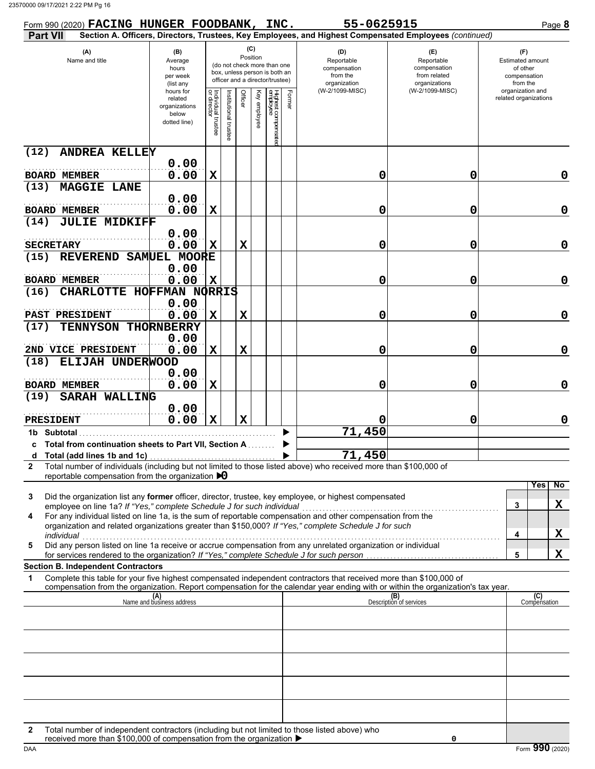23570000 09/17/2021 2:22 PM Pg 16

| Form 990 (2020) FACING HUNGER FOODBANK, INC.<br><b>Part VII</b>                                                                                                                                                                                             |                                                                |                                   |                       |         |                 |                                                                                                 |        | 55-0625915<br>Section A. Officers, Directors, Trustees, Key Employees, and Highest Compensated Employees (continued) |                                                                    | Page 8                                                                 |
|-------------------------------------------------------------------------------------------------------------------------------------------------------------------------------------------------------------------------------------------------------------|----------------------------------------------------------------|-----------------------------------|-----------------------|---------|-----------------|-------------------------------------------------------------------------------------------------|--------|----------------------------------------------------------------------------------------------------------------------|--------------------------------------------------------------------|------------------------------------------------------------------------|
| (A)<br>Name and title                                                                                                                                                                                                                                       | (B)<br>Average<br>hours<br>per week<br>(list any               |                                   |                       |         | (C)<br>Position | (do not check more than one<br>box, unless person is both an<br>officer and a director/trustee) |        | (D)<br>Reportable<br>compensation<br>from the<br>organization                                                        | (E)<br>Reportable<br>compensation<br>from related<br>organizations | (F)<br><b>Estimated amount</b><br>of other<br>compensation<br>from the |
|                                                                                                                                                                                                                                                             | hours for<br>related<br>organizations<br>below<br>dotted line) | Individual trustee<br>or director | Institutional trustee | Officer | Key employee    | Highest compensated<br>employee                                                                 | Former | (W-2/1099-MISC)                                                                                                      | (W-2/1099-MISC)                                                    | organization and<br>related organizations                              |
| (12)<br><b>ANDREA KELLEY</b>                                                                                                                                                                                                                                |                                                                |                                   |                       |         |                 |                                                                                                 |        |                                                                                                                      |                                                                    |                                                                        |
| <b>BOARD MEMBER</b><br>(13)<br><b>MAGGIE LANE</b>                                                                                                                                                                                                           | 0.00<br>0.00                                                   | $\mathbf X$                       |                       |         |                 |                                                                                                 |        | 0                                                                                                                    | 0                                                                  | 0                                                                      |
| <b>BOARD MEMBER</b>                                                                                                                                                                                                                                         | 0.00<br>0.00                                                   | $\mathbf x$                       |                       |         |                 |                                                                                                 |        | 0                                                                                                                    | 0                                                                  | 0                                                                      |
| <b>JULIE MIDKIFF</b><br>(14)<br><b>SECRETARY</b>                                                                                                                                                                                                            | 0.00<br>0.00                                                   | X                                 |                       | X       |                 |                                                                                                 |        | 0                                                                                                                    | 0                                                                  | 0                                                                      |
| (15)<br><b>REVEREND</b>                                                                                                                                                                                                                                     | <b>SAMUEL MOORE</b><br>0.00                                    |                                   |                       |         |                 |                                                                                                 |        |                                                                                                                      |                                                                    |                                                                        |
| <b>BOARD MEMBER</b><br><b>CHARLOTTE</b><br>(16)                                                                                                                                                                                                             | 0.00<br>HOFFMAN NORRIS<br>0.00                                 | $\mathbf X$                       |                       |         |                 |                                                                                                 |        | 0                                                                                                                    | 0                                                                  | 0                                                                      |
| PAST PRESIDENT                                                                                                                                                                                                                                              | 0.00                                                           | X                                 |                       | X       |                 |                                                                                                 |        | 0                                                                                                                    | 0                                                                  | 0                                                                      |
| <b>TENNYSON</b><br>(17)<br>2ND VICE PRESIDENT                                                                                                                                                                                                               | <b>THORNBERRY</b><br>0.00<br>0.00                              | $\mathbf x$                       |                       | X       |                 |                                                                                                 |        | 0                                                                                                                    | 0                                                                  | 0                                                                      |
| ELIJAH UNDERWOOD<br>(18)                                                                                                                                                                                                                                    | 0.00                                                           |                                   |                       |         |                 |                                                                                                 |        |                                                                                                                      |                                                                    |                                                                        |
| <b>BOARD MEMBER</b><br><b>SARAH WALLING</b><br>(19)                                                                                                                                                                                                         | 0.00                                                           | $\mathbf x$                       |                       |         |                 |                                                                                                 |        | 0                                                                                                                    | 0                                                                  | 0                                                                      |
| PRESIDENT                                                                                                                                                                                                                                                   | 0.00<br>0.00                                                   | X                                 |                       | X       |                 |                                                                                                 |        | O                                                                                                                    | 0                                                                  | 0                                                                      |
| 1b Subtotal<br>Total from continuation sheets to Part VII, Section A                                                                                                                                                                                        |                                                                |                                   |                       |         |                 |                                                                                                 |        | 71,450                                                                                                               |                                                                    |                                                                        |
| Total (add lines 1b and 1c)<br>d<br>Total number of individuals (including but not limited to those listed above) who received more than \$100,000 of<br>$\mathbf{2}$                                                                                       |                                                                |                                   |                       |         |                 |                                                                                                 |        | 71,450                                                                                                               |                                                                    |                                                                        |
| reportable compensation from the organization $\bigtriangledown 0$<br>Did the organization list any former officer, director, trustee, key employee, or highest compensated<br>3<br>employee on line 1a? If "Yes," complete Schedule J for such individual  |                                                                |                                   |                       |         |                 |                                                                                                 |        |                                                                                                                      |                                                                    | Yes<br>No.<br>X<br>3                                                   |
| For any individual listed on line 1a, is the sum of reportable compensation and other compensation from the<br>4<br>organization and related organizations greater than \$150,000? If "Yes," complete Schedule J for such<br>individual                     |                                                                |                                   |                       |         |                 |                                                                                                 |        |                                                                                                                      |                                                                    | X<br>4                                                                 |
| 5                                                                                                                                                                                                                                                           |                                                                |                                   |                       |         |                 |                                                                                                 |        |                                                                                                                      |                                                                    | X<br>5                                                                 |
| <b>Section B. Independent Contractors</b>                                                                                                                                                                                                                   |                                                                |                                   |                       |         |                 |                                                                                                 |        |                                                                                                                      |                                                                    |                                                                        |
| Complete this table for your five highest compensated independent contractors that received more than \$100,000 of<br>1<br>compensation from the organization. Report compensation for the calendar year ending with or within the organization's tax year. |                                                                |                                   |                       |         |                 |                                                                                                 |        |                                                                                                                      |                                                                    |                                                                        |
|                                                                                                                                                                                                                                                             | (A)<br>Name and business address                               |                                   |                       |         |                 |                                                                                                 |        |                                                                                                                      | (B)<br>Description of services                                     | (C)<br>Compensation                                                    |
|                                                                                                                                                                                                                                                             |                                                                |                                   |                       |         |                 |                                                                                                 |        |                                                                                                                      |                                                                    |                                                                        |
|                                                                                                                                                                                                                                                             |                                                                |                                   |                       |         |                 |                                                                                                 |        |                                                                                                                      |                                                                    |                                                                        |
|                                                                                                                                                                                                                                                             |                                                                |                                   |                       |         |                 |                                                                                                 |        |                                                                                                                      |                                                                    |                                                                        |
| Total number of independent contractors (including but not limited to those listed above) who<br>2                                                                                                                                                          |                                                                |                                   |                       |         |                 |                                                                                                 |        |                                                                                                                      |                                                                    |                                                                        |
| received more than \$100,000 of compensation from the organization ▶                                                                                                                                                                                        |                                                                |                                   |                       |         |                 |                                                                                                 |        |                                                                                                                      | 0                                                                  |                                                                        |

DAA Form **990** (2020) received more than \$100,000 of compensation from the organization  $\blacktriangleright$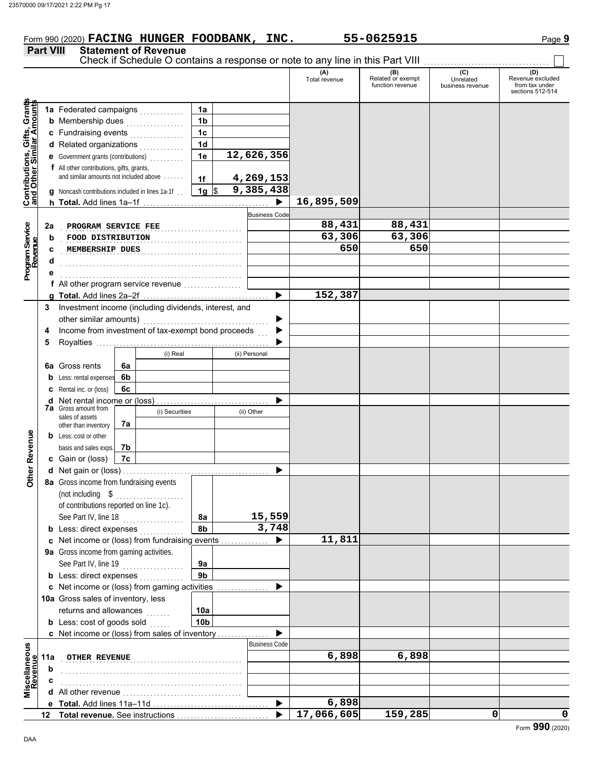### Form 990 (2020) Page **9 FACING HUNGER FOODBANK, INC. 55-0625915 Part VIII Statement of Revenue**  $\Box$ Check if Schedule O contains a response or note to any line in this Part VIII ................................

|                                                                  |                                                |                                                        |    |                |                  |   |                       | (A)<br>Total revenue | (B)<br>Related or exempt<br>function revenue | (C)<br>Unrelated<br>business revenue | (D)<br>Revenue excluded<br>from tax under<br>sections 512-514 |
|------------------------------------------------------------------|------------------------------------------------|--------------------------------------------------------|----|----------------|------------------|---|-----------------------|----------------------|----------------------------------------------|--------------------------------------|---------------------------------------------------------------|
|                                                                  |                                                |                                                        |    |                |                  |   |                       |                      |                                              |                                      |                                                               |
|                                                                  |                                                |                                                        |    |                | 1a               |   |                       |                      |                                              |                                      |                                                               |
|                                                                  |                                                | <b>b</b> Membership dues                               |    | .              | 1 <sub>b</sub>   |   |                       |                      |                                              |                                      |                                                               |
|                                                                  |                                                | c Fundraising events                                   |    |                | 1 <sub>c</sub>   |   |                       |                      |                                              |                                      |                                                               |
| <b>Contributions, Gifts, Grants</b><br>and Other Similar Amounts |                                                | d Related organizations                                |    |                | 1 <sub>d</sub>   |   |                       |                      |                                              |                                      |                                                               |
|                                                                  |                                                | e Government grants (contributions)                    |    |                | 1e               |   | 12,626,356            |                      |                                              |                                      |                                                               |
|                                                                  |                                                | f All other contributions, gifts, grants,              |    |                |                  |   |                       |                      |                                              |                                      |                                                               |
|                                                                  |                                                | and similar amounts not included above                 |    |                | 1f               |   | 4,269,153             |                      |                                              |                                      |                                                               |
|                                                                  |                                                | <b>q</b> Noncash contributions included in lines 1a-1f |    |                | 1g $\frac{1}{3}$ |   | 9,385,438             |                      |                                              |                                      |                                                               |
|                                                                  |                                                |                                                        |    |                |                  |   |                       | 16,895,509           |                                              |                                      |                                                               |
|                                                                  |                                                |                                                        |    |                |                  |   | <b>Business Code</b>  |                      |                                              |                                      |                                                               |
|                                                                  | 2a                                             | PROGRAM SERVICE FEE                                    |    |                |                  |   |                       | 88,431               | 88,431                                       |                                      |                                                               |
| Program Service<br>Revenue                                       | b                                              | FOOD DISTRIBUTION                                      |    |                |                  |   |                       | 63,306               | 63,306                                       |                                      |                                                               |
|                                                                  | c                                              | MEMBERSHIP DUES                                        |    |                |                  |   |                       | 650                  | 650                                          |                                      |                                                               |
|                                                                  | d                                              |                                                        |    |                |                  |   |                       |                      |                                              |                                      |                                                               |
|                                                                  |                                                |                                                        |    |                |                  |   |                       |                      |                                              |                                      |                                                               |
|                                                                  |                                                | f All other program service revenue                    |    |                |                  |   |                       |                      |                                              |                                      |                                                               |
|                                                                  |                                                |                                                        |    |                |                  |   | ▶                     | 152,387              |                                              |                                      |                                                               |
|                                                                  | 3                                              | Investment income (including dividends, interest, and  |    |                |                  |   |                       |                      |                                              |                                      |                                                               |
|                                                                  |                                                | other similar amounts)                                 |    |                |                  |   |                       |                      |                                              |                                      |                                                               |
|                                                                  | 4                                              | Income from investment of tax-exempt bond proceeds     |    |                |                  |   |                       |                      |                                              |                                      |                                                               |
|                                                                  | 5                                              |                                                        |    |                |                  |   |                       |                      |                                              |                                      |                                                               |
|                                                                  |                                                |                                                        |    | (i) Real       |                  |   | (ii) Personal         |                      |                                              |                                      |                                                               |
|                                                                  |                                                | <b>6a</b> Gross rents                                  | 6a |                |                  |   |                       |                      |                                              |                                      |                                                               |
|                                                                  |                                                | <b>b</b> Less: rental expenses                         | 6b |                |                  |   |                       |                      |                                              |                                      |                                                               |
|                                                                  |                                                | <b>c</b> Rental inc. or (loss)                         | 6c |                |                  |   |                       |                      |                                              |                                      |                                                               |
|                                                                  |                                                | <b>d</b> Net rental income or (loss)                   |    |                |                  |   |                       |                      |                                              |                                      |                                                               |
|                                                                  | <b>7a</b> Gross amount from<br>sales of assets |                                                        |    | (i) Securities |                  |   | (ii) Other            |                      |                                              |                                      |                                                               |
|                                                                  |                                                | 7а<br>other than inventory                             |    |                |                  |   |                       |                      |                                              |                                      |                                                               |
|                                                                  |                                                | <b>b</b> Less: cost or other                           |    |                |                  |   |                       |                      |                                              |                                      |                                                               |
|                                                                  |                                                | basis and sales exps.                                  | 7b |                |                  |   |                       |                      |                                              |                                      |                                                               |
|                                                                  |                                                | c Gain or (loss)                                       | 7c |                |                  |   |                       |                      |                                              |                                      |                                                               |
| Other Revenue                                                    |                                                |                                                        |    |                |                  |   |                       |                      |                                              |                                      |                                                               |
|                                                                  |                                                | 8a Gross income from fundraising events                |    |                |                  |   |                       |                      |                                              |                                      |                                                               |
|                                                                  |                                                | (not including \$                                      |    |                |                  |   |                       |                      |                                              |                                      |                                                               |
|                                                                  |                                                | of contributions reported on line 1c).                 |    |                |                  |   |                       |                      |                                              |                                      |                                                               |
|                                                                  |                                                | See Part IV, line 18                                   |    |                | 8a               |   | 15,559                |                      |                                              |                                      |                                                               |
|                                                                  |                                                | <b>b</b> Less: direct expenses                         |    |                | 8b               |   | 3,748                 |                      |                                              |                                      |                                                               |
|                                                                  |                                                | c Net income or (loss) from fundraising events         |    |                |                  |   |                       | 11,811               |                                              |                                      |                                                               |
|                                                                  |                                                | 9a Gross income from gaming activities.                |    |                |                  |   |                       |                      |                                              |                                      |                                                               |
|                                                                  |                                                | See Part IV, line 19                                   |    | .              | 9a               |   |                       |                      |                                              |                                      |                                                               |
|                                                                  |                                                | <b>b</b> Less: direct expenses                         |    |                | 9 <sub>b</sub>   |   |                       |                      |                                              |                                      |                                                               |
|                                                                  |                                                | c Net income or (loss) from gaming activities          |    |                |                  | . |                       |                      |                                              |                                      |                                                               |
|                                                                  |                                                | 10a Gross sales of inventory, less                     |    |                |                  |   |                       |                      |                                              |                                      |                                                               |
|                                                                  |                                                | returns and allowances                                 |    |                | 10a              |   |                       |                      |                                              |                                      |                                                               |
|                                                                  |                                                | <b>b</b> Less: cost of goods sold                      |    |                | 10 <sub>b</sub>  |   |                       |                      |                                              |                                      |                                                               |
|                                                                  |                                                | c Net income or (loss) from sales of inventory         |    |                |                  |   |                       |                      |                                              |                                      |                                                               |
|                                                                  |                                                |                                                        |    |                |                  |   | <b>Business Code</b>  |                      |                                              |                                      |                                                               |
| Miscellaneous<br>Revenue                                         | 11a                                            | OTHER REVENUE                                          |    |                |                  |   |                       | 6,898                | 6,898                                        |                                      |                                                               |
|                                                                  | $\mathbf b$                                    |                                                        |    |                |                  |   |                       |                      |                                              |                                      |                                                               |
|                                                                  |                                                |                                                        |    |                |                  |   |                       |                      |                                              |                                      |                                                               |
|                                                                  |                                                |                                                        |    |                |                  |   |                       |                      |                                              |                                      |                                                               |
|                                                                  |                                                |                                                        |    |                |                  |   | $\blacktriangleright$ | 6,898                |                                              |                                      |                                                               |
|                                                                  |                                                |                                                        |    |                |                  |   |                       | 17,066,605           | 159,285                                      | 0                                    | 0                                                             |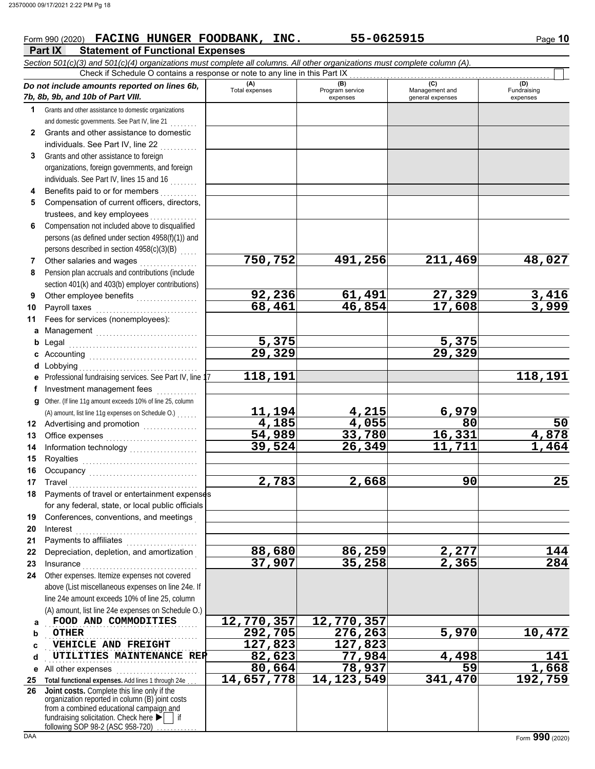### **Part IX Statement of Functional Expenses** Form 990 (2020) Page **10 FACING HUNGER FOODBANK, INC. 55-0625915**

|    | Section 501(c)(3) and 501(c)(4) organizations must complete all columns. All other organizations must complete column (A).<br>Check if Schedule O contains a response or note to any line in this Part IX |                         |                             |                                    |                         |
|----|-----------------------------------------------------------------------------------------------------------------------------------------------------------------------------------------------------------|-------------------------|-----------------------------|------------------------------------|-------------------------|
|    | Do not include amounts reported on lines 6b,                                                                                                                                                              | (A)                     | (B)                         | (C)                                | (D)                     |
|    | 7b, 8b, 9b, and 10b of Part VIII.                                                                                                                                                                         | <b>Total expenses</b>   | Program service<br>expenses | Management and<br>general expenses | Fundraising<br>expenses |
| 1. | Grants and other assistance to domestic organizations                                                                                                                                                     |                         |                             |                                    |                         |
|    | and domestic governments. See Part IV, line 21                                                                                                                                                            |                         |                             |                                    |                         |
| 2  | Grants and other assistance to domestic                                                                                                                                                                   |                         |                             |                                    |                         |
|    | individuals. See Part IV, line 22                                                                                                                                                                         |                         |                             |                                    |                         |
| 3. | Grants and other assistance to foreign                                                                                                                                                                    |                         |                             |                                    |                         |
|    | organizations, foreign governments, and foreign                                                                                                                                                           |                         |                             |                                    |                         |
|    | individuals. See Part IV, lines 15 and 16                                                                                                                                                                 |                         |                             |                                    |                         |
| 4  | Benefits paid to or for members                                                                                                                                                                           |                         |                             |                                    |                         |
| 5  | Compensation of current officers, directors,                                                                                                                                                              |                         |                             |                                    |                         |
|    | trustees, and key employees                                                                                                                                                                               |                         |                             |                                    |                         |
| 6  | Compensation not included above to disqualified                                                                                                                                                           |                         |                             |                                    |                         |
|    | persons (as defined under section 4958(f)(1)) and                                                                                                                                                         |                         |                             |                                    |                         |
|    | persons described in section 4958(c)(3)(B)                                                                                                                                                                |                         |                             |                                    |                         |
| 7  | Other salaries and wages                                                                                                                                                                                  | 750,752                 | 491,256                     | 211,469                            | 48,027                  |
| 8  | Pension plan accruals and contributions (include                                                                                                                                                          |                         |                             |                                    |                         |
|    | section 401(k) and 403(b) employer contributions)                                                                                                                                                         |                         |                             |                                    |                         |
| 9  |                                                                                                                                                                                                           | $\frac{92,236}{68,461}$ | 61,491                      | $\frac{27,329}{17,608}$            | $\frac{3,416}{3,999}$   |
| 10 | Payroll taxes                                                                                                                                                                                             |                         | 46,854                      |                                    |                         |
| 11 | Fees for services (nonemployees):                                                                                                                                                                         |                         |                             |                                    |                         |
| а  | Management                                                                                                                                                                                                |                         |                             |                                    |                         |
| b  | Legal                                                                                                                                                                                                     | 5,375                   |                             | $\frac{5,375}{29,329}$             |                         |
| c  | Accounting                                                                                                                                                                                                | $\overline{29,329}$     |                             |                                    |                         |
| d  | Lobbying                                                                                                                                                                                                  |                         |                             |                                    |                         |
|    | Professional fundraising services. See Part IV, line                                                                                                                                                      | 118,191                 |                             |                                    | 118, 191                |
| f  | Investment management fees                                                                                                                                                                                |                         |                             |                                    |                         |
| g  | Other. (If line 11g amount exceeds 10% of line 25, column                                                                                                                                                 |                         |                             |                                    |                         |
|    | (A) amount, list line 11g expenses on Schedule O.)                                                                                                                                                        | 11,194                  | <u>4,215</u>                | 6,979                              |                         |
| 12 | Advertising and promotion<br>                                                                                                                                                                             | $\overline{4,185}$      | $\overline{4,055}$          | $\overline{80}$                    | 50                      |
| 13 | Office expenses                                                                                                                                                                                           | 54,989                  | 33,780                      | 16,331                             | 4,878                   |
| 14 |                                                                                                                                                                                                           | 39,524                  | 26,349                      | 11,711                             | 1,464                   |
| 15 | Royalties                                                                                                                                                                                                 |                         |                             |                                    |                         |
| 16 |                                                                                                                                                                                                           |                         |                             |                                    |                         |
| 17 | Travel                                                                                                                                                                                                    | 2,783                   | 2,668                       | 90                                 | 25                      |
|    |                                                                                                                                                                                                           |                         |                             |                                    |                         |
|    | for any federal, state, or local public officials                                                                                                                                                         |                         |                             |                                    |                         |
| 19 | Conferences, conventions, and meetings                                                                                                                                                                    |                         |                             |                                    |                         |
| 20 | Interest                                                                                                                                                                                                  |                         |                             |                                    |                         |
| 21 | Payments to affiliates                                                                                                                                                                                    |                         |                             |                                    |                         |
| 22 | Depreciation, depletion, and amortization                                                                                                                                                                 | 88,680                  | 86,259                      | <u>2,277</u>                       | 144                     |
| 23 | Insurance                                                                                                                                                                                                 | 37,907                  | 35,258                      | 2,365                              | 284                     |
| 24 | Other expenses. Itemize expenses not covered                                                                                                                                                              |                         |                             |                                    |                         |
|    | above (List miscellaneous expenses on line 24e. If                                                                                                                                                        |                         |                             |                                    |                         |
|    | line 24e amount exceeds 10% of line 25, column                                                                                                                                                            |                         |                             |                                    |                         |
|    | (A) amount, list line 24e expenses on Schedule O.)                                                                                                                                                        |                         |                             |                                    |                         |
| a  | FOOD AND COMMODITIES                                                                                                                                                                                      | 12,770,357              | 12,770,357                  |                                    |                         |
| b  | <b>OTHER</b>                                                                                                                                                                                              | 292,705                 | 276,263                     | 5,970                              | 10,472                  |
| C  | VEHICLE AND FREIGHT                                                                                                                                                                                       | 127,823                 | 127,823                     |                                    |                         |
| d  | UTILITIES MAINTENANCE REP                                                                                                                                                                                 | 82,623                  | 77,984                      | 4,498                              | 141                     |
| е  | All other expenses                                                                                                                                                                                        | 80,664                  | 78,937                      | 59                                 | 1,668                   |
| 25 | Total functional expenses. Add lines 1 through 24e                                                                                                                                                        | 14,657,778              | 14, 123, 549                | 341,470                            | 192,759                 |
| 26 | Joint costs. Complete this line only if the<br>organization reported in column (B) joint costs                                                                                                            |                         |                             |                                    |                         |
|    | from a combined educational campaign and                                                                                                                                                                  |                         |                             |                                    |                         |
|    | fundraising solicitation. Check here $\blacktriangleright$                                                                                                                                                |                         |                             |                                    |                         |
|    | following SOP 98-2 (ASC 958-720)                                                                                                                                                                          |                         |                             |                                    |                         |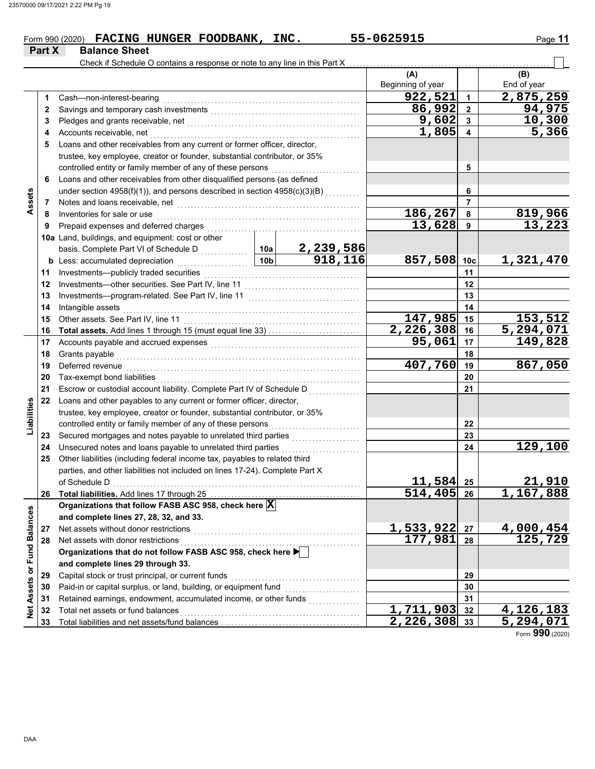#### Form 990 (2020) FACING HUNGER FOODBANK, INC.  $55-0625915$  Page 11 **FACING HUNGER FOODBANK, INC. 55-0625915**

|                             | Part X | <b>Balance Sheet</b>                                                                   |                                                                         |                                                                                                                           |                                 |                 |                           |  |  |  |  |  |
|-----------------------------|--------|----------------------------------------------------------------------------------------|-------------------------------------------------------------------------|---------------------------------------------------------------------------------------------------------------------------|---------------------------------|-----------------|---------------------------|--|--|--|--|--|
|                             |        | Check if Schedule O contains a response or note to any line in this Part X             |                                                                         |                                                                                                                           |                                 |                 |                           |  |  |  |  |  |
|                             |        |                                                                                        |                                                                         |                                                                                                                           | (A)                             |                 | (B)                       |  |  |  |  |  |
|                             |        |                                                                                        |                                                                         |                                                                                                                           | Beginning of year               |                 | End of year               |  |  |  |  |  |
|                             | 1      | Cash-non-interest-bearing                                                              |                                                                         |                                                                                                                           | 922,521                         | $\mathbf{1}$    | 2,875,259                 |  |  |  |  |  |
|                             | 2      |                                                                                        |                                                                         |                                                                                                                           | 86,992                          | $\overline{2}$  | 94,975                    |  |  |  |  |  |
|                             | 3      |                                                                                        |                                                                         |                                                                                                                           | 9,602                           | $\mathbf{3}$    | 10,300                    |  |  |  |  |  |
|                             | 4      | Accounts receivable, net                                                               |                                                                         |                                                                                                                           | 1,805                           | 4               | 5,366                     |  |  |  |  |  |
|                             | 5      | Loans and other receivables from any current or former officer, director,              |                                                                         |                                                                                                                           |                                 |                 |                           |  |  |  |  |  |
|                             |        | trustee, key employee, creator or founder, substantial contributor, or 35%             |                                                                         |                                                                                                                           |                                 | 5               |                           |  |  |  |  |  |
|                             |        | controlled entity or family member of any of these persons                             | Loans and other receivables from other disqualified persons (as defined |                                                                                                                           |                                 |                 |                           |  |  |  |  |  |
|                             | 6      |                                                                                        |                                                                         |                                                                                                                           |                                 |                 |                           |  |  |  |  |  |
|                             |        | under section 4958(f)(1)), and persons described in section 4958(c)(3)(B)              |                                                                         | 6<br>$\overline{7}$                                                                                                       |                                 |                 |                           |  |  |  |  |  |
| Assets                      | 7      | Notes and loans receivable, net<br>Inventories for sale or use                         |                                                                         | 186,267                                                                                                                   | 8                               | 819,966         |                           |  |  |  |  |  |
|                             | 8<br>9 | Prepaid expenses and deferred charges                                                  |                                                                         |                                                                                                                           | 13,628                          | 9               | 13,223                    |  |  |  |  |  |
|                             |        | 10a Land, buildings, and equipment: cost or other                                      |                                                                         |                                                                                                                           |                                 |                 |                           |  |  |  |  |  |
|                             |        | basis. Complete Part VI of Schedule D                                                  | 10a                                                                     |                                                                                                                           |                                 |                 |                           |  |  |  |  |  |
|                             |        | <b>b</b> Less: accumulated depreciation                                                | 10 <sub>b</sub>                                                         | 2,239,586<br>918,116                                                                                                      | 857,508                         | 10 <sub>c</sub> | 1,321,470                 |  |  |  |  |  |
|                             | 11     | .<br>Investments-publicly traded securities                                            |                                                                         |                                                                                                                           |                                 | 11              |                           |  |  |  |  |  |
|                             | 12     | Investments-other securities. See Part IV, line 11                                     |                                                                         |                                                                                                                           |                                 | 12              |                           |  |  |  |  |  |
|                             | 13     | Investments-program-related. See Part IV, line 11                                      |                                                                         |                                                                                                                           |                                 | 13              |                           |  |  |  |  |  |
|                             | 14     | Intangible assets                                                                      |                                                                         |                                                                                                                           |                                 | 14              |                           |  |  |  |  |  |
|                             | 15     | Other assets. See Part IV, line 11                                                     |                                                                         |                                                                                                                           | 147,985                         | 15              | 153,512                   |  |  |  |  |  |
|                             | 16     | <b>Total assets.</b> Add lines 1 through 15 (must equal line 33)                       |                                                                         |                                                                                                                           | 2,226,308                       | 16              | 5,294,071                 |  |  |  |  |  |
|                             | 17     | Accounts payable and accrued expenses                                                  |                                                                         | 95,061                                                                                                                    | 17                              | 149,828         |                           |  |  |  |  |  |
|                             | 18     | Grants payable                                                                         |                                                                         | 18                                                                                                                        |                                 |                 |                           |  |  |  |  |  |
|                             | 19     | Deferred revenue                                                                       |                                                                         |                                                                                                                           | 407,760                         | 19              | 867,050                   |  |  |  |  |  |
|                             | 20     | Tax-exempt bond liabilities                                                            |                                                                         |                                                                                                                           |                                 | 20              |                           |  |  |  |  |  |
|                             | 21     | Escrow or custodial account liability. Complete Part IV of Schedule D                  |                                                                         |                                                                                                                           |                                 | 21              |                           |  |  |  |  |  |
|                             | 22     | Loans and other payables to any current or former officer, director,                   |                                                                         |                                                                                                                           |                                 |                 |                           |  |  |  |  |  |
|                             |        | trustee, key employee, creator or founder, substantial contributor, or 35%             |                                                                         |                                                                                                                           |                                 |                 |                           |  |  |  |  |  |
| Liabilities                 |        | controlled entity or family member of any of these persons                             |                                                                         |                                                                                                                           |                                 | 22              |                           |  |  |  |  |  |
|                             | 23     | Secured mortgages and notes payable to unrelated third parties                         |                                                                         | <u> 1999 - Johann Stoff, martin Stoff, martin Stoff, martin Stoff, martin Stoff, martin Stoff, martin Stoff, martin S</u> |                                 | 23              |                           |  |  |  |  |  |
|                             | 24     | Unsecured notes and loans payable to unrelated third parties                           |                                                                         |                                                                                                                           |                                 | 24              | 129,100                   |  |  |  |  |  |
|                             | 25     | Other liabilities (including federal income tax, payables to related third             |                                                                         |                                                                                                                           |                                 |                 |                           |  |  |  |  |  |
|                             |        | parties, and other liabilities not included on lines 17-24). Complete Part X           |                                                                         |                                                                                                                           |                                 |                 |                           |  |  |  |  |  |
|                             |        | of Schedule D                                                                          |                                                                         |                                                                                                                           | <u>11,584 </u><br>$514, 405$ 26 | ${\bf 25}$      | 21,910<br>1,167,888       |  |  |  |  |  |
|                             | 26     | Organizations that follow FASB ASC 958, check here $\vert \overline{\mathrm{X}} \vert$ |                                                                         |                                                                                                                           |                                 |                 |                           |  |  |  |  |  |
|                             |        | and complete lines 27, 28, 32, and 33.                                                 |                                                                         |                                                                                                                           |                                 |                 |                           |  |  |  |  |  |
|                             | 27     | Net assets without donor restrictions                                                  |                                                                         |                                                                                                                           | 1,533,922                       | 27              | 4,000,454                 |  |  |  |  |  |
|                             | 28     | Net assets with donor restrictions                                                     |                                                                         |                                                                                                                           | 177,981                         | 28              | 125,729                   |  |  |  |  |  |
|                             |        | Organizations that do not follow FASB ASC 958, check here                              |                                                                         |                                                                                                                           |                                 |                 |                           |  |  |  |  |  |
|                             |        | and complete lines 29 through 33.                                                      |                                                                         |                                                                                                                           |                                 |                 |                           |  |  |  |  |  |
|                             | 29     | Capital stock or trust principal, or current funds                                     |                                                                         |                                                                                                                           |                                 | 29              |                           |  |  |  |  |  |
|                             | 30     | Paid-in or capital surplus, or land, building, or equipment fund                       |                                                                         |                                                                                                                           |                                 | 30              |                           |  |  |  |  |  |
|                             | 31     | Retained earnings, endowment, accumulated income, or other funds                       |                                                                         | and a complete the second service of                                                                                      |                                 | 31              |                           |  |  |  |  |  |
| Net Assets or Fund Balances | 32     | Total net assets or fund balances                                                      |                                                                         |                                                                                                                           | $\overline{1,711,903}$          | 32              | $\overline{4}$ , 126, 183 |  |  |  |  |  |
|                             | 33     |                                                                                        |                                                                         |                                                                                                                           | 2,226,308                       | 33              | 5,294,071                 |  |  |  |  |  |

Form **990** (2020)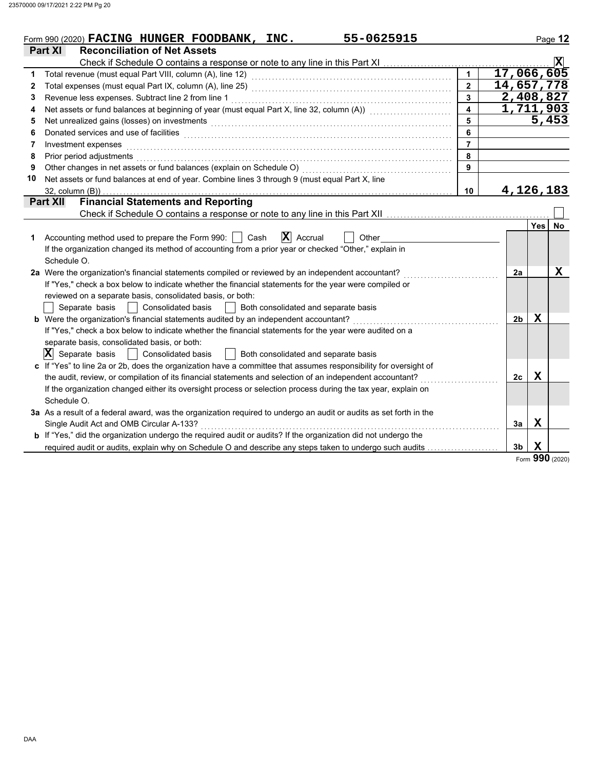|              | 55-0625915<br>Form 990 (2020) FACING HUNGER FOODBANK, INC.                                                                                                                                                                    |                         |                         |                 | Page 12 |
|--------------|-------------------------------------------------------------------------------------------------------------------------------------------------------------------------------------------------------------------------------|-------------------------|-------------------------|-----------------|---------|
|              | <b>Reconciliation of Net Assets</b><br><b>Part XI</b>                                                                                                                                                                         |                         |                         |                 |         |
|              | Check if Schedule O contains a response or note to any line in this Part XI                                                                                                                                                   |                         |                         |                 | x       |
| 1            | Total revenue (must equal Part VIII, column (A), line 12)                                                                                                                                                                     | $\mathbf{1}$            | 17,066,605              |                 |         |
| $\mathbf{2}$ |                                                                                                                                                                                                                               | $\overline{2}$          | 14,657,778              |                 |         |
| 3            | Revenue less expenses. Subtract line 2 from line 1                                                                                                                                                                            | $\overline{3}$          | $\overline{2,}$ 408,827 |                 |         |
| 4            | Net assets or fund balances at beginning of year (must equal Part X, line 32, column (A)) [[[[[[[[[[[[[[[[[[[                                                                                                                 | $\overline{\mathbf{4}}$ | 1,711,903               |                 |         |
| 5            | Net unrealized gains (losses) on investments [11] with the content of the content of the state of the content of the content of the content of the content of the content of the content of the content of the content of the | 5                       |                         |                 | 5,453   |
| 6            | Donated services and use of facilities <b>constructs</b> and the construction of the service of facilities <b>constructs</b>                                                                                                  | 6                       |                         |                 |         |
| 7            | Investment expenses                                                                                                                                                                                                           | $\overline{7}$          |                         |                 |         |
| 8            | Prior period adjustments                                                                                                                                                                                                      | 8                       |                         |                 |         |
| 9            | Other changes in net assets or fund balances (explain on Schedule O)                                                                                                                                                          | 9                       |                         |                 |         |
| 10           | Net assets or fund balances at end of year. Combine lines 3 through 9 (must equal Part X, line                                                                                                                                |                         |                         |                 |         |
|              | 32, column (B))                                                                                                                                                                                                               | 10                      | 4,126,183               |                 |         |
|              | <b>Financial Statements and Reporting</b><br><b>Part XII</b>                                                                                                                                                                  |                         |                         |                 |         |
|              |                                                                                                                                                                                                                               |                         |                         |                 |         |
|              |                                                                                                                                                                                                                               |                         |                         | Yes             | No      |
| 1.           | $\mathbf{X}$ Accrual<br>Accounting method used to prepare the Form 990:  <br>Cash<br>Other                                                                                                                                    |                         |                         |                 |         |
|              | If the organization changed its method of accounting from a prior year or checked "Other," explain in                                                                                                                         |                         |                         |                 |         |
|              | Schedule O.                                                                                                                                                                                                                   |                         |                         |                 |         |
|              | 2a Were the organization's financial statements compiled or reviewed by an independent accountant?                                                                                                                            |                         | 2a                      |                 | Х       |
|              | If "Yes," check a box below to indicate whether the financial statements for the year were compiled or                                                                                                                        |                         |                         |                 |         |
|              | reviewed on a separate basis, consolidated basis, or both:                                                                                                                                                                    |                         |                         |                 |         |
|              | Separate basis<br><b>Consolidated basis</b><br>Both consolidated and separate basis                                                                                                                                           |                         |                         |                 |         |
|              | b Were the organization's financial statements audited by an independent accountant?                                                                                                                                          |                         | 2 <sub>b</sub>          | Х               |         |
|              | If "Yes," check a box below to indicate whether the financial statements for the year were audited on a                                                                                                                       |                         |                         |                 |         |
|              | separate basis, consolidated basis, or both:                                                                                                                                                                                  |                         |                         |                 |         |
|              | $ \mathbf{X} $<br>Separate basis<br><b>Consolidated basis</b><br>Both consolidated and separate basis                                                                                                                         |                         |                         |                 |         |
|              | c If "Yes" to line 2a or 2b, does the organization have a committee that assumes responsibility for oversight of                                                                                                              |                         |                         |                 |         |
|              | the audit, review, or compilation of its financial statements and selection of an independent accountant?                                                                                                                     |                         | 2 <sub>c</sub>          | $\mathbf X$     |         |
|              | If the organization changed either its oversight process or selection process during the tax year, explain on                                                                                                                 |                         |                         |                 |         |
|              | Schedule O.                                                                                                                                                                                                                   |                         |                         |                 |         |
|              | 3a As a result of a federal award, was the organization required to undergo an audit or audits as set forth in the                                                                                                            |                         |                         |                 |         |
|              | Single Audit Act and OMB Circular A-133?                                                                                                                                                                                      |                         | 3a                      | $\mathbf X$     |         |
|              | <b>b</b> If "Yes," did the organization undergo the required audit or audits? If the organization did not undergo the                                                                                                         |                         |                         |                 |         |
|              |                                                                                                                                                                                                                               |                         | 3 <sub>b</sub>          | Х               |         |
|              |                                                                                                                                                                                                                               |                         |                         | Form 990 (2020) |         |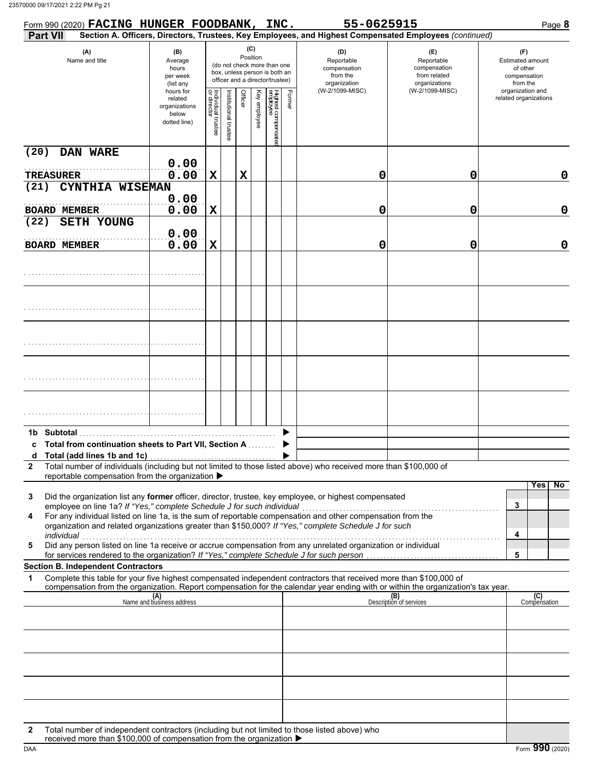23570000 09/17/2021 2:22 PM Pg 21

|        | Form 990 (2020) FACING HUNGER FOODBANK, INC.<br><b>Part VII</b>                                                                                                                                                                                                                                              |                                                                |                                   |                       |         |                 |                                                                                                 |        | 55-0625915<br>Section A. Officers, Directors, Trustees, Key Employees, and Highest Compensated Employees (continued) |                                                                    | Page 8                                                          |
|--------|--------------------------------------------------------------------------------------------------------------------------------------------------------------------------------------------------------------------------------------------------------------------------------------------------------------|----------------------------------------------------------------|-----------------------------------|-----------------------|---------|-----------------|-------------------------------------------------------------------------------------------------|--------|----------------------------------------------------------------------------------------------------------------------|--------------------------------------------------------------------|-----------------------------------------------------------------|
|        | (A)<br>Name and title                                                                                                                                                                                                                                                                                        | (B)<br>Average<br>hours<br>per week<br>(list any               |                                   |                       |         | (C)<br>Position | (do not check more than one<br>box, unless person is both an<br>officer and a director/trustee) |        | (D)<br>Reportable<br>compensation<br>from the<br>organization                                                        | (E)<br>Reportable<br>compensation<br>from related<br>organizations | (F)<br>Estimated amount<br>of other<br>compensation<br>from the |
|        |                                                                                                                                                                                                                                                                                                              | hours for<br>related<br>organizations<br>below<br>dotted line) | Individual trustee<br>or director | institutional trustee | Officer | Key employee    | Highest compensate<br>employee                                                                  | Former | (W-2/1099-MISC)                                                                                                      | (W-2/1099-MISC)                                                    | organization and<br>related organizations                       |
| (20)   | DAN WARE                                                                                                                                                                                                                                                                                                     |                                                                |                                   |                       |         |                 |                                                                                                 |        |                                                                                                                      |                                                                    |                                                                 |
|        | <b>TREASURER</b>                                                                                                                                                                                                                                                                                             | 0.00<br>0.00                                                   | $\mathbf x$                       |                       | X       |                 |                                                                                                 |        | 0                                                                                                                    | 0                                                                  | 0                                                               |
| (21)   | CYNTHIA WISEMAN                                                                                                                                                                                                                                                                                              |                                                                |                                   |                       |         |                 |                                                                                                 |        |                                                                                                                      |                                                                    |                                                                 |
|        |                                                                                                                                                                                                                                                                                                              | 0.00                                                           |                                   |                       |         |                 |                                                                                                 |        |                                                                                                                      |                                                                    |                                                                 |
| (22)   | <b>BOARD MEMBER</b><br><b>SETH YOUNG</b>                                                                                                                                                                                                                                                                     | 0.00                                                           | X                                 |                       |         |                 |                                                                                                 |        | 0                                                                                                                    | 0                                                                  | 0                                                               |
|        | <b>BOARD MEMBER</b>                                                                                                                                                                                                                                                                                          | 0.00<br>0.00                                                   | X                                 |                       |         |                 |                                                                                                 |        | 0                                                                                                                    | 0                                                                  | 0                                                               |
|        |                                                                                                                                                                                                                                                                                                              |                                                                |                                   |                       |         |                 |                                                                                                 |        |                                                                                                                      |                                                                    |                                                                 |
|        |                                                                                                                                                                                                                                                                                                              |                                                                |                                   |                       |         |                 |                                                                                                 |        |                                                                                                                      |                                                                    |                                                                 |
|        |                                                                                                                                                                                                                                                                                                              |                                                                |                                   |                       |         |                 |                                                                                                 |        |                                                                                                                      |                                                                    |                                                                 |
|        |                                                                                                                                                                                                                                                                                                              |                                                                |                                   |                       |         |                 |                                                                                                 |        |                                                                                                                      |                                                                    |                                                                 |
|        |                                                                                                                                                                                                                                                                                                              |                                                                |                                   |                       |         |                 |                                                                                                 |        |                                                                                                                      |                                                                    |                                                                 |
|        |                                                                                                                                                                                                                                                                                                              |                                                                |                                   |                       |         |                 |                                                                                                 |        |                                                                                                                      |                                                                    |                                                                 |
|        | c Total from continuation sheets to Part VII, Section A                                                                                                                                                                                                                                                      |                                                                |                                   |                       |         |                 |                                                                                                 |        |                                                                                                                      |                                                                    |                                                                 |
| d<br>2 | Total (add lines 1b and 1c)<br>Total number of individuals (including but not limited to those listed above) who received more than \$100,000 of                                                                                                                                                             |                                                                |                                   |                       |         |                 |                                                                                                 |        |                                                                                                                      |                                                                    |                                                                 |
|        | reportable compensation from the organization ▶                                                                                                                                                                                                                                                              |                                                                |                                   |                       |         |                 |                                                                                                 |        |                                                                                                                      |                                                                    | Yes<br>No.                                                      |
| 3      | Did the organization list any former officer, director, trustee, key employee, or highest compensated                                                                                                                                                                                                        |                                                                |                                   |                       |         |                 |                                                                                                 |        |                                                                                                                      |                                                                    |                                                                 |
| 4      | employee on line 1a? If "Yes," complete Schedule J for such individual<br>For any individual listed on line 1a, is the sum of reportable compensation and other compensation from the<br>organization and related organizations greater than \$150,000? If "Yes," complete Schedule J for such<br>individual |                                                                |                                   |                       |         |                 |                                                                                                 |        |                                                                                                                      |                                                                    | 3<br>4                                                          |
| 5      | Did any person listed on line 1a receive or accrue compensation from any unrelated organization or individual<br>for services rendered to the organization? If "Yes," complete Schedule J for such person                                                                                                    |                                                                |                                   |                       |         |                 |                                                                                                 |        |                                                                                                                      |                                                                    | 5                                                               |
|        | <b>Section B. Independent Contractors</b>                                                                                                                                                                                                                                                                    |                                                                |                                   |                       |         |                 |                                                                                                 |        |                                                                                                                      |                                                                    |                                                                 |
| 1      | Complete this table for your five highest compensated independent contractors that received more than \$100,000 of<br>compensation from the organization. Report compensation for the calendar year ending with or within the organization's tax year.                                                       |                                                                |                                   |                       |         |                 |                                                                                                 |        |                                                                                                                      |                                                                    |                                                                 |
|        |                                                                                                                                                                                                                                                                                                              | (A)<br>Name and business address                               |                                   |                       |         |                 |                                                                                                 |        |                                                                                                                      | (B)<br>Description of services                                     | (C)<br>Compensation                                             |
|        |                                                                                                                                                                                                                                                                                                              |                                                                |                                   |                       |         |                 |                                                                                                 |        |                                                                                                                      |                                                                    |                                                                 |
|        |                                                                                                                                                                                                                                                                                                              |                                                                |                                   |                       |         |                 |                                                                                                 |        |                                                                                                                      |                                                                    |                                                                 |
|        |                                                                                                                                                                                                                                                                                                              |                                                                |                                   |                       |         |                 |                                                                                                 |        |                                                                                                                      |                                                                    |                                                                 |
|        |                                                                                                                                                                                                                                                                                                              |                                                                |                                   |                       |         |                 |                                                                                                 |        |                                                                                                                      |                                                                    |                                                                 |
| 2      | Total number of independent contractors (including but not limited to those listed above) who                                                                                                                                                                                                                |                                                                |                                   |                       |         |                 |                                                                                                 |        |                                                                                                                      |                                                                    |                                                                 |

DAA Form **990** (2020) received more than \$100,000 of compensation from the organization  $\blacktriangleright$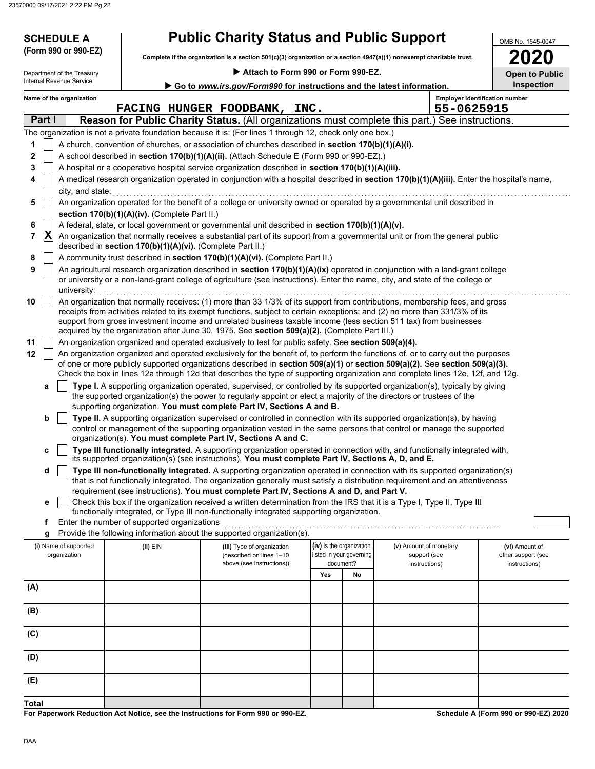| <b>SCHEDULE A</b>               |                                                                                                                                                                                                                                                                 | <b>Public Charity Status and Public Support</b>                                                                                                                                                                                                                |                          |                        | OMB No. 1545-0047                     |  |  |  |  |  |  |  |
|---------------------------------|-----------------------------------------------------------------------------------------------------------------------------------------------------------------------------------------------------------------------------------------------------------------|----------------------------------------------------------------------------------------------------------------------------------------------------------------------------------------------------------------------------------------------------------------|--------------------------|------------------------|---------------------------------------|--|--|--|--|--|--|--|
| (Form 990 or 990-EZ)            |                                                                                                                                                                                                                                                                 | Complete if the organization is a section 501(c)(3) organization or a section 4947(a)(1) nonexempt charitable trust.                                                                                                                                           |                          |                        | 2020                                  |  |  |  |  |  |  |  |
| Department of the Treasury      |                                                                                                                                                                                                                                                                 | Attach to Form 990 or Form 990-EZ.                                                                                                                                                                                                                             |                          |                        |                                       |  |  |  |  |  |  |  |
| <b>Internal Revenue Service</b> |                                                                                                                                                                                                                                                                 | Go to www.irs.gov/Form990 for instructions and the latest information.                                                                                                                                                                                         |                          |                        | <b>Open to Public</b><br>Inspection   |  |  |  |  |  |  |  |
| Name of the organization        |                                                                                                                                                                                                                                                                 |                                                                                                                                                                                                                                                                |                          |                        | <b>Employer identification number</b> |  |  |  |  |  |  |  |
|                                 |                                                                                                                                                                                                                                                                 | FACING HUNGER FOODBANK, INC.                                                                                                                                                                                                                                   |                          | 55-0625915             |                                       |  |  |  |  |  |  |  |
| Part I                          |                                                                                                                                                                                                                                                                 | Reason for Public Charity Status. (All organizations must complete this part.) See instructions.                                                                                                                                                               |                          |                        |                                       |  |  |  |  |  |  |  |
|                                 |                                                                                                                                                                                                                                                                 | The organization is not a private foundation because it is: (For lines 1 through 12, check only one box.)                                                                                                                                                      |                          |                        |                                       |  |  |  |  |  |  |  |
| 1                               |                                                                                                                                                                                                                                                                 | A church, convention of churches, or association of churches described in section 170(b)(1)(A)(i).                                                                                                                                                             |                          |                        |                                       |  |  |  |  |  |  |  |
| $\mathbf 2$                     |                                                                                                                                                                                                                                                                 | A school described in section 170(b)(1)(A)(ii). (Attach Schedule E (Form 990 or 990-EZ).)                                                                                                                                                                      |                          |                        |                                       |  |  |  |  |  |  |  |
| 3                               |                                                                                                                                                                                                                                                                 | A hospital or a cooperative hospital service organization described in section 170(b)(1)(A)(iii).                                                                                                                                                              |                          |                        |                                       |  |  |  |  |  |  |  |
| 4<br>city, and state:           |                                                                                                                                                                                                                                                                 | A medical research organization operated in conjunction with a hospital described in section 170(b)(1)(A)(iii). Enter the hospital's name,                                                                                                                     |                          |                        |                                       |  |  |  |  |  |  |  |
| 5                               |                                                                                                                                                                                                                                                                 | An organization operated for the benefit of a college or university owned or operated by a governmental unit described in                                                                                                                                      |                          |                        |                                       |  |  |  |  |  |  |  |
|                                 | section 170(b)(1)(A)(iv). (Complete Part II.)                                                                                                                                                                                                                   |                                                                                                                                                                                                                                                                |                          |                        |                                       |  |  |  |  |  |  |  |
| 6                               |                                                                                                                                                                                                                                                                 | A federal, state, or local government or governmental unit described in section 170(b)(1)(A)(v).                                                                                                                                                               |                          |                        |                                       |  |  |  |  |  |  |  |
| $ \mathbf{X} $<br>7             |                                                                                                                                                                                                                                                                 | An organization that normally receives a substantial part of its support from a governmental unit or from the general public                                                                                                                                   |                          |                        |                                       |  |  |  |  |  |  |  |
|                                 | described in section 170(b)(1)(A)(vi). (Complete Part II.)                                                                                                                                                                                                      |                                                                                                                                                                                                                                                                |                          |                        |                                       |  |  |  |  |  |  |  |
| 8<br>9                          |                                                                                                                                                                                                                                                                 | A community trust described in section 170(b)(1)(A)(vi). (Complete Part II.)                                                                                                                                                                                   |                          |                        |                                       |  |  |  |  |  |  |  |
| university:                     | An agricultural research organization described in section 170(b)(1)(A)(ix) operated in conjunction with a land-grant college<br>or university or a non-land-grant college of agriculture (see instructions). Enter the name, city, and state of the college or |                                                                                                                                                                                                                                                                |                          |                        |                                       |  |  |  |  |  |  |  |
| 10                              |                                                                                                                                                                                                                                                                 | An organization that normally receives: (1) more than 33 1/3% of its support from contributions, membership fees, and gross                                                                                                                                    |                          |                        |                                       |  |  |  |  |  |  |  |
|                                 |                                                                                                                                                                                                                                                                 | receipts from activities related to its exempt functions, subject to certain exceptions; and (2) no more than 331/3% of its<br>support from gross investment income and unrelated business taxable income (less section 511 tax) from businesses               |                          |                        |                                       |  |  |  |  |  |  |  |
|                                 |                                                                                                                                                                                                                                                                 | acquired by the organization after June 30, 1975. See section 509(a)(2). (Complete Part III.)                                                                                                                                                                  |                          |                        |                                       |  |  |  |  |  |  |  |
| 11                              |                                                                                                                                                                                                                                                                 | An organization organized and operated exclusively to test for public safety. See section 509(a)(4).                                                                                                                                                           |                          |                        |                                       |  |  |  |  |  |  |  |
| 12                              |                                                                                                                                                                                                                                                                 | An organization organized and operated exclusively for the benefit of, to perform the functions of, or to carry out the purposes                                                                                                                               |                          |                        |                                       |  |  |  |  |  |  |  |
|                                 |                                                                                                                                                                                                                                                                 | of one or more publicly supported organizations described in section 509(a)(1) or section 509(a)(2). See section 509(a)(3).<br>Check the box in lines 12a through 12d that describes the type of supporting organization and complete lines 12e, 12f, and 12g. |                          |                        |                                       |  |  |  |  |  |  |  |
| а                               |                                                                                                                                                                                                                                                                 | Type I. A supporting organization operated, supervised, or controlled by its supported organization(s), typically by giving                                                                                                                                    |                          |                        |                                       |  |  |  |  |  |  |  |
|                                 |                                                                                                                                                                                                                                                                 | the supported organization(s) the power to regularly appoint or elect a majority of the directors or trustees of the                                                                                                                                           |                          |                        |                                       |  |  |  |  |  |  |  |
|                                 |                                                                                                                                                                                                                                                                 | supporting organization. You must complete Part IV, Sections A and B.                                                                                                                                                                                          |                          |                        |                                       |  |  |  |  |  |  |  |
| b                               |                                                                                                                                                                                                                                                                 | Type II. A supporting organization supervised or controlled in connection with its supported organization(s), by having                                                                                                                                        |                          |                        |                                       |  |  |  |  |  |  |  |
|                                 |                                                                                                                                                                                                                                                                 | control or management of the supporting organization vested in the same persons that control or manage the supported<br>organization(s). You must complete Part IV, Sections A and C.                                                                          |                          |                        |                                       |  |  |  |  |  |  |  |
| c                               |                                                                                                                                                                                                                                                                 | Type III functionally integrated. A supporting organization operated in connection with, and functionally integrated with,                                                                                                                                     |                          |                        |                                       |  |  |  |  |  |  |  |
|                                 |                                                                                                                                                                                                                                                                 | its supported organization(s) (see instructions). You must complete Part IV, Sections A, D, and E.                                                                                                                                                             |                          |                        |                                       |  |  |  |  |  |  |  |
| d                               |                                                                                                                                                                                                                                                                 | Type III non-functionally integrated. A supporting organization operated in connection with its supported organization(s)                                                                                                                                      |                          |                        |                                       |  |  |  |  |  |  |  |
|                                 |                                                                                                                                                                                                                                                                 | that is not functionally integrated. The organization generally must satisfy a distribution requirement and an attentiveness<br>requirement (see instructions). You must complete Part IV, Sections A and D, and Part V.                                       |                          |                        |                                       |  |  |  |  |  |  |  |
| е                               |                                                                                                                                                                                                                                                                 | Check this box if the organization received a written determination from the IRS that it is a Type I, Type II, Type III                                                                                                                                        |                          |                        |                                       |  |  |  |  |  |  |  |
|                                 |                                                                                                                                                                                                                                                                 | functionally integrated, or Type III non-functionally integrated supporting organization.                                                                                                                                                                      |                          |                        |                                       |  |  |  |  |  |  |  |
| f                               | Enter the number of supported organizations                                                                                                                                                                                                                     |                                                                                                                                                                                                                                                                |                          |                        |                                       |  |  |  |  |  |  |  |
| g<br>(i) Name of supported      | (ii) EIN                                                                                                                                                                                                                                                        | Provide the following information about the supported organization(s).                                                                                                                                                                                         | (iv) Is the organization | (v) Amount of monetary | (vi) Amount of                        |  |  |  |  |  |  |  |
| organization                    |                                                                                                                                                                                                                                                                 | (iii) Type of organization<br>(described on lines 1-10                                                                                                                                                                                                         | listed in your governing | support (see           | other support (see                    |  |  |  |  |  |  |  |
|                                 |                                                                                                                                                                                                                                                                 | above (see instructions))                                                                                                                                                                                                                                      | document?                | instructions)          | instructions)                         |  |  |  |  |  |  |  |
|                                 |                                                                                                                                                                                                                                                                 |                                                                                                                                                                                                                                                                | Yes<br>No                |                        |                                       |  |  |  |  |  |  |  |
| (A)                             |                                                                                                                                                                                                                                                                 |                                                                                                                                                                                                                                                                |                          |                        |                                       |  |  |  |  |  |  |  |
| (B)                             |                                                                                                                                                                                                                                                                 |                                                                                                                                                                                                                                                                |                          |                        |                                       |  |  |  |  |  |  |  |
|                                 |                                                                                                                                                                                                                                                                 |                                                                                                                                                                                                                                                                |                          |                        |                                       |  |  |  |  |  |  |  |
| (C)                             |                                                                                                                                                                                                                                                                 |                                                                                                                                                                                                                                                                |                          |                        |                                       |  |  |  |  |  |  |  |
|                                 |                                                                                                                                                                                                                                                                 |                                                                                                                                                                                                                                                                |                          |                        |                                       |  |  |  |  |  |  |  |
| (D)                             |                                                                                                                                                                                                                                                                 |                                                                                                                                                                                                                                                                |                          |                        |                                       |  |  |  |  |  |  |  |
|                                 |                                                                                                                                                                                                                                                                 |                                                                                                                                                                                                                                                                |                          |                        |                                       |  |  |  |  |  |  |  |
| (E)                             |                                                                                                                                                                                                                                                                 |                                                                                                                                                                                                                                                                |                          |                        |                                       |  |  |  |  |  |  |  |
| <b>Total</b>                    |                                                                                                                                                                                                                                                                 |                                                                                                                                                                                                                                                                |                          |                        |                                       |  |  |  |  |  |  |  |

**For Paperwork Reduction Act Notice, see the Instructions for Form 990 or 990-EZ.**

**Schedule A (Form 990 or 990-EZ) 2020**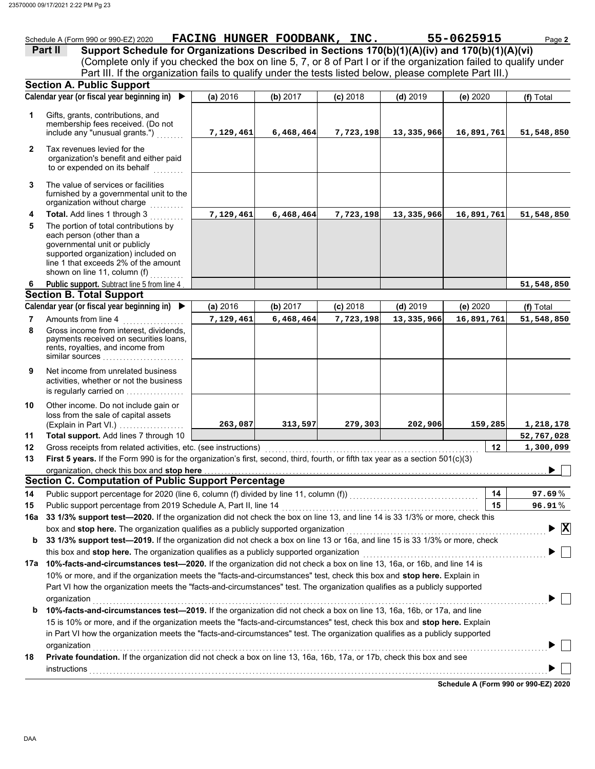|              | Schedule A (Form 990 or 990-EZ) 2020                                                                                                                                                                                  | FACING HUNGER FOODBANK, INC. |           |            |            | 55-0625915 | Page 2                                        |  |  |  |  |  |
|--------------|-----------------------------------------------------------------------------------------------------------------------------------------------------------------------------------------------------------------------|------------------------------|-----------|------------|------------|------------|-----------------------------------------------|--|--|--|--|--|
|              | Support Schedule for Organizations Described in Sections 170(b)(1)(A)(iv) and 170(b)(1)(A)(vi)<br>Part II                                                                                                             |                              |           |            |            |            |                                               |  |  |  |  |  |
|              | (Complete only if you checked the box on line 5, 7, or 8 of Part I or if the organization failed to qualify under                                                                                                     |                              |           |            |            |            |                                               |  |  |  |  |  |
|              | Part III. If the organization fails to qualify under the tests listed below, please complete Part III.)                                                                                                               |                              |           |            |            |            |                                               |  |  |  |  |  |
|              | <b>Section A. Public Support</b>                                                                                                                                                                                      |                              |           |            |            |            |                                               |  |  |  |  |  |
|              | Calendar year (or fiscal year beginning in) $\blacktriangleright$                                                                                                                                                     | (a) 2016                     | (b) 2017  | $(c)$ 2018 | $(d)$ 2019 | (e) 2020   | (f) Total                                     |  |  |  |  |  |
| 1            | Gifts, grants, contributions, and                                                                                                                                                                                     |                              |           |            |            |            |                                               |  |  |  |  |  |
|              | membership fees received. (Do not                                                                                                                                                                                     |                              |           |            |            |            |                                               |  |  |  |  |  |
|              | include any "unusual grants.")                                                                                                                                                                                        | 7,129,461                    | 6,468,464 | 7,723,198  | 13,335,966 | 16,891,761 | 51,548,850                                    |  |  |  |  |  |
| $\mathbf{2}$ | Tax revenues levied for the                                                                                                                                                                                           |                              |           |            |            |            |                                               |  |  |  |  |  |
|              | organization's benefit and either paid                                                                                                                                                                                |                              |           |            |            |            |                                               |  |  |  |  |  |
|              | to or expended on its behalf                                                                                                                                                                                          |                              |           |            |            |            |                                               |  |  |  |  |  |
| 3            | The value of services or facilities                                                                                                                                                                                   |                              |           |            |            |            |                                               |  |  |  |  |  |
|              | furnished by a governmental unit to the                                                                                                                                                                               |                              |           |            |            |            |                                               |  |  |  |  |  |
|              | organization without charge                                                                                                                                                                                           |                              |           |            |            |            |                                               |  |  |  |  |  |
| 4<br>5       | Total. Add lines 1 through 3                                                                                                                                                                                          | 7,129,461                    | 6,468,464 | 7,723,198  | 13,335,966 | 16,891,761 | 51,548,850                                    |  |  |  |  |  |
|              | The portion of total contributions by<br>each person (other than a                                                                                                                                                    |                              |           |            |            |            |                                               |  |  |  |  |  |
|              | governmental unit or publicly                                                                                                                                                                                         |                              |           |            |            |            |                                               |  |  |  |  |  |
|              | supported organization) included on                                                                                                                                                                                   |                              |           |            |            |            |                                               |  |  |  |  |  |
|              | line 1 that exceeds 2% of the amount<br>shown on line 11, column (f)                                                                                                                                                  |                              |           |            |            |            |                                               |  |  |  |  |  |
| 6            | Public support. Subtract line 5 from line 4                                                                                                                                                                           |                              |           |            |            |            | 51,548,850                                    |  |  |  |  |  |
|              | <b>Section B. Total Support</b>                                                                                                                                                                                       |                              |           |            |            |            |                                               |  |  |  |  |  |
|              | Calendar year (or fiscal year beginning in)                                                                                                                                                                           | (a) 2016                     | (b) 2017  | $(c)$ 2018 | $(d)$ 2019 | (e) 2020   | (f) Total                                     |  |  |  |  |  |
| 7            | Amounts from line 4                                                                                                                                                                                                   | 7,129,461                    | 6,468,464 | 7,723,198  | 13,335,966 | 16,891,761 | 51,548,850                                    |  |  |  |  |  |
| 8            | Gross income from interest, dividends,                                                                                                                                                                                |                              |           |            |            |            |                                               |  |  |  |  |  |
|              | payments received on securities loans,                                                                                                                                                                                |                              |           |            |            |            |                                               |  |  |  |  |  |
|              | rents, royalties, and income from<br>similar sources                                                                                                                                                                  |                              |           |            |            |            |                                               |  |  |  |  |  |
|              | Net income from unrelated business                                                                                                                                                                                    |                              |           |            |            |            |                                               |  |  |  |  |  |
| 9            | activities, whether or not the business                                                                                                                                                                               |                              |           |            |            |            |                                               |  |  |  |  |  |
|              | is regularly carried on                                                                                                                                                                                               |                              |           |            |            |            |                                               |  |  |  |  |  |
| 10           | Other income. Do not include gain or                                                                                                                                                                                  |                              |           |            |            |            |                                               |  |  |  |  |  |
|              | loss from the sale of capital assets                                                                                                                                                                                  |                              |           |            |            |            |                                               |  |  |  |  |  |
|              | (Explain in Part VI.)                                                                                                                                                                                                 | 263,087                      | 313,597   | 279,303    | 202,906    | 159,285    | 1,218,178                                     |  |  |  |  |  |
| 11           | Total support. Add lines 7 through 10                                                                                                                                                                                 |                              |           |            |            |            | 52,767,028                                    |  |  |  |  |  |
| 12           | Gross receipts from related activities, etc. (see instructions)                                                                                                                                                       |                              |           |            |            | 12         | 1,300,099                                     |  |  |  |  |  |
| 13           | First 5 years. If the Form 990 is for the organization's first, second, third, fourth, or fifth tax year as a section 501(c)(3)                                                                                       |                              |           |            |            |            |                                               |  |  |  |  |  |
|              | organization, check this box and stop here <b>construction and an intervention of the construction</b> of the construction of                                                                                         |                              |           |            |            |            |                                               |  |  |  |  |  |
|              | <b>Section C. Computation of Public Support Percentage</b>                                                                                                                                                            |                              |           |            |            |            |                                               |  |  |  |  |  |
| 14           | Public support percentage for 2020 (line 6, column (f) divided by line 11, column (f)) [[[[[[[[[[[[[[[[[[[[[[                                                                                                         |                              |           |            |            | 14         | 97.69%                                        |  |  |  |  |  |
| 15           | Public support percentage from 2019 Schedule A, Part II, line 14                                                                                                                                                      |                              |           |            |            | 15         | 96.91%                                        |  |  |  |  |  |
| 16a          | 33 1/3% support test-2020. If the organization did not check the box on line 13, and line 14 is 33 1/3% or more, check this                                                                                           |                              |           |            |            |            |                                               |  |  |  |  |  |
|              | box and stop here. The organization qualifies as a publicly supported organization                                                                                                                                    |                              |           |            |            |            | $\blacktriangleright$ $\overline{\mathbf{X}}$ |  |  |  |  |  |
| b            | 33 1/3% support test-2019. If the organization did not check a box on line 13 or 16a, and line 15 is 33 1/3% or more, check                                                                                           |                              |           |            |            |            |                                               |  |  |  |  |  |
|              | this box and stop here. The organization qualifies as a publicly supported organization<br>17a 10%-facts-and-circumstances test-2020. If the organization did not check a box on line 13, 16a, or 16b, and line 14 is |                              |           |            |            |            |                                               |  |  |  |  |  |
|              | 10% or more, and if the organization meets the "facts-and-circumstances" test, check this box and stop here. Explain in                                                                                               |                              |           |            |            |            |                                               |  |  |  |  |  |
|              |                                                                                                                                                                                                                       |                              |           |            |            |            |                                               |  |  |  |  |  |
|              | Part VI how the organization meets the "facts-and-circumstances" test. The organization qualifies as a publicly supported<br>organization                                                                             |                              |           |            |            |            |                                               |  |  |  |  |  |
| b            | 10%-facts-and-circumstances test-2019. If the organization did not check a box on line 13, 16a, 16b, or 17a, and line                                                                                                 |                              |           |            |            |            |                                               |  |  |  |  |  |
|              | 15 is 10% or more, and if the organization meets the "facts-and-circumstances" test, check this box and stop here. Explain                                                                                            |                              |           |            |            |            |                                               |  |  |  |  |  |
|              | in Part VI how the organization meets the "facts-and-circumstances" test. The organization qualifies as a publicly supported                                                                                          |                              |           |            |            |            |                                               |  |  |  |  |  |
|              | organization                                                                                                                                                                                                          |                              |           |            |            |            |                                               |  |  |  |  |  |
| 18           | Private foundation. If the organization did not check a box on line 13, 16a, 16b, 17a, or 17b, check this box and see                                                                                                 |                              |           |            |            |            |                                               |  |  |  |  |  |
|              | instructions                                                                                                                                                                                                          |                              |           |            |            |            |                                               |  |  |  |  |  |
|              |                                                                                                                                                                                                                       |                              |           |            |            |            |                                               |  |  |  |  |  |

**Schedule A (Form 990 or 990-EZ) 2020**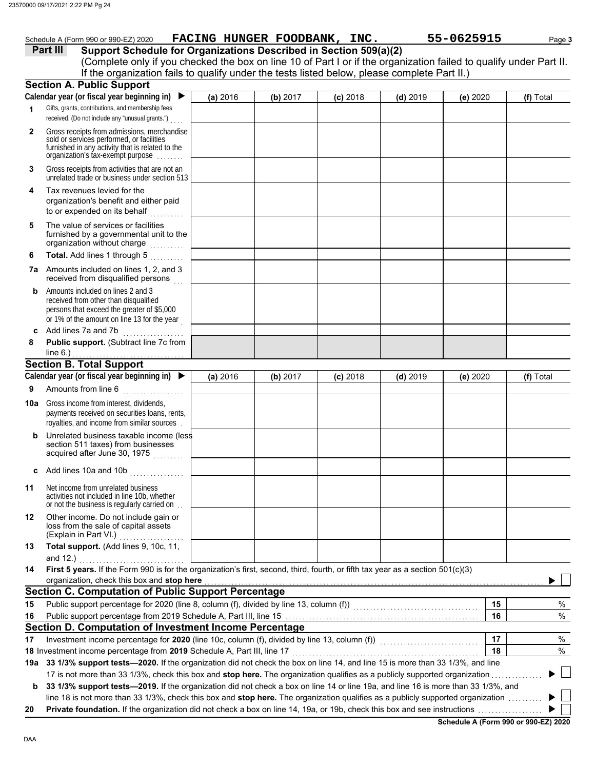| Schedule A (Form 990 or 990-EZ) 2020 |  |  | <b>FACING</b> | HUNGER FOODBANK, |  |  | INC. | 55-0625915 | Page 3 |
|--------------------------------------|--|--|---------------|------------------|--|--|------|------------|--------|
|                                      |  |  |               |                  |  |  |      |            |        |

|              | Part III<br>Support Schedule for Organizations Described in Section 509(a)(2)<br>(Complete only if you checked the box on line 10 of Part I or if the organization failed to qualify under Part II. |          |          |            |            |          |           |
|--------------|-----------------------------------------------------------------------------------------------------------------------------------------------------------------------------------------------------|----------|----------|------------|------------|----------|-----------|
|              | If the organization fails to qualify under the tests listed below, please complete Part II.)                                                                                                        |          |          |            |            |          |           |
|              | <b>Section A. Public Support</b>                                                                                                                                                                    |          |          |            |            |          |           |
|              | Calendar year (or fiscal year beginning in)<br>$\blacktriangleright$                                                                                                                                | (a) 2016 | (b) 2017 | $(c)$ 2018 | $(d)$ 2019 | (e) 2020 | (f) Total |
| 1            | Gifts, grants, contributions, and membership fees<br>received. (Do not include any "unusual grants.")                                                                                               |          |          |            |            |          |           |
| $\mathbf{2}$ | Gross receipts from admissions, merchandise<br>sold or services performed, or facilities<br>furnished in any activity that is related to the<br>organization's tax-exempt purpose                   |          |          |            |            |          |           |
| 3            | Gross receipts from activities that are not an<br>unrelated trade or business under section 513                                                                                                     |          |          |            |            |          |           |
| 4            | Tax revenues levied for the<br>organization's benefit and either paid<br>to or expended on its behalf                                                                                               |          |          |            |            |          |           |
| 5            | The value of services or facilities<br>furnished by a governmental unit to the<br>organization without charge                                                                                       |          |          |            |            |          |           |
| 6            | Total. Add lines 1 through 5                                                                                                                                                                        |          |          |            |            |          |           |
|              | 7a Amounts included on lines 1, 2, and 3<br>received from disqualified persons                                                                                                                      |          |          |            |            |          |           |
| b            | Amounts included on lines 2 and 3<br>received from other than disqualified<br>persons that exceed the greater of \$5,000<br>or 1% of the amount on line 13 for the year                             |          |          |            |            |          |           |
| c<br>8       | Add lines 7a and 7b<br>.<br>Public support. (Subtract line 7c from                                                                                                                                  |          |          |            |            |          |           |
|              | line $6.$ )                                                                                                                                                                                         |          |          |            |            |          |           |
|              | <b>Section B. Total Support</b>                                                                                                                                                                     |          |          |            |            |          |           |
|              | Calendar year (or fiscal year beginning in) $\blacktriangleright$                                                                                                                                   | (a) 2016 | (b) 2017 | $(c)$ 2018 | $(d)$ 2019 | (e) 2020 | (f) Total |
| 9            | Amounts from line 6<br>.                                                                                                                                                                            |          |          |            |            |          |           |
| 10a          | Gross income from interest, dividends,<br>payments received on securities loans, rents,<br>royalties, and income from similar sources.                                                              |          |          |            |            |          |           |
| b            | Unrelated business taxable income (less<br>section 511 taxes) from businesses<br>acquired after June 30, 1975                                                                                       |          |          |            |            |          |           |
| c            | Add lines 10a and 10b                                                                                                                                                                               |          |          |            |            |          |           |
| 11           | Net income from unrelated business<br>activities not included in line 10b, whether<br>or not the business is regularly carried on                                                                   |          |          |            |            |          |           |
| 12           | Other income. Do not include gain or<br>loss from the sale of capital assets<br>(Explain in Part VI.)                                                                                               |          |          |            |            |          |           |
| 13           | Total support. (Add lines 9, 10c, 11,<br>and 12.)                                                                                                                                                   |          |          |            |            |          |           |
| 14           | First 5 years. If the Form 990 is for the organization's first, second, third, fourth, or fifth tax year as a section 501(c)(3)                                                                     |          |          |            |            |          |           |
|              | organization, check this box and stop here                                                                                                                                                          |          |          |            |            |          |           |
|              | <b>Section C. Computation of Public Support Percentage</b>                                                                                                                                          |          |          |            |            |          |           |
| 15           |                                                                                                                                                                                                     |          |          |            |            | 15       | %         |
| 16           |                                                                                                                                                                                                     |          |          |            |            | 16       | %         |
|              | Section D. Computation of Investment Income Percentage                                                                                                                                              |          |          |            |            |          |           |
| 17           | Investment income percentage for 2020 (line 10c, column (f), divided by line 13, column (f)) [[[[[[[[[[[[[[[[                                                                                       |          |          |            |            | 17       | %         |
|              | 18 Investment income percentage from 2019 Schedule A, Part III, line 17                                                                                                                             |          |          |            |            | 18       | %         |
|              | 19a 33 1/3% support tests-2020. If the organization did not check the box on line 14, and line 15 is more than 33 1/3%, and line                                                                    |          |          |            |            |          |           |
|              | 17 is not more than 33 1/3%, check this box and stop here. The organization qualifies as a publicly supported organization                                                                          |          |          |            |            |          |           |
|              | b 33 1/3% support tests-2019. If the organization did not check a box on line 14 or line 19a, and line 16 is more than 33 1/3%, and                                                                 |          |          |            |            |          |           |

line 18 is not more than 33 1/3%, check this box and **stop here.** The organization qualifies as a publicly supported organization . . . . . . . . . .

**20 Private foundation.** If the organization did not check a box on line 14, 19a, or 19b, check this box and see instructions . . . . . . . . . . . . . . . . . . .

**Schedule A (Form 990 or 990-EZ) 2020**

Þ  $\blacktriangleright$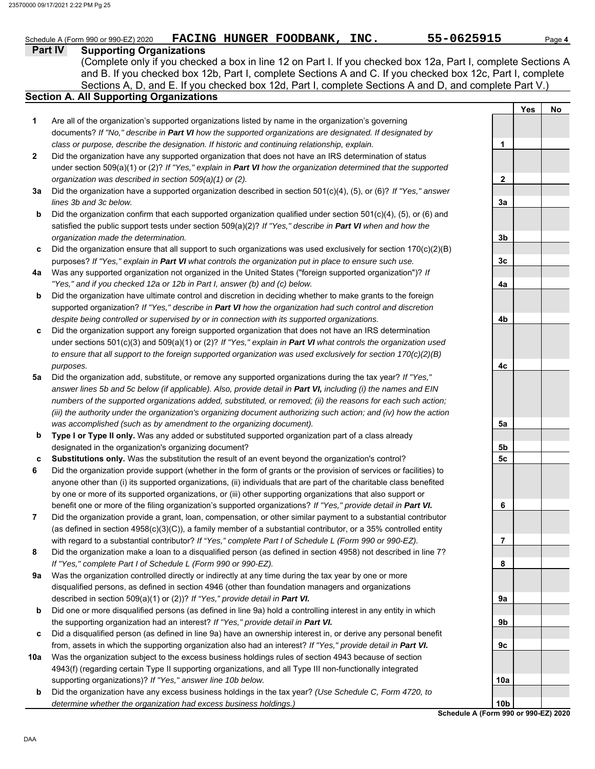|              | 55-0625915<br>Schedule A (Form 990 or 990-EZ) 2020 FACING HUNGER FOODBANK, INC.                                                                                                                                    |                 |            | Page 4 |
|--------------|--------------------------------------------------------------------------------------------------------------------------------------------------------------------------------------------------------------------|-----------------|------------|--------|
|              | <b>Supporting Organizations</b><br><b>Part IV</b>                                                                                                                                                                  |                 |            |        |
|              | (Complete only if you checked a box in line 12 on Part I. If you checked box 12a, Part I, complete Sections A                                                                                                      |                 |            |        |
|              | and B. If you checked box 12b, Part I, complete Sections A and C. If you checked box 12c, Part I, complete                                                                                                         |                 |            |        |
|              | Sections A, D, and E. If you checked box 12d, Part I, complete Sections A and D, and complete Part V.)                                                                                                             |                 |            |        |
|              | <b>Section A. All Supporting Organizations</b>                                                                                                                                                                     |                 |            |        |
|              |                                                                                                                                                                                                                    |                 | <b>Yes</b> | No     |
| 1            | Are all of the organization's supported organizations listed by name in the organization's governing                                                                                                               |                 |            |        |
|              | documents? If "No," describe in Part VI how the supported organizations are designated. If designated by                                                                                                           |                 |            |        |
|              | class or purpose, describe the designation. If historic and continuing relationship, explain.                                                                                                                      | 1               |            |        |
| $\mathbf{2}$ | Did the organization have any supported organization that does not have an IRS determination of status                                                                                                             |                 |            |        |
|              | under section 509(a)(1) or (2)? If "Yes," explain in Part VI how the organization determined that the supported                                                                                                    |                 |            |        |
|              | organization was described in section 509(a)(1) or (2).                                                                                                                                                            | $\mathbf{2}$    |            |        |
| За           | Did the organization have a supported organization described in section 501(c)(4), (5), or (6)? If "Yes," answer                                                                                                   |                 |            |        |
|              | lines 3b and 3c below.                                                                                                                                                                                             | За              |            |        |
| b            | Did the organization confirm that each supported organization qualified under section 501(c)(4), (5), or (6) and                                                                                                   |                 |            |        |
|              | satisfied the public support tests under section $509(a)(2)$ ? If "Yes," describe in Part VI when and how the                                                                                                      |                 |            |        |
|              | organization made the determination.                                                                                                                                                                               | 3 <sub>b</sub>  |            |        |
| c            | Did the organization ensure that all support to such organizations was used exclusively for section $170(c)(2)(B)$                                                                                                 |                 |            |        |
| 4a           | purposes? If "Yes," explain in Part VI what controls the organization put in place to ensure such use.<br>Was any supported organization not organized in the United States ("foreign supported organization")? If | 3 <sub>c</sub>  |            |        |
|              | "Yes," and if you checked 12a or 12b in Part I, answer (b) and (c) below.                                                                                                                                          | 4a              |            |        |
| b            | Did the organization have ultimate control and discretion in deciding whether to make grants to the foreign                                                                                                        |                 |            |        |
|              | supported organization? If "Yes," describe in Part VI how the organization had such control and discretion                                                                                                         |                 |            |        |
|              | despite being controlled or supervised by or in connection with its supported organizations.                                                                                                                       | 4b              |            |        |
| c            | Did the organization support any foreign supported organization that does not have an IRS determination                                                                                                            |                 |            |        |
|              | under sections 501(c)(3) and 509(a)(1) or (2)? If "Yes," explain in Part VI what controls the organization used                                                                                                    |                 |            |        |
|              | to ensure that all support to the foreign supported organization was used exclusively for section $170(c)(2)(B)$                                                                                                   |                 |            |        |
|              | purposes.                                                                                                                                                                                                          | 4с              |            |        |
| 5a           | Did the organization add, substitute, or remove any supported organizations during the tax year? If "Yes,"                                                                                                         |                 |            |        |
|              | answer lines 5b and 5c below (if applicable). Also, provide detail in Part VI, including (i) the names and EIN                                                                                                     |                 |            |        |
|              | numbers of the supported organizations added, substituted, or removed; (ii) the reasons for each such action;                                                                                                      |                 |            |        |
|              | (iii) the authority under the organization's organizing document authorizing such action; and (iv) how the action                                                                                                  |                 |            |        |
|              | was accomplished (such as by amendment to the organizing document).                                                                                                                                                | 5a              |            |        |
| b            | Type I or Type II only. Was any added or substituted supported organization part of a class already                                                                                                                |                 |            |        |
|              | designated in the organization's organizing document?                                                                                                                                                              | 5b              |            |        |
|              | Substitutions only. Was the substitution the result of an event beyond the organization's control?                                                                                                                 | 5c              |            |        |
|              | Did the organization provide support (whether in the form of grants or the provision of services or facilities) to                                                                                                 |                 |            |        |
|              | anyone other than (i) its supported organizations, (ii) individuals that are part of the charitable class benefited                                                                                                |                 |            |        |
|              | by one or more of its supported organizations, or (iii) other supporting organizations that also support or                                                                                                        |                 |            |        |
|              | benefit one or more of the filing organization's supported organizations? If "Yes," provide detail in Part VI.                                                                                                     | 6               |            |        |
| 7            | Did the organization provide a grant, loan, compensation, or other similar payment to a substantial contributor                                                                                                    |                 |            |        |
|              | (as defined in section $4958(c)(3)(C)$ ), a family member of a substantial contributor, or a 35% controlled entity                                                                                                 |                 |            |        |
|              | with regard to a substantial contributor? If "Yes," complete Part I of Schedule L (Form 990 or 990-EZ).                                                                                                            | 7               |            |        |
| 8            | Did the organization make a loan to a disqualified person (as defined in section 4958) not described in line 7?                                                                                                    |                 |            |        |
|              | If "Yes," complete Part I of Schedule L (Form 990 or 990-EZ).                                                                                                                                                      | 8               |            |        |
| 9а           | Was the organization controlled directly or indirectly at any time during the tax year by one or more                                                                                                              |                 |            |        |
|              | disqualified persons, as defined in section 4946 (other than foundation managers and organizations                                                                                                                 |                 |            |        |
|              | described in section 509(a)(1) or (2))? If "Yes," provide detail in Part VI.                                                                                                                                       | 9а              |            |        |
| b            | Did one or more disqualified persons (as defined in line 9a) hold a controlling interest in any entity in which                                                                                                    |                 |            |        |
|              | the supporting organization had an interest? If "Yes," provide detail in Part VI.                                                                                                                                  | 9b              |            |        |
| c            | Did a disqualified person (as defined in line 9a) have an ownership interest in, or derive any personal benefit                                                                                                    |                 |            |        |
|              | from, assets in which the supporting organization also had an interest? If "Yes," provide detail in Part VI.                                                                                                       | 9c              |            |        |
| 10a          | Was the organization subject to the excess business holdings rules of section 4943 because of section                                                                                                              |                 |            |        |
|              | 4943(f) (regarding certain Type II supporting organizations, and all Type III non-functionally integrated                                                                                                          |                 |            |        |
|              | supporting organizations)? If "Yes," answer line 10b below.                                                                                                                                                        | 10a             |            |        |
| b            | Did the organization have any excess business holdings in the tax year? (Use Schedule C, Form 4720, to                                                                                                             |                 |            |        |
|              | determine whether the organization had excess business holdings.)                                                                                                                                                  | 10 <sub>b</sub> |            |        |

**Schedule A (Form 990 or 990-EZ) 2020**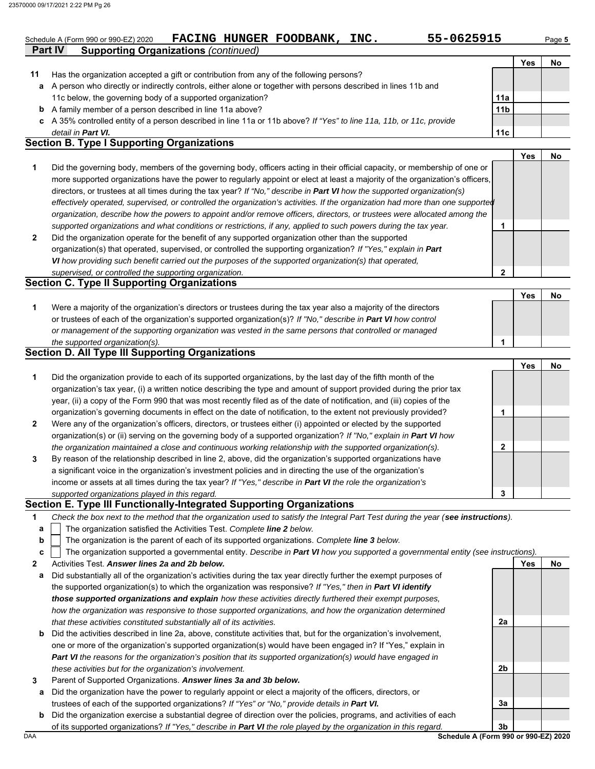|              | 55-0625915<br>FACING HUNGER FOODBANK,<br>INC.<br>Schedule A (Form 990 or 990-EZ) 2020<br><b>Supporting Organizations (continued)</b><br><b>Part IV</b> |                 |     | Page 5    |
|--------------|--------------------------------------------------------------------------------------------------------------------------------------------------------|-----------------|-----|-----------|
|              |                                                                                                                                                        |                 | Yes | <b>No</b> |
| 11           | Has the organization accepted a gift or contribution from any of the following persons?                                                                |                 |     |           |
| а            | A person who directly or indirectly controls, either alone or together with persons described in lines 11b and                                         |                 |     |           |
|              | 11c below, the governing body of a supported organization?                                                                                             | 11a             |     |           |
| b            | A family member of a person described in line 11a above?                                                                                               | 11 <sub>b</sub> |     |           |
| c            | A 35% controlled entity of a person described in line 11a or 11b above? If "Yes" to line 11a, 11b, or 11c, provide                                     |                 |     |           |
|              | detail in Part VI.                                                                                                                                     | 11c             |     |           |
|              | <b>Section B. Type I Supporting Organizations</b>                                                                                                      |                 |     |           |
|              |                                                                                                                                                        |                 | Yes | <b>No</b> |
| 1            | Did the governing body, members of the governing body, officers acting in their official capacity, or membership of one or                             |                 |     |           |
|              | more supported organizations have the power to regularly appoint or elect at least a majority of the organization's officers,                          |                 |     |           |
|              | directors, or trustees at all times during the tax year? If "No," describe in Part VI how the supported organization(s)                                |                 |     |           |
|              | effectively operated, supervised, or controlled the organization's activities. If the organization had more than one supported                         |                 |     |           |
|              |                                                                                                                                                        |                 |     |           |
|              | organization, describe how the powers to appoint and/or remove officers, directors, or trustees were allocated among the                               |                 |     |           |
|              | supported organizations and what conditions or restrictions, if any, applied to such powers during the tax year.                                       | 1               |     |           |
| $\mathbf{2}$ | Did the organization operate for the benefit of any supported organization other than the supported                                                    |                 |     |           |
|              | organization(s) that operated, supervised, or controlled the supporting organization? If "Yes," explain in Part                                        |                 |     |           |
|              | VI how providing such benefit carried out the purposes of the supported organization(s) that operated,                                                 |                 |     |           |
|              | supervised, or controlled the supporting organization.                                                                                                 | 2               |     |           |
|              | <b>Section C. Type II Supporting Organizations</b>                                                                                                     |                 |     |           |
|              |                                                                                                                                                        |                 | Yes | No        |
| 1            | Were a majority of the organization's directors or trustees during the tax year also a majority of the directors                                       |                 |     |           |
|              | or trustees of each of the organization's supported organization(s)? If "No," describe in Part VI how control                                          |                 |     |           |
|              | or management of the supporting organization was vested in the same persons that controlled or managed                                                 |                 |     |           |
|              | the supported organization(s).                                                                                                                         | 1               |     |           |
|              | <b>Section D. All Type III Supporting Organizations</b>                                                                                                |                 |     |           |
|              |                                                                                                                                                        |                 | Yes | No        |
| 1            | Did the organization provide to each of its supported organizations, by the last day of the fifth month of the                                         |                 |     |           |
|              | organization's tax year, (i) a written notice describing the type and amount of support provided during the prior tax                                  |                 |     |           |

|                | Did the organization provide to each of its supported organizations, by the last day of the fifth month of the         |   |  |
|----------------|------------------------------------------------------------------------------------------------------------------------|---|--|
|                | organization's tax year, (i) a written notice describing the type and amount of support provided during the prior tax  |   |  |
|                | year, (ii) a copy of the Form 990 that was most recently filed as of the date of notification, and (iii) copies of the |   |  |
|                | organization's governing documents in effect on the date of notification, to the extent not previously provided?       |   |  |
| $\overline{2}$ | Were any of the organization's officers, directors, or trustees either (i) appointed or elected by the supported       |   |  |
|                | organization(s) or (ii) serving on the governing body of a supported organization? If "No," explain in Part VI how     |   |  |
|                | the organization maintained a close and continuous working relationship with the supported organization(s).            | ົ |  |
| 3              | By reason of the relationship described in line 2, above, did the organization's supported organizations have          |   |  |
|                | a significant voice in the organization's investment policies and in directing the use of the organization's           |   |  |
|                | income or assets at all times during the tax year? If "Yes," describe in Part VI the role the organization's           |   |  |
|                | supported organizations played in this regard.                                                                         | 3 |  |

#### **Section E. Type III Functionally-Integrated Supporting Organizations**

| Check the box next to the method that the organization used to satisfy the Integral Part Test during the year (see instructions). |  |
|-----------------------------------------------------------------------------------------------------------------------------------|--|
|-----------------------------------------------------------------------------------------------------------------------------------|--|

- The organization satisfied the Activities Test. *Complete line 2 below.* **a**
- The organization is the parent of each of its supported organizations. *Complete line 3 below.* **b**

| $c$   The organization supported a governmental entity. Describe in Part VI how you supported a governmental entity (see instructions). |
|-----------------------------------------------------------------------------------------------------------------------------------------|
|-----------------------------------------------------------------------------------------------------------------------------------------|

- **2** Activities Test. *Answer lines 2a and 2b below.*
- **a** Did substantially all of the organization's activities during the tax year directly further the exempt purposes of the supported organization(s) to which the organization was responsive? *If "Yes," then in Part VI identify those supported organizations and explain how these activities directly furthered their exempt purposes, how the organization was responsive to those supported organizations, and how the organization determined that these activities constituted substantially all of its activities.*
- **b** Did the activities described in line 2a, above, constitute activities that, but for the organization's involvement, one or more of the organization's supported organization(s) would have been engaged in? If "Yes," explain in *Part VI the reasons for the organization's position that its supported organization(s) would have engaged in these activities but for the organization's involvement.*
- **3** Parent of Supported Organizations. *Answer lines 3a and 3b below.*
	- **a** Did the organization have the power to regularly appoint or elect a majority of the officers, directors, or trustees of each of the supported organizations? *If "Yes" or "No," provide details in Part VI.*
	- **b** Did the organization exercise a substantial degree of direction over the policies, programs, and activities of each of its supported organizations? *If "Yes," describe in Part VI the role played by the organization in this regard.*

**2a**

**2b**

**3a**

**Yes No**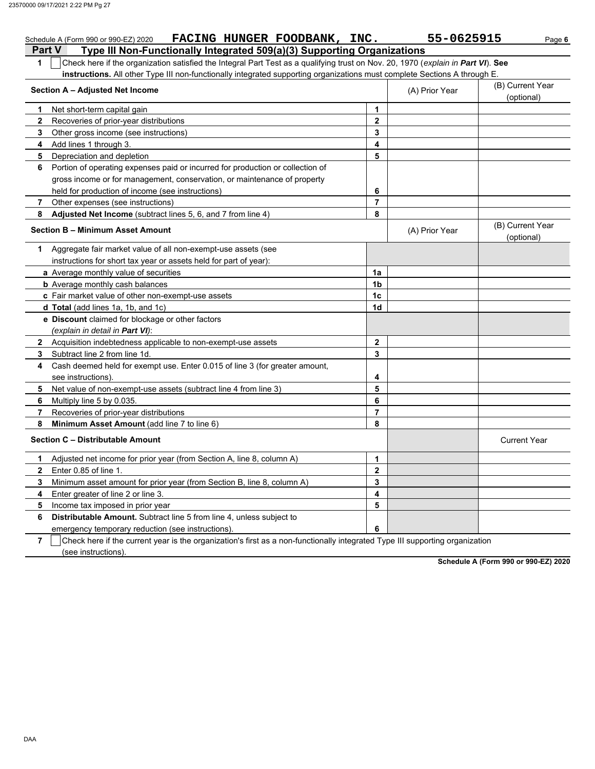|                | FACING HUNGER FOODBANK, INC.<br>Schedule A (Form 990 or 990-EZ) 2020                                                             |                | 55-0625915     | Page 6                         |
|----------------|----------------------------------------------------------------------------------------------------------------------------------|----------------|----------------|--------------------------------|
| <b>Part V</b>  | Type III Non-Functionally Integrated 509(a)(3) Supporting Organizations                                                          |                |                |                                |
| 1              | Check here if the organization satisfied the Integral Part Test as a qualifying trust on Nov. 20, 1970 (explain in Part VI). See |                |                |                                |
|                | instructions. All other Type III non-functionally integrated supporting organizations must complete Sections A through E.        |                |                |                                |
|                | Section A - Adjusted Net Income                                                                                                  |                | (A) Prior Year | (B) Current Year<br>(optional) |
| 1.             | Net short-term capital gain                                                                                                      | 1              |                |                                |
| $\mathbf{2}$   | Recoveries of prior-year distributions                                                                                           | $\mathbf{2}$   |                |                                |
| 3              | Other gross income (see instructions)                                                                                            | 3              |                |                                |
| 4              | Add lines 1 through 3.                                                                                                           | 4              |                |                                |
| 5              | Depreciation and depletion                                                                                                       | 5              |                |                                |
| 6              | Portion of operating expenses paid or incurred for production or collection of                                                   |                |                |                                |
|                | gross income or for management, conservation, or maintenance of property                                                         |                |                |                                |
|                | held for production of income (see instructions)                                                                                 | 6              |                |                                |
| 7              | Other expenses (see instructions)                                                                                                | $\overline{7}$ |                |                                |
| 8              | Adjusted Net Income (subtract lines 5, 6, and 7 from line 4)                                                                     | 8              |                |                                |
|                | <b>Section B - Minimum Asset Amount</b>                                                                                          |                | (A) Prior Year | (B) Current Year<br>(optional) |
| 1.             | Aggregate fair market value of all non-exempt-use assets (see                                                                    |                |                |                                |
|                | instructions for short tax year or assets held for part of year):                                                                |                |                |                                |
|                | a Average monthly value of securities                                                                                            | 1a             |                |                                |
|                | <b>b</b> Average monthly cash balances                                                                                           | 1 <sub>b</sub> |                |                                |
|                | c Fair market value of other non-exempt-use assets                                                                               | 1 <sub>c</sub> |                |                                |
|                | d Total (add lines 1a, 1b, and 1c)                                                                                               | 1d             |                |                                |
|                | e Discount claimed for blockage or other factors                                                                                 |                |                |                                |
|                | (explain in detail in Part VI):                                                                                                  |                |                |                                |
|                | 2 Acquisition indebtedness applicable to non-exempt-use assets                                                                   | $\mathbf{2}$   |                |                                |
| 3              | Subtract line 2 from line 1d.                                                                                                    | 3              |                |                                |
| 4              | Cash deemed held for exempt use. Enter 0.015 of line 3 (for greater amount,                                                      |                |                |                                |
|                | see instructions).                                                                                                               | 4              |                |                                |
| 5.             | Net value of non-exempt-use assets (subtract line 4 from line 3)                                                                 | 5              |                |                                |
| 6              | Multiply line 5 by 0.035.                                                                                                        | 6              |                |                                |
| 7              | Recoveries of prior-year distributions                                                                                           | $\overline{7}$ |                |                                |
| 8              | Minimum Asset Amount (add line 7 to line 6)                                                                                      | 8              |                |                                |
|                | Section C - Distributable Amount                                                                                                 |                |                | <b>Current Year</b>            |
| 1.             | Adjusted net income for prior year (from Section A, line 8, column A)                                                            | 1              |                |                                |
| $\mathbf{2}$   | Enter 0.85 of line 1.                                                                                                            | $\mathbf 2$    |                |                                |
| 3              | Minimum asset amount for prior year (from Section B, line 8, column A)                                                           | 3              |                |                                |
| 4              | Enter greater of line 2 or line 3.                                                                                               | 4              |                |                                |
| 5              | Income tax imposed in prior year                                                                                                 | 5              |                |                                |
| 6              | Distributable Amount. Subtract line 5 from line 4, unless subject to                                                             |                |                |                                |
|                | emergency temporary reduction (see instructions)                                                                                 | 6              |                |                                |
| $\overline{7}$ | Check here if the current year is the organization's first as a non-functionally integrated Type III supporting organization     |                |                |                                |

(see instructions).

**Schedule A (Form 990 or 990-EZ) 2020**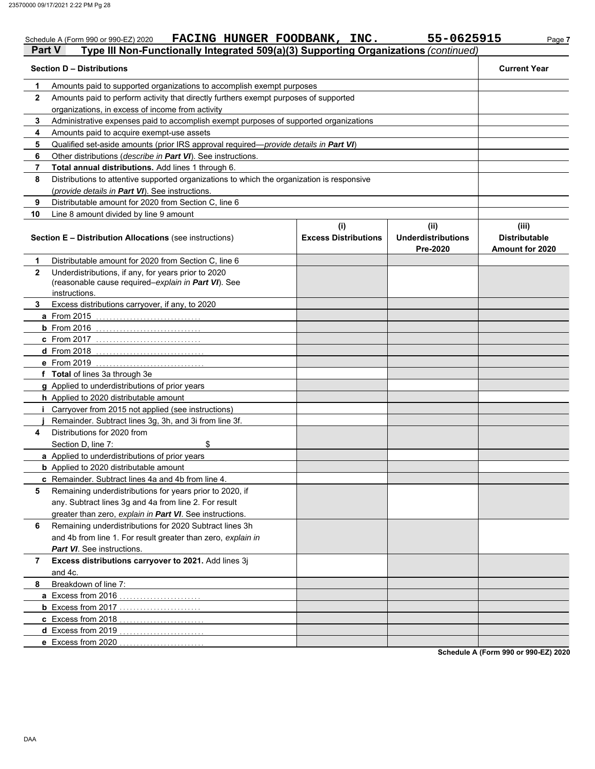|               | FACING HUNGER FOODBANK, INC.<br>Schedule A (Form 990 or 990-EZ) 2020                       |                                    | 55-0625915                                    | Page 7                                           |
|---------------|--------------------------------------------------------------------------------------------|------------------------------------|-----------------------------------------------|--------------------------------------------------|
| <b>Part V</b> | Type III Non-Functionally Integrated 509(a)(3) Supporting Organizations (continued)        |                                    |                                               |                                                  |
|               | <b>Section D - Distributions</b>                                                           |                                    |                                               | <b>Current Year</b>                              |
| 1             | Amounts paid to supported organizations to accomplish exempt purposes                      |                                    |                                               |                                                  |
| $\mathbf{2}$  | Amounts paid to perform activity that directly furthers exempt purposes of supported       |                                    |                                               |                                                  |
|               | organizations, in excess of income from activity                                           |                                    |                                               |                                                  |
| 3             | Administrative expenses paid to accomplish exempt purposes of supported organizations      |                                    |                                               |                                                  |
| 4             | Amounts paid to acquire exempt-use assets                                                  |                                    |                                               |                                                  |
| 5             | Qualified set-aside amounts (prior IRS approval required-provide details in Part VI)       |                                    |                                               |                                                  |
| 6             | Other distributions (describe in Part VI). See instructions.                               |                                    |                                               |                                                  |
| 7             | Total annual distributions. Add lines 1 through 6.                                         |                                    |                                               |                                                  |
| 8             | Distributions to attentive supported organizations to which the organization is responsive |                                    |                                               |                                                  |
|               | (provide details in Part VI). See instructions.                                            |                                    |                                               |                                                  |
| 9             | Distributable amount for 2020 from Section C, line 6                                       |                                    |                                               |                                                  |
| 10            | Line 8 amount divided by line 9 amount                                                     |                                    |                                               |                                                  |
|               | <b>Section E - Distribution Allocations (see instructions)</b>                             | (i)<br><b>Excess Distributions</b> | (ii)<br><b>Underdistributions</b><br>Pre-2020 | (iii)<br><b>Distributable</b><br>Amount for 2020 |
| 1             | Distributable amount for 2020 from Section C, line 6                                       |                                    |                                               |                                                  |
| 2             | Underdistributions, if any, for years prior to 2020                                        |                                    |                                               |                                                  |
|               | (reasonable cause required-explain in Part VI). See                                        |                                    |                                               |                                                  |
|               | instructions.                                                                              |                                    |                                               |                                                  |
| 3.            | Excess distributions carryover, if any, to 2020                                            |                                    |                                               |                                                  |
|               | <b>a</b> From 2015                                                                         |                                    |                                               |                                                  |
|               | $b$ From 2016                                                                              |                                    |                                               |                                                  |
|               | c From 2017                                                                                |                                    |                                               |                                                  |
|               | <b>d</b> From 2018                                                                         |                                    |                                               |                                                  |
|               | e From 2019                                                                                |                                    |                                               |                                                  |
|               | f Total of lines 3a through 3e                                                             |                                    |                                               |                                                  |
|               | g Applied to underdistributions of prior years                                             |                                    |                                               |                                                  |
|               | h Applied to 2020 distributable amount                                                     |                                    |                                               |                                                  |
| Ī.            | Carryover from 2015 not applied (see instructions)                                         |                                    |                                               |                                                  |
|               | Remainder. Subtract lines 3g, 3h, and 3i from line 3f.                                     |                                    |                                               |                                                  |
| 4             | Distributions for 2020 from                                                                |                                    |                                               |                                                  |
|               | \$<br>Section D. line 7:                                                                   |                                    |                                               |                                                  |
|               | a Applied to underdistributions of prior years                                             |                                    |                                               |                                                  |
|               | <b>b</b> Applied to 2020 distributable amount                                              |                                    |                                               |                                                  |
|               | c Remainder. Subtract lines 4a and 4b from line 4.                                         |                                    |                                               |                                                  |
| 5             | Remaining underdistributions for years prior to 2020, if                                   |                                    |                                               |                                                  |
|               | any. Subtract lines 3g and 4a from line 2. For result                                      |                                    |                                               |                                                  |
|               | greater than zero, explain in Part VI. See instructions.                                   |                                    |                                               |                                                  |
| 6             | Remaining underdistributions for 2020 Subtract lines 3h                                    |                                    |                                               |                                                  |
|               | and 4b from line 1. For result greater than zero, explain in                               |                                    |                                               |                                                  |
|               | Part VI. See instructions.                                                                 |                                    |                                               |                                                  |
| 7             | Excess distributions carryover to 2021. Add lines 3j                                       |                                    |                                               |                                                  |
|               | and 4c.                                                                                    |                                    |                                               |                                                  |
| 8             | Breakdown of line 7:                                                                       |                                    |                                               |                                                  |
|               | a Excess from 2016<br>.                                                                    |                                    |                                               |                                                  |
|               | <b>b</b> Excess from 2017                                                                  |                                    |                                               |                                                  |
|               | c Excess from 2018<br>.                                                                    |                                    |                                               |                                                  |
|               | d Excess from 2019                                                                         |                                    |                                               |                                                  |
|               | e Excess from 2020                                                                         |                                    |                                               |                                                  |
|               |                                                                                            |                                    |                                               | .000E2000<br>$\sim$                              |

**Schedule A (Form 990 or 990-EZ) 2020**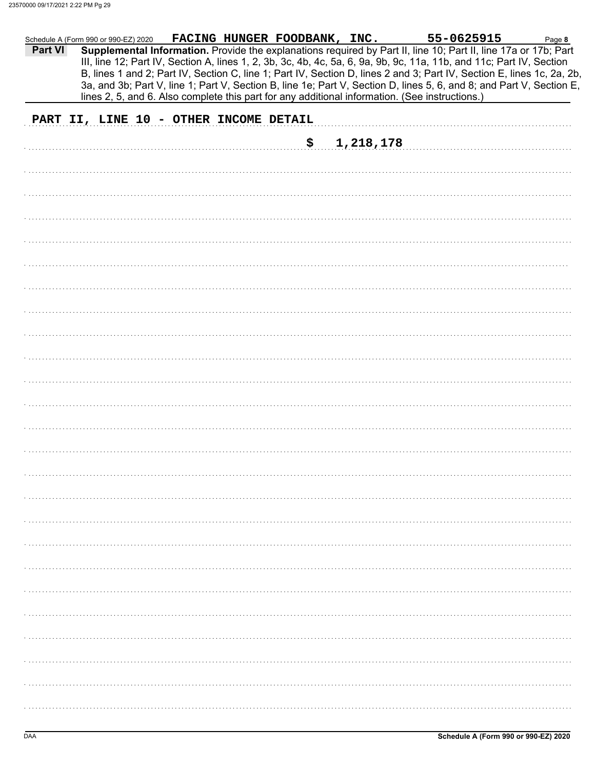| Schedule A (Form 990 or 990-EZ) 2020<br><b>Part VI</b> |  | FACING HUNGER FOODBANK, INC.           |    |           | 55-0625915<br>Supplemental Information. Provide the explanations required by Part II, line 10; Part II, line 17a or 17b; Part                                                                                                                                                                                                                                                                                                                                            | Page 8 |
|--------------------------------------------------------|--|----------------------------------------|----|-----------|--------------------------------------------------------------------------------------------------------------------------------------------------------------------------------------------------------------------------------------------------------------------------------------------------------------------------------------------------------------------------------------------------------------------------------------------------------------------------|--------|
|                                                        |  |                                        |    |           | III, line 12; Part IV, Section A, lines 1, 2, 3b, 3c, 4b, 4c, 5a, 6, 9a, 9b, 9c, 11a, 11b, and 11c; Part IV, Section<br>B, lines 1 and 2; Part IV, Section C, line 1; Part IV, Section D, lines 2 and 3; Part IV, Section E, lines 1c, 2a, 2b,<br>3a, and 3b; Part V, line 1; Part V, Section B, line 1e; Part V, Section D, lines 5, 6, and 8; and Part V, Section E,<br>lines 2, 5, and 6. Also complete this part for any additional information. (See instructions.) |        |
|                                                        |  | PART II, LINE 10 - OTHER INCOME DETAIL |    |           |                                                                                                                                                                                                                                                                                                                                                                                                                                                                          |        |
|                                                        |  |                                        | \$ | 1,218,178 |                                                                                                                                                                                                                                                                                                                                                                                                                                                                          |        |
|                                                        |  |                                        |    |           |                                                                                                                                                                                                                                                                                                                                                                                                                                                                          |        |
|                                                        |  |                                        |    |           |                                                                                                                                                                                                                                                                                                                                                                                                                                                                          |        |
|                                                        |  |                                        |    |           |                                                                                                                                                                                                                                                                                                                                                                                                                                                                          |        |
|                                                        |  |                                        |    |           |                                                                                                                                                                                                                                                                                                                                                                                                                                                                          |        |
|                                                        |  |                                        |    |           |                                                                                                                                                                                                                                                                                                                                                                                                                                                                          |        |
|                                                        |  |                                        |    |           |                                                                                                                                                                                                                                                                                                                                                                                                                                                                          |        |
|                                                        |  |                                        |    |           |                                                                                                                                                                                                                                                                                                                                                                                                                                                                          |        |
|                                                        |  |                                        |    |           |                                                                                                                                                                                                                                                                                                                                                                                                                                                                          |        |
|                                                        |  |                                        |    |           |                                                                                                                                                                                                                                                                                                                                                                                                                                                                          |        |
|                                                        |  |                                        |    |           |                                                                                                                                                                                                                                                                                                                                                                                                                                                                          |        |
|                                                        |  |                                        |    |           |                                                                                                                                                                                                                                                                                                                                                                                                                                                                          |        |
|                                                        |  |                                        |    |           |                                                                                                                                                                                                                                                                                                                                                                                                                                                                          |        |
|                                                        |  |                                        |    |           |                                                                                                                                                                                                                                                                                                                                                                                                                                                                          |        |
|                                                        |  |                                        |    |           |                                                                                                                                                                                                                                                                                                                                                                                                                                                                          |        |
|                                                        |  |                                        |    |           |                                                                                                                                                                                                                                                                                                                                                                                                                                                                          |        |
|                                                        |  |                                        |    |           |                                                                                                                                                                                                                                                                                                                                                                                                                                                                          |        |
|                                                        |  |                                        |    |           |                                                                                                                                                                                                                                                                                                                                                                                                                                                                          |        |
|                                                        |  |                                        |    |           |                                                                                                                                                                                                                                                                                                                                                                                                                                                                          |        |
|                                                        |  |                                        |    |           |                                                                                                                                                                                                                                                                                                                                                                                                                                                                          |        |
|                                                        |  |                                        |    |           |                                                                                                                                                                                                                                                                                                                                                                                                                                                                          |        |
|                                                        |  |                                        |    |           |                                                                                                                                                                                                                                                                                                                                                                                                                                                                          |        |
|                                                        |  |                                        |    |           |                                                                                                                                                                                                                                                                                                                                                                                                                                                                          |        |
|                                                        |  |                                        |    |           |                                                                                                                                                                                                                                                                                                                                                                                                                                                                          |        |
|                                                        |  |                                        |    |           |                                                                                                                                                                                                                                                                                                                                                                                                                                                                          |        |
|                                                        |  |                                        |    |           |                                                                                                                                                                                                                                                                                                                                                                                                                                                                          |        |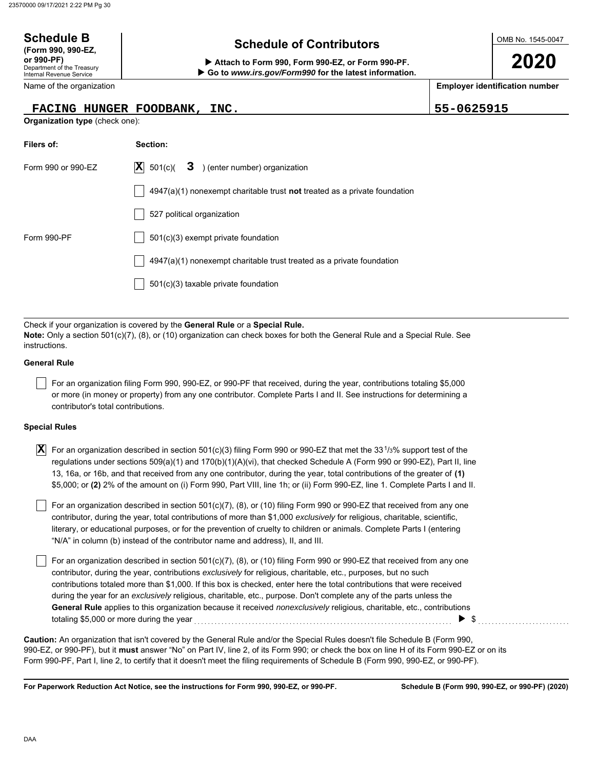#### OMB No. 1545-0047 Department of the Treasury Internal Revenue Service Name of the organization **2020 Schedule B**  $\overline{\phantom{a}}$  **Schedule of Contributors (Form 990, 990-EZ, or 990-PF) Attach to Form 990, Form 990-EZ, or Form 990-PF. Employer identification number Organization type** (check one):  **Go to** *www.irs.gov/Form990* **for the latest information.** FACING HUNGER FOODBANK, INC. **55-0625915**

| Filers of:         | Section:                                                                           |  |  |  |  |
|--------------------|------------------------------------------------------------------------------------|--|--|--|--|
| Form 990 or 990-EZ | $ \mathbf{X} $ 501(c)( <b>3</b> ) (enter number) organization                      |  |  |  |  |
|                    | $4947(a)(1)$ nonexempt charitable trust <b>not</b> treated as a private foundation |  |  |  |  |
|                    | 527 political organization                                                         |  |  |  |  |
| Form 990-PF        | $501(c)(3)$ exempt private foundation                                              |  |  |  |  |
|                    | $4947(a)(1)$ nonexempt charitable trust treated as a private foundation            |  |  |  |  |
|                    | $501(c)(3)$ taxable private foundation                                             |  |  |  |  |

Check if your organization is covered by the **General Rule** or a **Special Rule. Note:** Only a section 501(c)(7), (8), or (10) organization can check boxes for both the General Rule and a Special Rule. See instructions.

#### **General Rule**

For an organization filing Form 990, 990-EZ, or 990-PF that received, during the year, contributions totaling \$5,000 or more (in money or property) from any one contributor. Complete Parts I and II. See instructions for determining a contributor's total contributions.

#### **Special Rules**

| $\overline{X}$ For an organization described in section 501(c)(3) filing Form 990 or 990-EZ that met the 33 <sup>1</sup> /3% support test of the |
|--------------------------------------------------------------------------------------------------------------------------------------------------|
| regulations under sections 509(a)(1) and 170(b)(1)(A)(vi), that checked Schedule A (Form 990 or 990-EZ), Part II, line                           |
| 13, 16a, or 16b, and that received from any one contributor, during the year, total contributions of the greater of (1)                          |
| \$5,000; or (2) 2% of the amount on (i) Form 990, Part VIII, line 1h; or (ii) Form 990-EZ, line 1. Complete Parts I and II.                      |

literary, or educational purposes, or for the prevention of cruelty to children or animals. Complete Parts I (entering For an organization described in section 501(c)(7), (8), or (10) filing Form 990 or 990-EZ that received from any one contributor, during the year, total contributions of more than \$1,000 *exclusively* for religious, charitable, scientific, "N/A" in column (b) instead of the contributor name and address), II, and III.

For an organization described in section 501(c)(7), (8), or (10) filing Form 990 or 990-EZ that received from any one contributor, during the year, contributions *exclusively* for religious, charitable, etc., purposes, but no such contributions totaled more than \$1,000. If this box is checked, enter here the total contributions that were received during the year for an *exclusively* religious, charitable, etc., purpose. Don't complete any of the parts unless the **General Rule** applies to this organization because it received *nonexclusively* religious, charitable, etc., contributions totaling \$5,000 or more during the year . . . . . . . . . . . . . . . . . . . . . . . . . . . . . . . . . . . . . . . . . . . . . . . . . . . . . . . . . . . . . . . . . . . . . . . . . . . . \$ . . . . . . . . . . . . . . . . . . . . . . . . . . .

990-EZ, or 990-PF), but it **must** answer "No" on Part IV, line 2, of its Form 990; or check the box on line H of its Form 990-EZ or on its Form 990-PF, Part I, line 2, to certify that it doesn't meet the filing requirements of Schedule B (Form 990, 990-EZ, or 990-PF). **Caution:** An organization that isn't covered by the General Rule and/or the Special Rules doesn't file Schedule B (Form 990,

**For Paperwork Reduction Act Notice, see the instructions for Form 990, 990-EZ, or 990-PF.**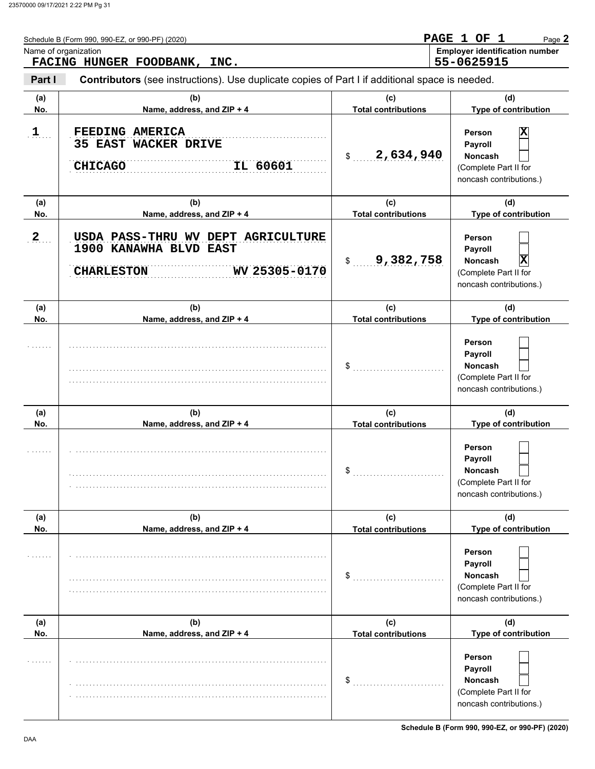|                | Schedule B (Form 990, 990-EZ, or 990-PF) (2020)                                                    |                                   | PAGE 1 OF 1<br>Page 2                                                                                           |
|----------------|----------------------------------------------------------------------------------------------------|-----------------------------------|-----------------------------------------------------------------------------------------------------------------|
|                | Name of organization<br>FACING HUNGER FOODBANK, INC.                                               |                                   | <b>Employer identification number</b><br>55-0625915                                                             |
| Part I         | Contributors (see instructions). Use duplicate copies of Part I if additional space is needed.     |                                   |                                                                                                                 |
| (a)<br>No.     | (b)<br>Name, address, and ZIP + 4                                                                  | (c)<br><b>Total contributions</b> | (d)<br>Type of contribution                                                                                     |
| $1$            | <b>FEEDING AMERICA</b><br><b>35 EAST WACKER DRIVE</b><br><b>CHICAGO</b><br>IL 60601                | 2,634,940<br>\$                   | x<br>Person<br>Payroll<br>Noncash<br>(Complete Part II for<br>noncash contributions.)                           |
| (a)<br>No.     | (b)<br>Name, address, and ZIP + 4                                                                  | (c)<br><b>Total contributions</b> | (d)<br>Type of contribution                                                                                     |
| 2 <sub>1</sub> | USDA PASS-THRU WV DEPT AGRICULTURE<br>1900 KANAWHA BLVD EAST<br>WV 25305-0170<br><b>CHARLESTON</b> | 9,382,758<br>\$                   | Person<br>Payroll<br>$ \mathbf{X} $<br>Noncash<br>(Complete Part II for<br>noncash contributions.)              |
| (a)<br>No.     | (b)<br>Name, address, and ZIP + 4                                                                  | (c)<br><b>Total contributions</b> | (d)<br>Type of contribution                                                                                     |
|                |                                                                                                    | \$                                | Person<br>Payroll<br>Noncash<br>(Complete Part II for<br>noncash contributions.)                                |
| (a)            | (b)                                                                                                | (c)                               | (d)                                                                                                             |
| No.            | Name, address, and ZIP + 4                                                                         | <b>Total contributions</b><br>P,  | Type of contribution<br>Person<br>Payroll<br><b>Noncash</b><br>(Complete Part II for<br>noncash contributions.) |
| (a)<br>No.     | (b)<br>Name, address, and ZIP + 4                                                                  | (c)<br><b>Total contributions</b> | (d)<br>Type of contribution                                                                                     |
|                |                                                                                                    | \$                                | Person<br>Payroll<br><b>Noncash</b><br>(Complete Part II for<br>noncash contributions.)                         |
| (a)<br>No.     | (b)<br>Name, address, and ZIP + 4                                                                  | (c)<br><b>Total contributions</b> | (d)<br>Type of contribution                                                                                     |
|                |                                                                                                    | \$                                | Person<br>Payroll<br><b>Noncash</b><br>(Complete Part II for<br>noncash contributions.)                         |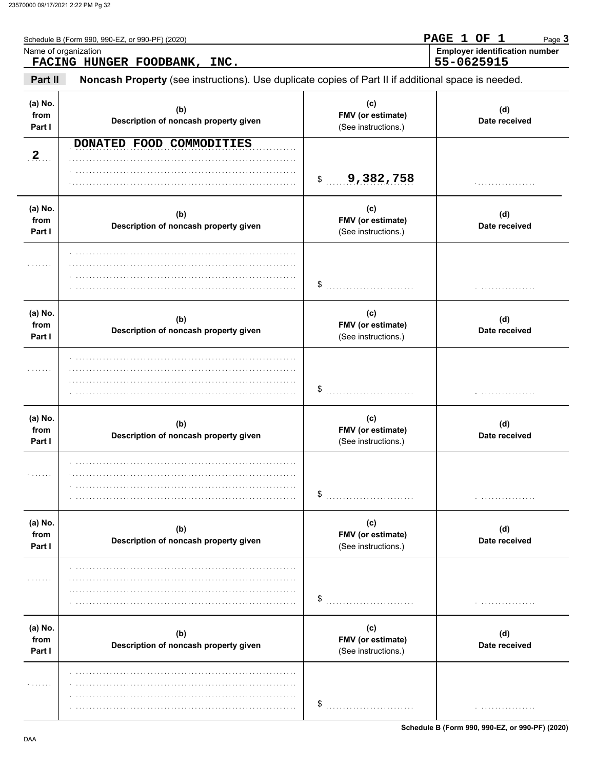|                           | Schedule B (Form 990, 990-EZ, or 990-PF) (2020)<br>Name of organization<br>FACING HUNGER FOODBANK, INC. |                                                 | PAGE 1 OF 1<br>Page 3<br><b>Employer identification number</b><br>55-0625915 |
|---------------------------|---------------------------------------------------------------------------------------------------------|-------------------------------------------------|------------------------------------------------------------------------------|
| Part II                   | Noncash Property (see instructions). Use duplicate copies of Part II if additional space is needed.     |                                                 |                                                                              |
| (a) No.<br>from<br>Part I | (b)<br>Description of noncash property given                                                            | (c)<br>FMV (or estimate)<br>(See instructions.) | (d)<br>Date received                                                         |
| $2_{\ldots}$              | DONATED FOOD COMMODITIES                                                                                | \$9,382,758                                     |                                                                              |
| (a) No.<br>from<br>Part I | (b)<br>Description of noncash property given                                                            | (c)<br>FMV (or estimate)<br>(See instructions.) | .<br>(d)<br>Date received                                                    |
| .                         |                                                                                                         | \$                                              |                                                                              |
| (a) No.<br>from<br>Part I | (b)<br>Description of noncash property given                                                            | (c)<br>FMV (or estimate)<br>(See instructions.) | (d)<br>Date received                                                         |
| .                         |                                                                                                         | \$                                              |                                                                              |
| (a) No.<br>from<br>Part I | (b)<br>Description of noncash property given                                                            | (c)<br>FMV (or estimate)<br>(See instructions.) | (d)<br>Date received                                                         |
| .                         |                                                                                                         | \$                                              |                                                                              |
| (a) No.<br>from<br>Part I | (b)<br>Description of noncash property given                                                            | (c)<br>FMV (or estimate)<br>(See instructions.) | (d)<br>Date received                                                         |
| .                         |                                                                                                         | \$                                              | .                                                                            |
| (a) No.<br>from<br>Part I | (b)<br>Description of noncash property given                                                            | (c)<br>FMV (or estimate)<br>(See instructions.) | (d)<br>Date received                                                         |
| .                         |                                                                                                         | \$                                              | .                                                                            |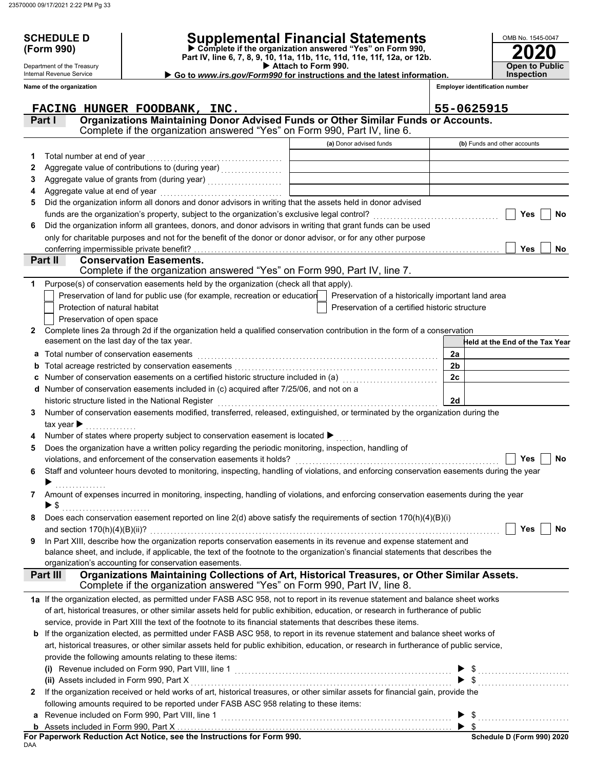Department of the Treasury Internal Revenue Service

## **SCHEDULE D Supplemental Financial Statements**

 **Attach to Form 990. (Form 990) Part IV, line 6, 7, 8, 9, 10, 11a, 11b, 11c, 11d, 11e, 11f, 12a, or 12b. Complete if the organization answered "Yes" on Form 990,**

**2020 Open to Public Inspection**

OMB No. 1545-0047

|   | Name of the organization                                                                                                                                                              |                                                    | <b>Employer identification number</b> |  |  |  |  |
|---|---------------------------------------------------------------------------------------------------------------------------------------------------------------------------------------|----------------------------------------------------|---------------------------------------|--|--|--|--|
|   | FACING HUNGER FOODBANK, INC.                                                                                                                                                          |                                                    | 55-0625915                            |  |  |  |  |
|   | Organizations Maintaining Donor Advised Funds or Other Similar Funds or Accounts.<br>Part I<br>Complete if the organization answered "Yes" on Form 990, Part IV, line 6.              |                                                    |                                       |  |  |  |  |
|   |                                                                                                                                                                                       | (a) Donor advised funds                            | (b) Funds and other accounts          |  |  |  |  |
| 1 | Total number at end of year                                                                                                                                                           |                                                    |                                       |  |  |  |  |
| 2 |                                                                                                                                                                                       |                                                    |                                       |  |  |  |  |
| З |                                                                                                                                                                                       |                                                    |                                       |  |  |  |  |
| 4 | Aggregate value at end of year                                                                                                                                                        |                                                    |                                       |  |  |  |  |
| 5 | Did the organization inform all donors and donor advisors in writing that the assets held in donor advised                                                                            |                                                    |                                       |  |  |  |  |
|   | funds are the organization's property, subject to the organization's exclusive legal control?                                                                                         |                                                    | <b>Yes</b><br><b>No</b>               |  |  |  |  |
| 6 | Did the organization inform all grantees, donors, and donor advisors in writing that grant funds can be used                                                                          |                                                    |                                       |  |  |  |  |
|   | only for charitable purposes and not for the benefit of the donor or donor advisor, or for any other purpose                                                                          |                                                    |                                       |  |  |  |  |
|   | conferring impermissible private benefit?                                                                                                                                             |                                                    | <b>Yes</b><br>No                      |  |  |  |  |
|   | <b>Conservation Easements.</b><br>Part II                                                                                                                                             |                                                    |                                       |  |  |  |  |
|   | Complete if the organization answered "Yes" on Form 990, Part IV, line 7.                                                                                                             |                                                    |                                       |  |  |  |  |
|   | Purpose(s) of conservation easements held by the organization (check all that apply).                                                                                                 |                                                    |                                       |  |  |  |  |
|   | Preservation of land for public use (for example, recreation or education                                                                                                             | Preservation of a historically important land area |                                       |  |  |  |  |
|   | Protection of natural habitat                                                                                                                                                         | Preservation of a certified historic structure     |                                       |  |  |  |  |
|   | Preservation of open space                                                                                                                                                            |                                                    |                                       |  |  |  |  |
| 2 | Complete lines 2a through 2d if the organization held a qualified conservation contribution in the form of a conservation                                                             |                                                    |                                       |  |  |  |  |
|   | easement on the last day of the tax year.                                                                                                                                             |                                                    | Held at the End of the Tax Year       |  |  |  |  |
| a | Total number of conservation easements                                                                                                                                                |                                                    | 2a                                    |  |  |  |  |
|   |                                                                                                                                                                                       |                                                    | 2 <sub>b</sub>                        |  |  |  |  |
|   | Number of conservation easements on a certified historic structure included in (a) [11] Number of conservation                                                                        |                                                    | 2c                                    |  |  |  |  |
|   | Number of conservation easements included in (c) acquired after 7/25/06, and not on a                                                                                                 |                                                    |                                       |  |  |  |  |
|   | historic structure listed in the National Register                                                                                                                                    |                                                    | 2d                                    |  |  |  |  |
| 3 | Number of conservation easements modified, transferred, released, extinguished, or terminated by the organization during the                                                          |                                                    |                                       |  |  |  |  |
|   | tax year $\blacktriangleright$                                                                                                                                                        |                                                    |                                       |  |  |  |  |
|   | Number of states where property subject to conservation easement is located ▶                                                                                                         |                                                    |                                       |  |  |  |  |
| 5 | Does the organization have a written policy regarding the periodic monitoring, inspection, handling of                                                                                |                                                    |                                       |  |  |  |  |
|   | violations, and enforcement of the conservation easements it holds?                                                                                                                   |                                                    | No<br><b>Yes</b>                      |  |  |  |  |
| 6 | Staff and volunteer hours devoted to monitoring, inspecting, handling of violations, and enforcing conservation easements during the year                                             |                                                    |                                       |  |  |  |  |
|   |                                                                                                                                                                                       |                                                    |                                       |  |  |  |  |
| 7 | Amount of expenses incurred in monitoring, inspecting, handling of violations, and enforcing conservation easements during the year                                                   |                                                    |                                       |  |  |  |  |
|   | ▶ \$                                                                                                                                                                                  |                                                    |                                       |  |  |  |  |
|   | Does each conservation easement reported on line 2(d) above satisfy the requirements of section 170(h)(4)(B)(i)                                                                       |                                                    |                                       |  |  |  |  |
|   | and section $170(h)(4)(B)(ii)$ ?                                                                                                                                                      |                                                    | Yes<br><b>No</b>                      |  |  |  |  |
| 9 | In Part XIII, describe how the organization reports conservation easements in its revenue and expense statement and                                                                   |                                                    |                                       |  |  |  |  |
|   | balance sheet, and include, if applicable, the text of the footnote to the organization's financial statements that describes the                                                     |                                                    |                                       |  |  |  |  |
|   | organization's accounting for conservation easements.                                                                                                                                 |                                                    |                                       |  |  |  |  |
|   | Organizations Maintaining Collections of Art, Historical Treasures, or Other Similar Assets.<br>Part III<br>Complete if the organization answered "Yes" on Form 990, Part IV, line 8. |                                                    |                                       |  |  |  |  |
|   |                                                                                                                                                                                       |                                                    |                                       |  |  |  |  |
|   | 1a If the organization elected, as permitted under FASB ASC 958, not to report in its revenue statement and balance sheet works                                                       |                                                    |                                       |  |  |  |  |
|   | of art, historical treasures, or other similar assets held for public exhibition, education, or research in furtherance of public                                                     |                                                    |                                       |  |  |  |  |
|   | service, provide in Part XIII the text of the footnote to its financial statements that describes these items.                                                                        |                                                    |                                       |  |  |  |  |
| b | If the organization elected, as permitted under FASB ASC 958, to report in its revenue statement and balance sheet works of                                                           |                                                    |                                       |  |  |  |  |
|   | art, historical treasures, or other similar assets held for public exhibition, education, or research in furtherance of public service,                                               |                                                    |                                       |  |  |  |  |
|   | provide the following amounts relating to these items:                                                                                                                                |                                                    |                                       |  |  |  |  |
|   | (i) Revenue included on Form 990, Part VIII, line 1                                                                                                                                   |                                                    | \$                                    |  |  |  |  |
|   | (ii) Assets included in Form 990, Part X                                                                                                                                              |                                                    |                                       |  |  |  |  |
| 2 | If the organization received or held works of art, historical treasures, or other similar assets for financial gain, provide the                                                      |                                                    |                                       |  |  |  |  |
|   | following amounts required to be reported under FASB ASC 958 relating to these items:                                                                                                 |                                                    |                                       |  |  |  |  |
|   | Revenue included on Form 990, Part VIII, line 1                                                                                                                                       |                                                    |                                       |  |  |  |  |
|   |                                                                                                                                                                                       |                                                    |                                       |  |  |  |  |

DAA **For Paperwork Reduction Act Notice, see the Instructions for Form 990.**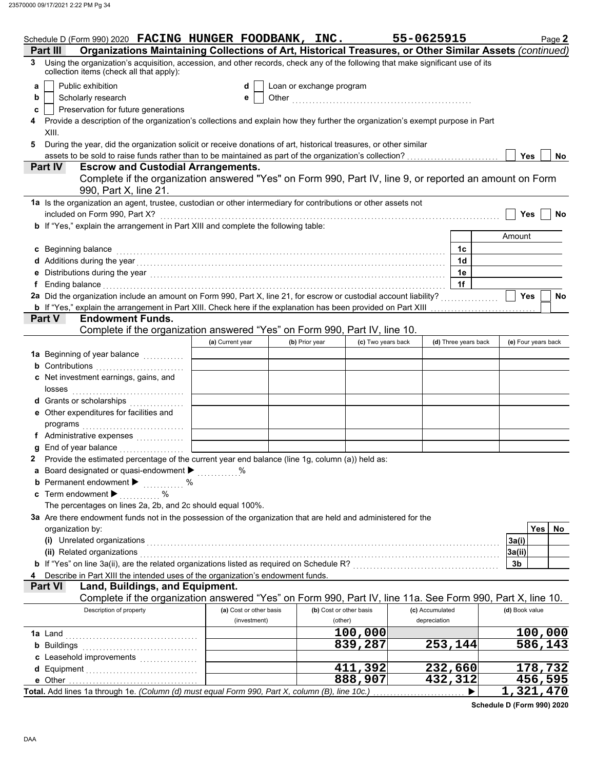|   | Schedule D (Form 990) 2020 FACING HUNGER FOODBANK, INC.                                                                                                                                                                             |                         |                          |                         | 55-0625915      |                      |                     | Page 2    |
|---|-------------------------------------------------------------------------------------------------------------------------------------------------------------------------------------------------------------------------------------|-------------------------|--------------------------|-------------------------|-----------------|----------------------|---------------------|-----------|
|   | Organizations Maintaining Collections of Art, Historical Treasures, or Other Similar Assets (continued)<br>Part III                                                                                                                 |                         |                          |                         |                 |                      |                     |           |
| 3 | Using the organization's acquisition, accession, and other records, check any of the following that make significant use of its<br>collection items (check all that apply):                                                         |                         |                          |                         |                 |                      |                     |           |
| a | Public exhibition                                                                                                                                                                                                                   | d                       | Loan or exchange program |                         |                 |                      |                     |           |
| b | Scholarly research                                                                                                                                                                                                                  | е                       |                          |                         |                 |                      |                     |           |
| c | Preservation for future generations                                                                                                                                                                                                 |                         |                          |                         |                 |                      |                     |           |
|   | Provide a description of the organization's collections and explain how they further the organization's exempt purpose in Part<br>XIII.                                                                                             |                         |                          |                         |                 |                      |                     |           |
| 5 | During the year, did the organization solicit or receive donations of art, historical treasures, or other similar                                                                                                                   |                         |                          |                         |                 |                      |                     |           |
|   |                                                                                                                                                                                                                                     |                         |                          |                         |                 |                      | <b>Yes</b>          | <b>No</b> |
|   | <b>Escrow and Custodial Arrangements.</b><br><b>Part IV</b>                                                                                                                                                                         |                         |                          |                         |                 |                      |                     |           |
|   | Complete if the organization answered "Yes" on Form 990, Part IV, line 9, or reported an amount on Form                                                                                                                             |                         |                          |                         |                 |                      |                     |           |
|   | 990, Part X, line 21.                                                                                                                                                                                                               |                         |                          |                         |                 |                      |                     |           |
|   | 1a Is the organization an agent, trustee, custodian or other intermediary for contributions or other assets not                                                                                                                     |                         |                          |                         |                 |                      |                     |           |
|   | included on Form 990, Part X?                                                                                                                                                                                                       |                         |                          |                         |                 |                      | Yes                 | No        |
|   | b If "Yes," explain the arrangement in Part XIII and complete the following table:                                                                                                                                                  |                         |                          |                         |                 |                      |                     |           |
|   |                                                                                                                                                                                                                                     |                         |                          |                         |                 |                      | Amount              |           |
|   | c Beginning balance                                                                                                                                                                                                                 |                         |                          |                         |                 | 1c                   |                     |           |
|   |                                                                                                                                                                                                                                     |                         |                          |                         |                 | 1d                   |                     |           |
|   |                                                                                                                                                                                                                                     |                         |                          |                         |                 | 1e                   |                     |           |
|   | Ending balance with a construction of the construction of the construction of the construction of the construction of the construction of the construction of the construction of the construction of the construction of the       |                         |                          |                         |                 | 1f                   |                     |           |
|   | 2a Did the organization include an amount on Form 990, Part X, line 21, for escrow or custodial account liability?                                                                                                                  |                         |                          |                         |                 |                      | <b>Yes</b>          | No        |
|   | <b>b</b> If "Yes," explain the arrangement in Part XIII. Check here if the explanation has been provided on Part XIII                                                                                                               |                         |                          |                         |                 | .                    |                     |           |
|   | Part V<br><b>Endowment Funds.</b>                                                                                                                                                                                                   |                         |                          |                         |                 |                      |                     |           |
|   | Complete if the organization answered "Yes" on Form 990, Part IV, line 10.                                                                                                                                                          |                         |                          |                         |                 |                      |                     |           |
|   |                                                                                                                                                                                                                                     | (a) Current year        | (b) Prior year           | (c) Two years back      |                 | (d) Three years back | (e) Four years back |           |
|   | 1a Beginning of year balance <i>minimals</i>                                                                                                                                                                                        |                         |                          |                         |                 |                      |                     |           |
|   | <b>b</b> Contributions <b>contributions</b>                                                                                                                                                                                         |                         |                          |                         |                 |                      |                     |           |
|   | c Net investment earnings, gains, and                                                                                                                                                                                               |                         |                          |                         |                 |                      |                     |           |
|   | d Grants or scholarships                                                                                                                                                                                                            |                         |                          |                         |                 |                      |                     |           |
|   | e Other expenditures for facilities and                                                                                                                                                                                             |                         |                          |                         |                 |                      |                     |           |
|   |                                                                                                                                                                                                                                     |                         |                          |                         |                 |                      |                     |           |
|   |                                                                                                                                                                                                                                     |                         |                          |                         |                 |                      |                     |           |
| g |                                                                                                                                                                                                                                     |                         |                          |                         |                 |                      |                     |           |
|   | 2 Provide the estimated percentage of the current year end balance (line 1g, column (a)) held as:                                                                                                                                   |                         |                          |                         |                 |                      |                     |           |
|   | a Board designated or quasi-endowment >                                                                                                                                                                                             |                         |                          |                         |                 |                      |                     |           |
|   | <b>b</b> Permanent endowment $\blacktriangleright$<br>$\sim$ $\sim$ $\sim$ $\sim$                                                                                                                                                   |                         |                          |                         |                 |                      |                     |           |
|   | c Term endowment $\blacktriangleright$<br>%<br>an<br>Salah Sula                                                                                                                                                                     |                         |                          |                         |                 |                      |                     |           |
|   | The percentages on lines 2a, 2b, and 2c should equal 100%.                                                                                                                                                                          |                         |                          |                         |                 |                      |                     |           |
|   | 3a Are there endowment funds not in the possession of the organization that are held and administered for the                                                                                                                       |                         |                          |                         |                 |                      |                     |           |
|   | organization by:                                                                                                                                                                                                                    |                         |                          |                         |                 |                      | <b>Yes</b>          | No        |
|   | (i) Unrelated organizations <i>communication</i> and the contract of the contract of the contract of the contract of the contract of the contract of the contract of the contract of the contract of the contract of the contract o |                         |                          |                         |                 |                      | 3a(i)               |           |
|   | (ii) Related organizations                                                                                                                                                                                                          |                         |                          |                         |                 |                      | 3a(ii)              |           |
|   | b If "Yes" on line 3a(ii), are the related organizations listed as required on Schedule R? [[[[[[[[[[[[[[[[[[[                                                                                                                      |                         |                          |                         |                 |                      | 3 <sub>b</sub>      |           |
| 4 | Describe in Part XIII the intended uses of the organization's endowment funds.                                                                                                                                                      |                         |                          |                         |                 |                      |                     |           |
|   | Land, Buildings, and Equipment.<br><b>Part VI</b>                                                                                                                                                                                   |                         |                          |                         |                 |                      |                     |           |
|   | Complete if the organization answered "Yes" on Form 990, Part IV, line 11a. See Form 990, Part X, line 10.                                                                                                                          |                         |                          |                         |                 |                      |                     |           |
|   | Description of property                                                                                                                                                                                                             | (a) Cost or other basis |                          | (b) Cost or other basis | (c) Accumulated |                      | (d) Book value      |           |
|   |                                                                                                                                                                                                                                     | (investment)            |                          | (other)                 | depreciation    |                      |                     |           |
|   |                                                                                                                                                                                                                                     |                         |                          | 100,000                 |                 |                      | 100,000             |           |
|   | <b>b</b> Buildings                                                                                                                                                                                                                  |                         |                          | 839,287                 |                 | 253,144              | 586,143             |           |
|   |                                                                                                                                                                                                                                     |                         |                          |                         |                 |                      |                     |           |
|   |                                                                                                                                                                                                                                     |                         |                          | 411,392                 |                 | 232,660              | 178,732             |           |
|   |                                                                                                                                                                                                                                     |                         |                          | 888,907                 |                 | 432,312              | 456,595             |           |
|   | Total. Add lines 1a through 1e. (Column (d) must equal Form 990, Part X, column (B), line 10c.)                                                                                                                                     |                         |                          |                         |                 |                      | 1,321,470           |           |

**Schedule D (Form 990) 2020**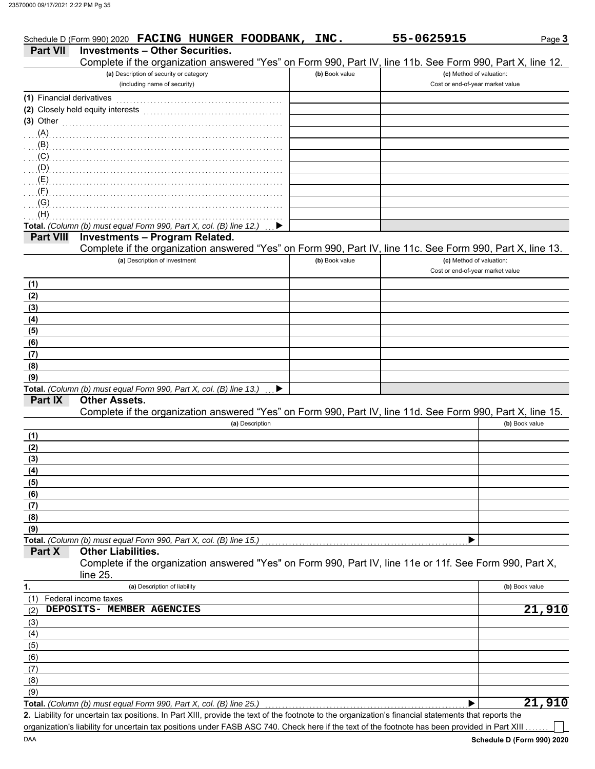| <b>Part VII</b>                        | Schedule D (Form 990) 2020 FACING HUNGER FOODBANK,<br><b>Investments - Other Securities.</b>                                                                                                                                        |                | 55-0625915                       | Page 3         |
|----------------------------------------|-------------------------------------------------------------------------------------------------------------------------------------------------------------------------------------------------------------------------------------|----------------|----------------------------------|----------------|
|                                        | Complete if the organization answered "Yes" on Form 990, Part IV, line 11b. See Form 990, Part X, line 12.                                                                                                                          |                |                                  |                |
|                                        | (a) Description of security or category                                                                                                                                                                                             | (b) Book value | (c) Method of valuation:         |                |
|                                        | (including name of security)                                                                                                                                                                                                        |                | Cost or end-of-year market value |                |
| (1) Financial derivatives              |                                                                                                                                                                                                                                     |                |                                  |                |
|                                        | (2) Closely held equity interests                                                                                                                                                                                                   |                |                                  |                |
|                                        | (3) Other <b>contracts</b> of the contract of the contract of the contract of the contract of the contract of the contract of the contract of the contract of the contract of the contract of the contract of the contract of the c |                |                                  |                |
|                                        |                                                                                                                                                                                                                                     |                |                                  |                |
|                                        |                                                                                                                                                                                                                                     |                |                                  |                |
| (C)                                    |                                                                                                                                                                                                                                     |                |                                  |                |
| (D)                                    |                                                                                                                                                                                                                                     |                |                                  |                |
| (E)                                    |                                                                                                                                                                                                                                     |                |                                  |                |
| (F)                                    |                                                                                                                                                                                                                                     |                |                                  |                |
| (G)                                    |                                                                                                                                                                                                                                     |                |                                  |                |
| (H)                                    |                                                                                                                                                                                                                                     |                |                                  |                |
|                                        | Total. (Column (b) must equal Form 990, Part X, col. (B) line 12.)<br>▶                                                                                                                                                             |                |                                  |                |
| <b>Part VIII</b>                       | <b>Investments - Program Related.</b>                                                                                                                                                                                               |                |                                  |                |
|                                        | Complete if the organization answered "Yes" on Form 990, Part IV, line 11c. See Form 990, Part X, line 13.                                                                                                                          |                |                                  |                |
|                                        | (a) Description of investment                                                                                                                                                                                                       | (b) Book value | (c) Method of valuation:         |                |
|                                        |                                                                                                                                                                                                                                     |                | Cost or end-of-year market value |                |
| (1)                                    |                                                                                                                                                                                                                                     |                |                                  |                |
| (2)                                    |                                                                                                                                                                                                                                     |                |                                  |                |
| (3)                                    |                                                                                                                                                                                                                                     |                |                                  |                |
| (4)                                    |                                                                                                                                                                                                                                     |                |                                  |                |
| (5)                                    |                                                                                                                                                                                                                                     |                |                                  |                |
| (6)                                    |                                                                                                                                                                                                                                     |                |                                  |                |
| (7)                                    |                                                                                                                                                                                                                                     |                |                                  |                |
| (8)                                    |                                                                                                                                                                                                                                     |                |                                  |                |
| (9)                                    |                                                                                                                                                                                                                                     |                |                                  |                |
|                                        | Total. (Column (b) must equal Form 990, Part X, col. (B) line 13.)<br>▶                                                                                                                                                             |                |                                  |                |
| Part IX                                | <b>Other Assets.</b>                                                                                                                                                                                                                |                |                                  |                |
|                                        | Complete if the organization answered "Yes" on Form 990, Part IV, line 11d. See Form 990, Part X, line 15.                                                                                                                          |                |                                  |                |
|                                        | (a) Description                                                                                                                                                                                                                     |                |                                  | (b) Book value |
| (1)                                    |                                                                                                                                                                                                                                     |                |                                  |                |
| (2)                                    |                                                                                                                                                                                                                                     |                |                                  |                |
| (3)                                    |                                                                                                                                                                                                                                     |                |                                  |                |
| (4)                                    |                                                                                                                                                                                                                                     |                |                                  |                |
| (5)                                    |                                                                                                                                                                                                                                     |                |                                  |                |
| (6)                                    |                                                                                                                                                                                                                                     |                |                                  |                |
| (7)                                    |                                                                                                                                                                                                                                     |                |                                  |                |
| (8)                                    |                                                                                                                                                                                                                                     |                |                                  |                |
| (9)                                    |                                                                                                                                                                                                                                     |                |                                  |                |
|                                        | Total. (Column (b) must equal Form 990, Part X, col. (B) line 15.)                                                                                                                                                                  |                |                                  |                |
| Part X                                 | <b>Other Liabilities.</b>                                                                                                                                                                                                           |                |                                  |                |
|                                        | Complete if the organization answered "Yes" on Form 990, Part IV, line 11e or 11f. See Form 990, Part X,                                                                                                                            |                |                                  |                |
|                                        | line 25.                                                                                                                                                                                                                            |                |                                  |                |
|                                        |                                                                                                                                                                                                                                     |                |                                  | (b) Book value |
| 1.                                     | (a) Description of liability                                                                                                                                                                                                        |                |                                  |                |
| (1)                                    | Federal income taxes                                                                                                                                                                                                                |                |                                  |                |
|                                        | DEPOSITS- MEMBER AGENCIES                                                                                                                                                                                                           |                |                                  |                |
|                                        |                                                                                                                                                                                                                                     |                |                                  |                |
| (2)<br>(3)                             |                                                                                                                                                                                                                                     |                |                                  |                |
|                                        |                                                                                                                                                                                                                                     |                |                                  |                |
|                                        |                                                                                                                                                                                                                                     |                |                                  |                |
|                                        |                                                                                                                                                                                                                                     |                |                                  |                |
|                                        |                                                                                                                                                                                                                                     |                |                                  |                |
| (4)<br>(5)<br>(6)<br>(7)<br>(8)<br>(9) |                                                                                                                                                                                                                                     |                |                                  | 21,910         |

organization's liability for uncertain tax positions under FASB ASC 740. Check here if the text of the footnote has been provided in Part XIII

 $\overline{\phantom{a}}$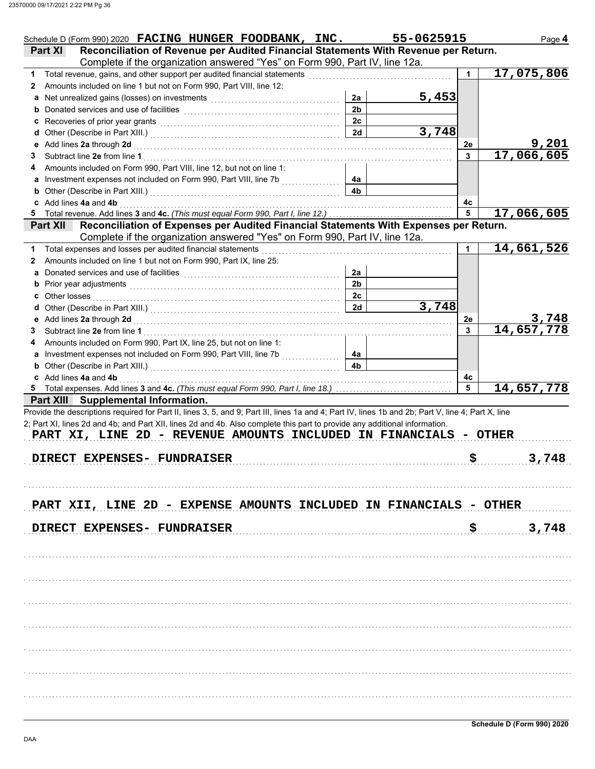|   | Schedule D (Form 990) 2020 <b>FACING HUNGER FOODBANK, INC.</b> 55-0625915                                                                                                                                       |                |       |                      | Page 4                     |
|---|-----------------------------------------------------------------------------------------------------------------------------------------------------------------------------------------------------------------|----------------|-------|----------------------|----------------------------|
|   | Reconciliation of Revenue per Audited Financial Statements With Revenue per Return.<br>Part XI                                                                                                                  |                |       |                      |                            |
|   | Complete if the organization answered "Yes" on Form 990, Part IV, line 12a.                                                                                                                                     |                |       |                      |                            |
|   | Total revenue, gains, and other support per audited financial statements                                                                                                                                        |                |       | 1                    | 17,075,806                 |
| 2 | Amounts included on line 1 but not on Form 990, Part VIII, line 12:                                                                                                                                             |                |       |                      |                            |
|   |                                                                                                                                                                                                                 | 2a             | 5,453 |                      |                            |
|   |                                                                                                                                                                                                                 | 2 <sub>b</sub> |       |                      |                            |
|   | c Recoveries of prior year grants <b>contained a container and property</b> Recoveries of prior year grants                                                                                                     | 2c             |       |                      |                            |
|   | d Other (Describe in Part XIII.) Material and Contact the Contact of Contact (Describe in Part XIII.)                                                                                                           | 2d             | 3,748 |                      |                            |
|   | e Add lines 2a through 2d                                                                                                                                                                                       |                |       | 2e                   | 9,201                      |
| З |                                                                                                                                                                                                                 |                |       | 3                    | 17,066,605                 |
|   | Amounts included on Form 990, Part VIII, line 12, but not on line 1:                                                                                                                                            |                |       |                      |                            |
|   | a Investment expenses not included on Form 990, Part VIII, line 7b<br>.                                                                                                                                         | 4a             |       |                      |                            |
|   |                                                                                                                                                                                                                 | 4b.            |       |                      |                            |
|   | c Add lines 4a and 4b                                                                                                                                                                                           |                |       | 4c                   |                            |
|   |                                                                                                                                                                                                                 |                |       | 5                    | 17,066,605                 |
|   | Reconciliation of Expenses per Audited Financial Statements With Expenses per Return.<br><b>Part XII</b>                                                                                                        |                |       |                      |                            |
|   | Complete if the organization answered "Yes" on Form 990, Part IV, line 12a.                                                                                                                                     |                |       |                      |                            |
|   | Total expenses and losses per audited financial statements                                                                                                                                                      |                |       | $\blacktriangleleft$ | 14,661,526                 |
| 2 | Amounts included on line 1 but not on Form 990, Part IX, line 25:                                                                                                                                               |                |       |                      |                            |
|   |                                                                                                                                                                                                                 | 2a             |       |                      |                            |
|   | b Prior year adjustments <b>contained a container and prior</b> Prior year adjustments                                                                                                                          | 2 <sub>b</sub> |       |                      |                            |
|   | c Other losses                                                                                                                                                                                                  | 2c             |       |                      |                            |
|   |                                                                                                                                                                                                                 | 2d             | 3,748 |                      |                            |
|   | e Add lines 2a through 2d                                                                                                                                                                                       |                |       | 2e                   | $\frac{3,748}{14,657,778}$ |
| З | Subtract line 2e from line 1                                                                                                                                                                                    |                |       | 3                    |                            |
|   | Amounts included on Form 990, Part IX, line 25, but not on line 1:                                                                                                                                              |                |       |                      |                            |
|   | a Investment expenses not included on Form 990, Part VIII, line 7b                                                                                                                                              | 4a             |       |                      |                            |
|   | <b>b</b> Other (Describe in Part XIII.) <b>CONSIDENT DESCRIPTION DESCRIPTION DESCRIPTION DESCRIPTION DESCRIPTION DESCRIPTION DESCRIPTION DESCRIPTION DESCRIPTION DESCRIPTION DESCRIPTION DESCRIPTION DESCRI</b> | 4 <sub>b</sub> |       |                      |                            |
|   | c Add lines 4a and 4b                                                                                                                                                                                           |                |       | 4с                   |                            |
|   |                                                                                                                                                                                                                 |                |       |                      |                            |
|   |                                                                                                                                                                                                                 |                |       | 5                    | 14,657,778                 |
|   | Part XIII Supplemental Information.                                                                                                                                                                             |                |       |                      |                            |
|   | Provide the descriptions required for Part II, lines 3, 5, and 9; Part III, lines 1a and 4; Part IV, lines 1b and 2b; Part V, line 4; Part X, line                                                              |                |       |                      |                            |
|   | 2; Part XI, lines 2d and 4b; and Part XII, lines 2d and 4b. Also complete this part to provide any additional information.                                                                                      |                |       |                      |                            |
|   | PART XI, LINE 2D - REVENUE AMOUNTS INCLUDED IN FINANCIALS - OTHER                                                                                                                                               |                |       |                      |                            |
|   |                                                                                                                                                                                                                 |                |       |                      |                            |
|   | DIRECT EXPENSES- FUNDRAISER                                                                                                                                                                                     |                |       |                      | 3,748<br><u>\$</u>         |
|   |                                                                                                                                                                                                                 |                |       |                      |                            |
|   |                                                                                                                                                                                                                 |                |       |                      |                            |
|   |                                                                                                                                                                                                                 |                |       |                      |                            |
|   | PART XII, LINE 2D - EXPENSE AMOUNTS INCLUDED IN FINANCIALS - OTHER                                                                                                                                              |                |       |                      |                            |
|   |                                                                                                                                                                                                                 |                |       |                      |                            |
|   | DIRECT EXPENSES- FUNDRAISER                                                                                                                                                                                     |                |       |                      | 3,748                      |
|   |                                                                                                                                                                                                                 |                |       |                      |                            |
|   |                                                                                                                                                                                                                 |                |       |                      |                            |
|   |                                                                                                                                                                                                                 |                |       |                      |                            |
|   |                                                                                                                                                                                                                 |                |       |                      |                            |
|   |                                                                                                                                                                                                                 |                |       |                      |                            |
|   |                                                                                                                                                                                                                 |                |       |                      |                            |
|   |                                                                                                                                                                                                                 |                |       |                      |                            |
|   |                                                                                                                                                                                                                 |                |       |                      |                            |
|   |                                                                                                                                                                                                                 |                |       |                      |                            |
|   |                                                                                                                                                                                                                 |                |       |                      |                            |
|   |                                                                                                                                                                                                                 |                |       |                      |                            |
|   |                                                                                                                                                                                                                 |                |       |                      |                            |
|   |                                                                                                                                                                                                                 |                |       |                      |                            |
|   |                                                                                                                                                                                                                 |                |       |                      |                            |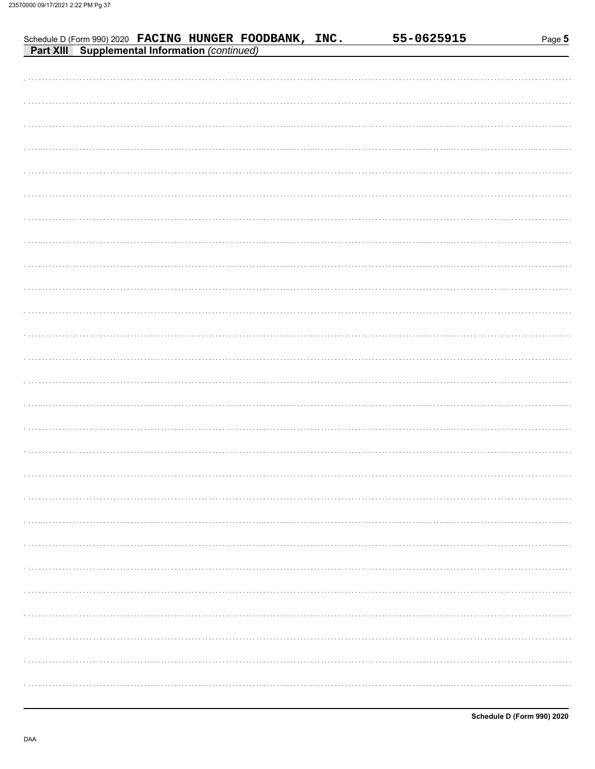| Schedule D (Form 990) 2020 FACING HUNGER FOODBANK, INC.<br>Part XIII Supplemental Information (continued) | 55-0625915 | Page 5 |
|-----------------------------------------------------------------------------------------------------------|------------|--------|
|                                                                                                           |            |        |
|                                                                                                           |            |        |
|                                                                                                           |            |        |
|                                                                                                           |            |        |
|                                                                                                           |            |        |
|                                                                                                           |            |        |
|                                                                                                           |            |        |
|                                                                                                           |            |        |
|                                                                                                           |            |        |
|                                                                                                           |            |        |
|                                                                                                           |            |        |
|                                                                                                           |            |        |
|                                                                                                           |            |        |
|                                                                                                           |            |        |
|                                                                                                           |            |        |
|                                                                                                           |            |        |
|                                                                                                           |            |        |
|                                                                                                           |            |        |
|                                                                                                           |            |        |
|                                                                                                           |            |        |
|                                                                                                           |            |        |
|                                                                                                           |            |        |
|                                                                                                           |            |        |
|                                                                                                           |            |        |
|                                                                                                           |            |        |
|                                                                                                           |            |        |
|                                                                                                           |            |        |
|                                                                                                           |            |        |
|                                                                                                           |            |        |
|                                                                                                           |            |        |
|                                                                                                           |            |        |
|                                                                                                           |            |        |
|                                                                                                           |            |        |
|                                                                                                           |            |        |
|                                                                                                           |            |        |
|                                                                                                           |            |        |
|                                                                                                           |            |        |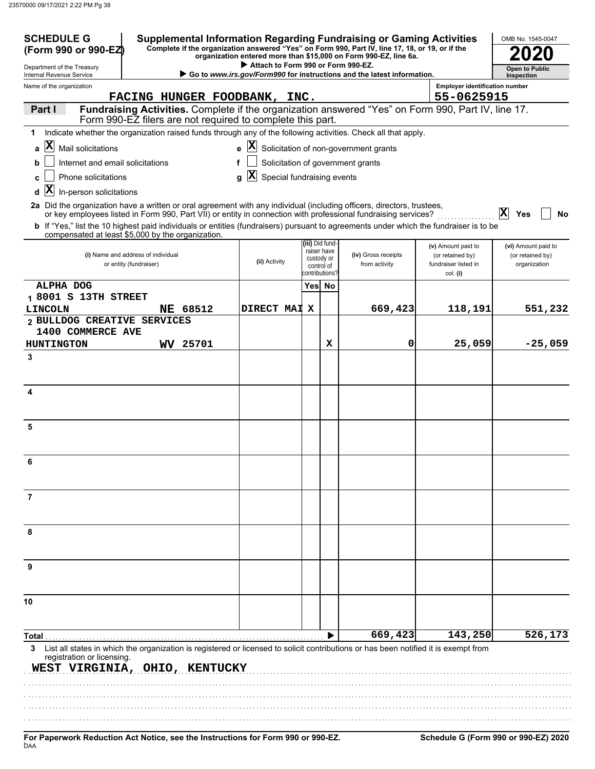| <b>SCHEDULE G</b><br>(Form 990 or 990-EZ)                                                                                                                                                                                                |                        |                                                            |                                    |                            |      |                                | Supplemental Information Regarding Fundraising or Gaming Activities<br>Complete if the organization answered "Yes" on Form 990, Part IV, line 17, 18, or 19, or if the<br>organization entered more than \$15,000 on Form 990-EZ, line 6a. |                                          | OMB No. 1545-0047                   |
|------------------------------------------------------------------------------------------------------------------------------------------------------------------------------------------------------------------------------------------|------------------------|------------------------------------------------------------|------------------------------------|----------------------------|------|--------------------------------|--------------------------------------------------------------------------------------------------------------------------------------------------------------------------------------------------------------------------------------------|------------------------------------------|-------------------------------------|
| Department of the Treasury<br>Internal Revenue Service                                                                                                                                                                                   |                        |                                                            | Attach to Form 990 or Form 990-EZ. |                            |      |                                | Go to www.irs.gov/Form990 for instructions and the latest information.                                                                                                                                                                     |                                          | <b>Open to Public</b><br>Inspection |
| Name of the organization                                                                                                                                                                                                                 |                        |                                                            |                                    |                            |      |                                |                                                                                                                                                                                                                                            | <b>Employer identification number</b>    |                                     |
|                                                                                                                                                                                                                                          |                        | FACING HUNGER FOODBANK, INC.                               |                                    |                            |      |                                |                                                                                                                                                                                                                                            | 55-0625915                               |                                     |
| Part I                                                                                                                                                                                                                                   |                        | Form 990-EZ filers are not required to complete this part. |                                    |                            |      |                                | Fundraising Activities. Complete if the organization answered "Yes" on Form 990, Part IV, line 17.                                                                                                                                         |                                          |                                     |
| Indicate whether the organization raised funds through any of the following activities. Check all that apply.<br>1                                                                                                                       |                        |                                                            |                                    |                            |      |                                |                                                                                                                                                                                                                                            |                                          |                                     |
| $ \mathbf{X} $<br>Mail solicitations<br>a                                                                                                                                                                                                |                        |                                                            | e                                  |                            |      |                                | $\mathbf{X}$ Solicitation of non-government grants                                                                                                                                                                                         |                                          |                                     |
| Internet and email solicitations<br>b                                                                                                                                                                                                    |                        |                                                            | f                                  |                            |      |                                | Solicitation of government grants                                                                                                                                                                                                          |                                          |                                     |
| Phone solicitations<br>C                                                                                                                                                                                                                 |                        |                                                            | $ {\bf X} $<br>q                   | Special fundraising events |      |                                |                                                                                                                                                                                                                                            |                                          |                                     |
| $ \mathbf{X} $                                                                                                                                                                                                                           |                        |                                                            |                                    |                            |      |                                |                                                                                                                                                                                                                                            |                                          |                                     |
| In-person solicitations<br>d                                                                                                                                                                                                             |                        |                                                            |                                    |                            |      |                                |                                                                                                                                                                                                                                            |                                          |                                     |
| 2a Did the organization have a written or oral agreement with any individual (including officers, directors, trustees,<br>or key employees listed in Form 990, Part VII) or entity in connection with professional fundraising services? |                        |                                                            |                                    |                            |      |                                |                                                                                                                                                                                                                                            |                                          | X<br><b>No</b><br>Yes               |
| <b>b</b> If "Yes," list the 10 highest paid individuals or entities (fundraisers) pursuant to agreements under which the fundraiser is to be<br>compensated at least \$5,000 by the organization.                                        |                        |                                                            |                                    |                            |      |                                |                                                                                                                                                                                                                                            |                                          |                                     |
|                                                                                                                                                                                                                                          |                        |                                                            |                                    |                            |      | (iii) Did fund-<br>raiser have |                                                                                                                                                                                                                                            | (v) Amount paid to                       | (vi) Amount paid to                 |
| (i) Name and address of individual                                                                                                                                                                                                       | or entity (fundraiser) |                                                            | (ii) Activity                      |                            |      | custody or                     | (iv) Gross receipts<br>from activity                                                                                                                                                                                                       | (or retained by)<br>fundraiser listed in | (or retained by)<br>organization    |
|                                                                                                                                                                                                                                          |                        |                                                            |                                    |                            |      | control of<br>contributions?   |                                                                                                                                                                                                                                            | col. (i)                                 |                                     |
| <b>ALPHA DOG</b>                                                                                                                                                                                                                         |                        |                                                            |                                    |                            | Yesl | No                             |                                                                                                                                                                                                                                            |                                          |                                     |
| 1 8001 S 13TH STREET                                                                                                                                                                                                                     |                        |                                                            |                                    |                            |      |                                |                                                                                                                                                                                                                                            |                                          |                                     |
| <b>LINCOLN</b>                                                                                                                                                                                                                           |                        | NE 68512                                                   | DIRECT MAI                         |                            | x    |                                | 669,423                                                                                                                                                                                                                                    | 118,191                                  | 551,232                             |
| 2 BULLDOG CREATIVE SERVICES                                                                                                                                                                                                              |                        |                                                            |                                    |                            |      |                                |                                                                                                                                                                                                                                            |                                          |                                     |
| 1400 COMMERCE AVE<br><b>HUNTINGTON</b>                                                                                                                                                                                                   |                        | WV 25701                                                   |                                    |                            |      | х                              | 0                                                                                                                                                                                                                                          | 25,059                                   | $-25,059$                           |
| 3                                                                                                                                                                                                                                        |                        |                                                            |                                    |                            |      |                                |                                                                                                                                                                                                                                            |                                          |                                     |
|                                                                                                                                                                                                                                          |                        |                                                            |                                    |                            |      |                                |                                                                                                                                                                                                                                            |                                          |                                     |
| 4                                                                                                                                                                                                                                        |                        |                                                            |                                    |                            |      |                                |                                                                                                                                                                                                                                            |                                          |                                     |
| 5                                                                                                                                                                                                                                        |                        |                                                            |                                    |                            |      |                                |                                                                                                                                                                                                                                            |                                          |                                     |
|                                                                                                                                                                                                                                          |                        |                                                            |                                    |                            |      |                                |                                                                                                                                                                                                                                            |                                          |                                     |
| ۴.                                                                                                                                                                                                                                       |                        |                                                            |                                    |                            |      |                                |                                                                                                                                                                                                                                            |                                          |                                     |
| 7                                                                                                                                                                                                                                        |                        |                                                            |                                    |                            |      |                                |                                                                                                                                                                                                                                            |                                          |                                     |
| 8                                                                                                                                                                                                                                        |                        |                                                            |                                    |                            |      |                                |                                                                                                                                                                                                                                            |                                          |                                     |
| 9                                                                                                                                                                                                                                        |                        |                                                            |                                    |                            |      |                                |                                                                                                                                                                                                                                            |                                          |                                     |
| 10                                                                                                                                                                                                                                       |                        |                                                            |                                    |                            |      |                                |                                                                                                                                                                                                                                            |                                          |                                     |
|                                                                                                                                                                                                                                          |                        |                                                            |                                    |                            |      |                                | 669,423                                                                                                                                                                                                                                    | 143,250                                  | 526,173                             |
| Total<br>List all states in which the organization is registered or licensed to solicit contributions or has been notified it is exempt from<br>3                                                                                        |                        |                                                            |                                    |                            |      |                                |                                                                                                                                                                                                                                            |                                          |                                     |
| registration or licensing.<br>WEST VIRGINIA, OHIO, KENTUCKY                                                                                                                                                                              |                        |                                                            |                                    |                            |      |                                |                                                                                                                                                                                                                                            |                                          |                                     |
|                                                                                                                                                                                                                                          |                        |                                                            |                                    |                            |      |                                |                                                                                                                                                                                                                                            |                                          |                                     |

.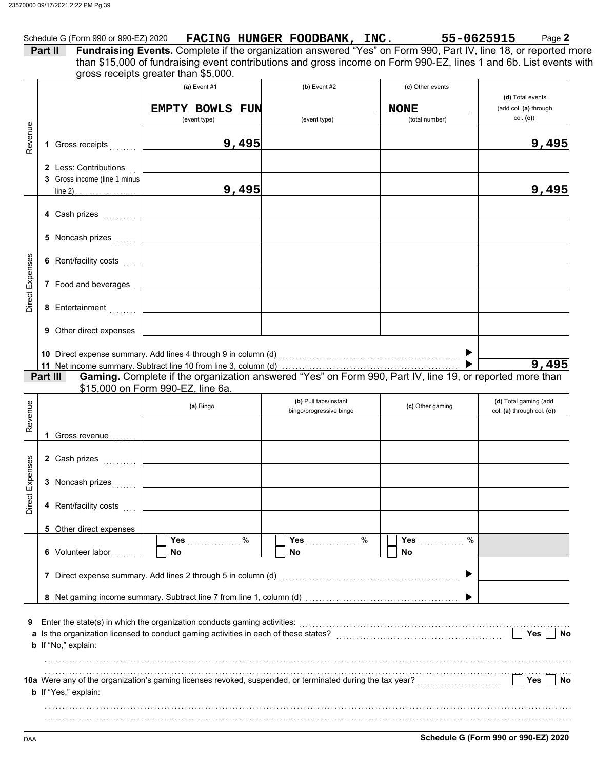|                        | Schedule G (Form 990 or 990-EZ) 2020<br>Part II       | Fundraising Events. Complete if the organization answered "Yes" on Form 990, Part IV, line 18, or reported more<br>than \$15,000 of fundraising event contributions and gross income on Form 990-EZ, lines 1 and 6b. List events with<br>gross receipts greater than \$5,000. | FACING HUNGER FOODBANK, INC. 55-0625915          |                                                   | Page 2                                                |
|------------------------|-------------------------------------------------------|-------------------------------------------------------------------------------------------------------------------------------------------------------------------------------------------------------------------------------------------------------------------------------|--------------------------------------------------|---------------------------------------------------|-------------------------------------------------------|
|                        |                                                       | $(a)$ Event #1<br>EMPTY BOWLS FUN<br>(event type)                                                                                                                                                                                                                             | (b) Event $#2$<br>(event type)                   | (c) Other events<br><b>NONE</b><br>(total number) | (d) Total events<br>(add col. (a) through<br>col. (c) |
| Revenue                | 1 Gross receipts                                      | 9,495                                                                                                                                                                                                                                                                         |                                                  |                                                   | 9,495                                                 |
|                        | 2 Less: Contributions<br>3 Gross income (line 1 minus | 9,495                                                                                                                                                                                                                                                                         |                                                  |                                                   | 9,495                                                 |
|                        | 4 Cash prizes                                         | <u> 1989 - Johann Barbara, martin a</u>                                                                                                                                                                                                                                       |                                                  |                                                   |                                                       |
|                        | 5 Noncash prizes                                      |                                                                                                                                                                                                                                                                               |                                                  |                                                   |                                                       |
|                        | 6 Rent/facility costs                                 |                                                                                                                                                                                                                                                                               |                                                  |                                                   |                                                       |
| <b>Direct Expenses</b> | 7 Food and beverages                                  | the contract of the contract of the contract of the contract of the contract of                                                                                                                                                                                               |                                                  |                                                   |                                                       |
|                        | 8 Entertainment                                       |                                                                                                                                                                                                                                                                               |                                                  |                                                   |                                                       |
|                        | 9 Other direct expenses                               |                                                                                                                                                                                                                                                                               |                                                  |                                                   |                                                       |
|                        | Part III                                              | 10 Direct expense summary. Add lines 4 through 9 in column (d) [11] content to the summation of the summation<br>\$15,000 on Form 990-EZ, line 6a.                                                                                                                            |                                                  | $\blacktriangleright$                             | 9,495                                                 |
| Revenue                |                                                       | (a) Bingo                                                                                                                                                                                                                                                                     | (b) Pull tabs/instant<br>bingo/progressive bingo | (c) Other gaming                                  | (d) Total gaming (add                                 |
|                        |                                                       |                                                                                                                                                                                                                                                                               |                                                  |                                                   | col. (a) through col. (c))                            |
|                        | Gross revenue                                         |                                                                                                                                                                                                                                                                               |                                                  |                                                   |                                                       |
| őθ                     | 2 Cash prizes<br>3 Noncash prizes                     |                                                                                                                                                                                                                                                                               |                                                  |                                                   |                                                       |
| Direct Expens          | 4 Rent/facility costs                                 |                                                                                                                                                                                                                                                                               |                                                  |                                                   |                                                       |
|                        | 5 Other direct expenses                               |                                                                                                                                                                                                                                                                               |                                                  |                                                   |                                                       |
|                        | 6 Volunteer labor                                     | %<br>Yes<br>No                                                                                                                                                                                                                                                                | Yes<br>%<br>No                                   | %<br>Yes<br>No                                    |                                                       |
|                        |                                                       | 7 Direct expense summary. Add lines 2 through 5 in column (d) [11] content content content content content of                                                                                                                                                                 |                                                  |                                                   |                                                       |
|                        |                                                       |                                                                                                                                                                                                                                                                               |                                                  |                                                   |                                                       |
| 9                      | <b>b</b> If "No," explain:                            | Enter the state(s) in which the organization conducts gaming activities:                                                                                                                                                                                                      |                                                  |                                                   | Yes<br>No                                             |
|                        | <b>b</b> If "Yes," explain:                           |                                                                                                                                                                                                                                                                               |                                                  |                                                   | Yes<br>No                                             |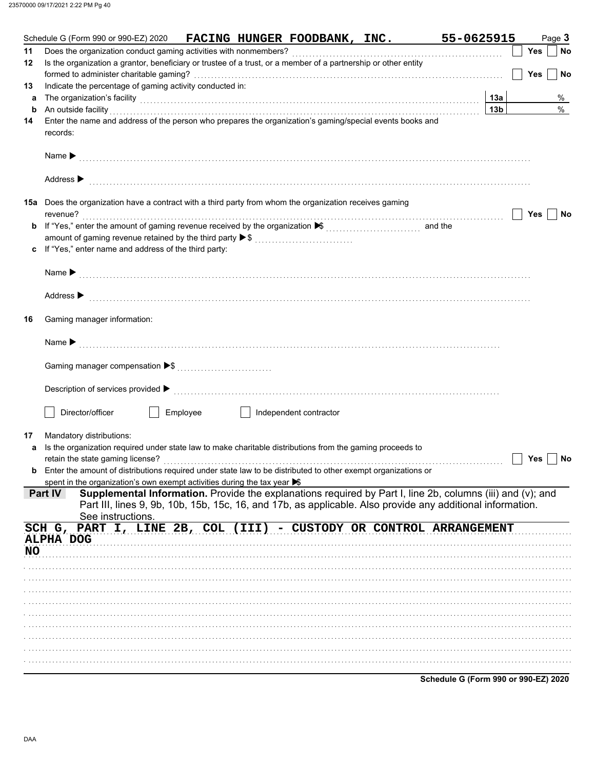|    | Schedule G (Form 990 or 990-EZ) 2020                                                                                                                                                                                                       |          |                        | FACING HUNGER FOODBANK, INC.     | 55-0625915      |     | Page 3    |
|----|--------------------------------------------------------------------------------------------------------------------------------------------------------------------------------------------------------------------------------------------|----------|------------------------|----------------------------------|-----------------|-----|-----------|
| 11 |                                                                                                                                                                                                                                            |          |                        |                                  |                 | Yes | <b>No</b> |
| 12 | Is the organization a grantor, beneficiary or trustee of a trust, or a member of a partnership or other entity                                                                                                                             |          |                        |                                  |                 |     |           |
|    |                                                                                                                                                                                                                                            |          |                        |                                  |                 | Yes | <b>No</b> |
| 13 | Indicate the percentage of gaming activity conducted in:                                                                                                                                                                                   |          |                        |                                  |                 |     |           |
| a  |                                                                                                                                                                                                                                            |          |                        |                                  | 13a             |     | %         |
| b  | An outside facility encourance and account of the contract of the contract of the contract of the contract of                                                                                                                              |          |                        |                                  | 13 <sub>b</sub> |     | $\%$      |
| 14 | Enter the name and address of the person who prepares the organization's gaming/special events books and<br>records:                                                                                                                       |          |                        |                                  |                 |     |           |
|    |                                                                                                                                                                                                                                            |          |                        |                                  |                 |     |           |
|    |                                                                                                                                                                                                                                            |          |                        |                                  |                 |     |           |
|    | Address $\blacktriangleright$                                                                                                                                                                                                              |          |                        |                                  |                 |     |           |
|    | 15a Does the organization have a contract with a third party from whom the organization receives gaming                                                                                                                                    |          |                        |                                  |                 |     |           |
|    | revenue?                                                                                                                                                                                                                                   |          |                        |                                  |                 | Yes | No        |
| b  | If "Yes," enter the amount of gaming revenue received by the organization ▶ (\\times\)                                                                                                                                                     |          |                        |                                  |                 |     |           |
| C  | amount of gaming revenue retained by the third party ▶ \$<br>If "Yes," enter name and address of the third party:                                                                                                                          |          |                        |                                  |                 |     |           |
|    |                                                                                                                                                                                                                                            |          |                        |                                  |                 |     |           |
|    | Address $\blacktriangleright$                                                                                                                                                                                                              |          |                        |                                  |                 |     |           |
| 16 | Gaming manager information:                                                                                                                                                                                                                |          |                        |                                  |                 |     |           |
|    |                                                                                                                                                                                                                                            |          |                        |                                  |                 |     |           |
|    | Name <b>&gt;</b> 2000 contract the contract of the contract of the contract of the contract of the contract of the contract of the contract of the contract of the contract of the contract of the contract of the contract of the con     |          |                        |                                  |                 |     |           |
|    |                                                                                                                                                                                                                                            |          |                        |                                  |                 |     |           |
|    |                                                                                                                                                                                                                                            |          |                        |                                  |                 |     |           |
|    |                                                                                                                                                                                                                                            |          |                        |                                  |                 |     |           |
|    |                                                                                                                                                                                                                                            |          |                        |                                  |                 |     |           |
|    | Director/officer                                                                                                                                                                                                                           | Employee | Independent contractor |                                  |                 |     |           |
| 17 | Mandatory distributions:                                                                                                                                                                                                                   |          |                        |                                  |                 |     |           |
| a  | Is the organization required under state law to make charitable distributions from the gaming proceeds to                                                                                                                                  |          |                        |                                  |                 |     |           |
|    |                                                                                                                                                                                                                                            |          |                        |                                  |                 | Yes | No        |
| b  | Enter the amount of distributions required under state law to be distributed to other exempt organizations or                                                                                                                              |          |                        |                                  |                 |     |           |
|    | spent in the organization's own exempt activities during the tax year S                                                                                                                                                                    |          |                        |                                  |                 |     |           |
|    | Supplemental Information. Provide the explanations required by Part I, line 2b, columns (iii) and (v); and<br><b>Part IV</b><br>Part III, lines 9, 9b, 10b, 15b, 15c, 16, and 17b, as applicable. Also provide any additional information. |          |                        |                                  |                 |     |           |
|    | See instructions.                                                                                                                                                                                                                          |          |                        |                                  |                 |     |           |
|    | SCH G, PART I, LINE 2B, COL (III)                                                                                                                                                                                                          |          |                        | - CUSTODY OR CONTROL ARRANGEMENT |                 |     |           |
|    | ALPHA DOG                                                                                                                                                                                                                                  |          |                        |                                  |                 |     |           |
| NO |                                                                                                                                                                                                                                            |          |                        |                                  |                 |     |           |
|    |                                                                                                                                                                                                                                            |          |                        |                                  |                 |     |           |
|    |                                                                                                                                                                                                                                            |          |                        |                                  |                 |     |           |
|    |                                                                                                                                                                                                                                            |          |                        |                                  |                 |     |           |
|    |                                                                                                                                                                                                                                            |          |                        |                                  |                 |     |           |
|    |                                                                                                                                                                                                                                            |          |                        |                                  |                 |     |           |
|    |                                                                                                                                                                                                                                            |          |                        |                                  |                 |     |           |
|    |                                                                                                                                                                                                                                            |          |                        |                                  |                 |     |           |
|    |                                                                                                                                                                                                                                            |          |                        |                                  |                 |     |           |
|    |                                                                                                                                                                                                                                            |          |                        |                                  |                 |     |           |
|    |                                                                                                                                                                                                                                            |          |                        |                                  |                 |     |           |

Schedule G (Form 990 or 990-EZ) 2020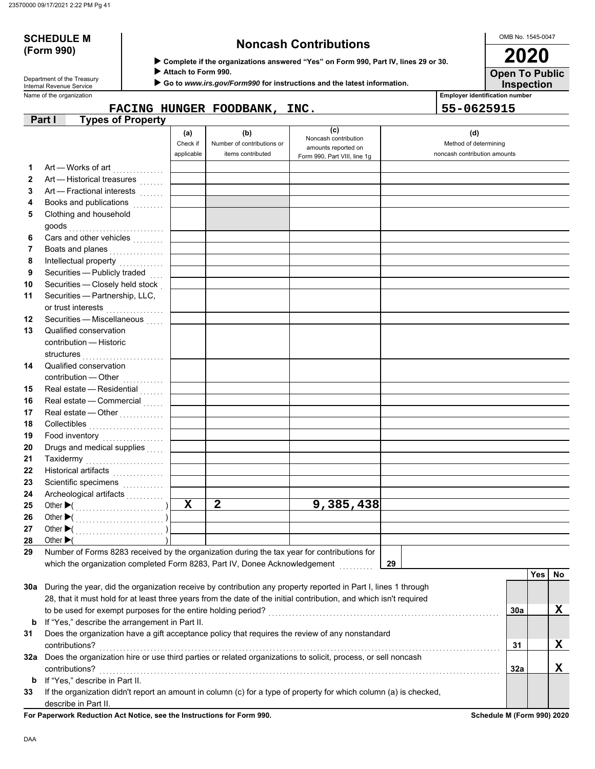# **(Form 990)**

# **SCHEDULE M Noncash Contributions**

 **Complete if the organizations answered "Yes" on Form 990, Part IV, lines 29 or 30.**

 **Attach to Form 990.**

 **Go to** *www.irs.gov/Form990* **for instructions and the latest information.**

Name of the organization **Employer identification number Employer identification number** Department of the Treasury<br>Internal Revenue Service

### FACING HUNGER FOODBANK, INC. 55-0625915

|          | <b>Types of Property</b><br>Part I                                                                                 |                 |                                   |                                                    |                              |     |            |    |
|----------|--------------------------------------------------------------------------------------------------------------------|-----------------|-----------------------------------|----------------------------------------------------|------------------------------|-----|------------|----|
|          |                                                                                                                    | (a)<br>Check if | (b)<br>Number of contributions or | (c)<br>Noncash contribution<br>amounts reported on | (d)<br>Method of determining |     |            |    |
|          |                                                                                                                    | applicable      | items contributed                 | Form 990, Part VIII, line 1g                       | noncash contribution amounts |     |            |    |
| 1        | Art - Works of art                                                                                                 |                 |                                   |                                                    |                              |     |            |    |
| 2        | Art - Historical treasures                                                                                         |                 |                                   |                                                    |                              |     |            |    |
| 3        | Art - Fractional interests                                                                                         |                 |                                   |                                                    |                              |     |            |    |
| 4        | Books and publications                                                                                             |                 |                                   |                                                    |                              |     |            |    |
| 5        | Clothing and household<br>goods                                                                                    |                 |                                   |                                                    |                              |     |            |    |
| 6        | Cars and other vehicles                                                                                            |                 |                                   |                                                    |                              |     |            |    |
| 7        | Boats and planes<br>.                                                                                              |                 |                                   |                                                    |                              |     |            |    |
| 8        |                                                                                                                    |                 |                                   |                                                    |                              |     |            |    |
| 9        | Securities - Publicly traded                                                                                       |                 |                                   |                                                    |                              |     |            |    |
| 10       | Securities - Closely held stock                                                                                    |                 |                                   |                                                    |                              |     |            |    |
| 11       | Securities - Partnership, LLC,                                                                                     |                 |                                   |                                                    |                              |     |            |    |
|          | or trust interests                                                                                                 |                 |                                   |                                                    |                              |     |            |    |
| 12       | Securities - Miscellaneous                                                                                         |                 |                                   |                                                    |                              |     |            |    |
| 13       | Qualified conservation                                                                                             |                 |                                   |                                                    |                              |     |            |    |
|          | contribution - Historic                                                                                            |                 |                                   |                                                    |                              |     |            |    |
|          | structures                                                                                                         |                 |                                   |                                                    |                              |     |            |    |
| 14       | Qualified conservation                                                                                             |                 |                                   |                                                    |                              |     |            |    |
|          | contribution - Other                                                                                               |                 |                                   |                                                    |                              |     |            |    |
| 15       | Real estate - Residential                                                                                          |                 |                                   |                                                    |                              |     |            |    |
| 16       | Real estate - Commercial                                                                                           |                 |                                   |                                                    |                              |     |            |    |
| 17       | Real estate - Other<br>                                                                                            |                 |                                   |                                                    |                              |     |            |    |
| 18       | Collectibles                                                                                                       |                 |                                   |                                                    |                              |     |            |    |
| 19       | Food inventory                                                                                                     |                 |                                   |                                                    |                              |     |            |    |
| 20<br>21 | Drugs and medical supplies<br>Taxidermy                                                                            |                 |                                   |                                                    |                              |     |            |    |
| 22       | .<br>Historical artifacts                                                                                          |                 |                                   |                                                    |                              |     |            |    |
| 23       | Scientific specimens                                                                                               |                 |                                   |                                                    |                              |     |            |    |
| 24       | Archeological artifacts                                                                                            |                 |                                   |                                                    |                              |     |            |    |
| 25       |                                                                                                                    | $\mathbf x$     | $\overline{2}$                    | 9,385,438                                          |                              |     |            |    |
| 26       |                                                                                                                    |                 |                                   |                                                    |                              |     |            |    |
| 27       | Other $\blacktriangleright$ (                                                                                      |                 |                                   |                                                    |                              |     |            |    |
| 28       | Other $\blacktriangleright$ (                                                                                      |                 |                                   |                                                    |                              |     |            |    |
|          | 29 Number of Forms 8283 received by the organization during the tax year for contributions for                     |                 |                                   |                                                    |                              |     |            |    |
|          | which the organization completed Form 8283, Part IV, Donee Acknowledgement                                         |                 |                                   |                                                    | 29                           |     |            |    |
|          |                                                                                                                    |                 |                                   |                                                    |                              |     | <b>Yes</b> | No |
|          | 30a During the year, did the organization receive by contribution any property reported in Part I, lines 1 through |                 |                                   |                                                    |                              |     |            |    |
|          | 28, that it must hold for at least three years from the date of the initial contribution, and which isn't required |                 |                                   |                                                    |                              |     |            |    |
|          | to be used for exempt purposes for the entire holding period?                                                      |                 |                                   |                                                    |                              | 30a |            | X  |
|          | <b>b</b> If "Yes," describe the arrangement in Part II.                                                            |                 |                                   |                                                    |                              |     |            |    |
| 31       | Does the organization have a gift acceptance policy that requires the review of any nonstandard                    |                 |                                   |                                                    |                              |     |            |    |
|          | contributions?                                                                                                     |                 |                                   |                                                    |                              | 31  |            | X  |
|          | 32a Does the organization hire or use third parties or related organizations to solicit, process, or sell noncash  |                 |                                   |                                                    |                              |     |            |    |
|          | contributions?                                                                                                     |                 |                                   |                                                    |                              | 32a |            | X  |
|          | <b>b</b> If "Yes," describe in Part II.                                                                            |                 |                                   |                                                    |                              |     |            |    |

**33** If the organization didn't report an amount in column (c) for a type of property for which column (a) is checked, describe in Part II.

**For Paperwork Reduction Act Notice, see the Instructions for Form 990. Schedule M (Form 990) 2020**

OMB No. 1545-0047 **2020**

**Inspection Open To Public**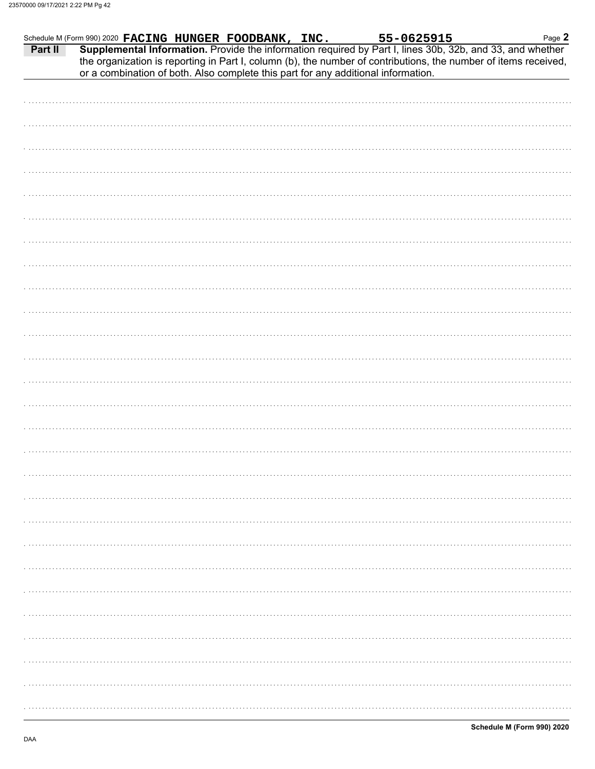|                                                                                   |  |  | Page 2                                                                                                                                                                                                                                                                                                            |
|-----------------------------------------------------------------------------------|--|--|-------------------------------------------------------------------------------------------------------------------------------------------------------------------------------------------------------------------------------------------------------------------------------------------------------------------|
|                                                                                   |  |  | Schedule M (Form 990) 2020 FACING HUNGER FOODBANK, INC. 55-0625915 Page 2<br>Part II Supplemental Information. Provide the information required by Part I, lines 30b, 32b, and 33, and whether<br>the organization is reporting in Part I, column (b), the number of contributions, the number of items received, |
| or a combination of both. Also complete this part for any additional information. |  |  |                                                                                                                                                                                                                                                                                                                   |
|                                                                                   |  |  |                                                                                                                                                                                                                                                                                                                   |
|                                                                                   |  |  |                                                                                                                                                                                                                                                                                                                   |
|                                                                                   |  |  |                                                                                                                                                                                                                                                                                                                   |
|                                                                                   |  |  |                                                                                                                                                                                                                                                                                                                   |
|                                                                                   |  |  |                                                                                                                                                                                                                                                                                                                   |
|                                                                                   |  |  |                                                                                                                                                                                                                                                                                                                   |
|                                                                                   |  |  |                                                                                                                                                                                                                                                                                                                   |
|                                                                                   |  |  |                                                                                                                                                                                                                                                                                                                   |
|                                                                                   |  |  |                                                                                                                                                                                                                                                                                                                   |
|                                                                                   |  |  |                                                                                                                                                                                                                                                                                                                   |
|                                                                                   |  |  |                                                                                                                                                                                                                                                                                                                   |
|                                                                                   |  |  |                                                                                                                                                                                                                                                                                                                   |
|                                                                                   |  |  |                                                                                                                                                                                                                                                                                                                   |
|                                                                                   |  |  |                                                                                                                                                                                                                                                                                                                   |
|                                                                                   |  |  |                                                                                                                                                                                                                                                                                                                   |
|                                                                                   |  |  |                                                                                                                                                                                                                                                                                                                   |
|                                                                                   |  |  |                                                                                                                                                                                                                                                                                                                   |
|                                                                                   |  |  |                                                                                                                                                                                                                                                                                                                   |
|                                                                                   |  |  |                                                                                                                                                                                                                                                                                                                   |
|                                                                                   |  |  |                                                                                                                                                                                                                                                                                                                   |
|                                                                                   |  |  |                                                                                                                                                                                                                                                                                                                   |
|                                                                                   |  |  |                                                                                                                                                                                                                                                                                                                   |
|                                                                                   |  |  |                                                                                                                                                                                                                                                                                                                   |
|                                                                                   |  |  |                                                                                                                                                                                                                                                                                                                   |
|                                                                                   |  |  |                                                                                                                                                                                                                                                                                                                   |
|                                                                                   |  |  |                                                                                                                                                                                                                                                                                                                   |
|                                                                                   |  |  |                                                                                                                                                                                                                                                                                                                   |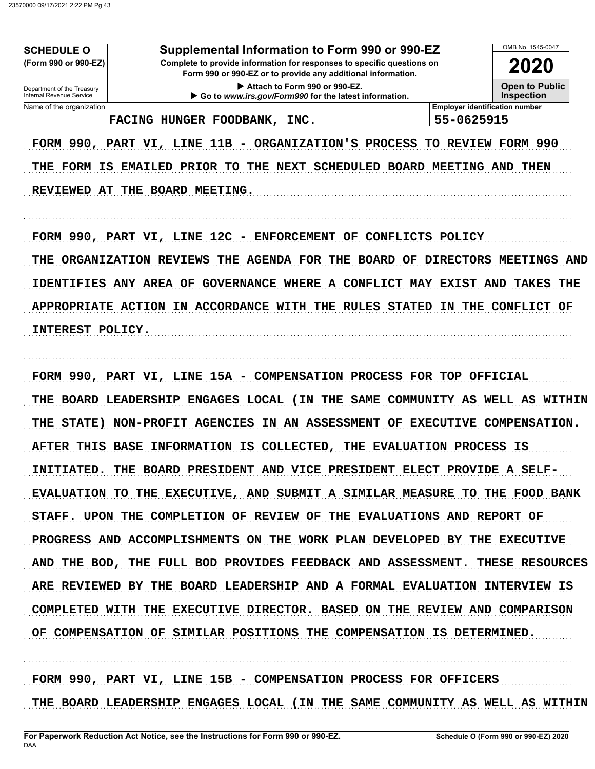**SCHEDULE O** (Form 990 or 990-EZ)

Supplemental Information to Form 990 or 990-EZ

Complete to provide information for responses to specific questions on Form 990 or 990-EZ or to provide any additional information.

> Attach to Form 990 or 990-EZ. Go to www.irs.gov/Form990 for the latest information.

> > INC.

FACING HUNGER FOODBANK,

2020

**Open to Public Inspection** 

OMB No. 1545-0047

Department of the Treasury<br>Internal Revenue Service Name of the organization

**Employer identification number** 55-0625915

FORM 990, PART VI, LINE 11B - ORGANIZATION'S PROCESS TO REVIEW FORM 990 THE FORM IS EMAILED PRIOR TO THE NEXT SCHEDULED BOARD MEETING AND THEN REVIEWED AT THE BOARD MEETING.

FORM 990, PART VI, LINE 12C - ENFORCEMENT OF CONFLICTS POLICY THE ORGANIZATION REVIEWS THE AGENDA FOR THE BOARD OF DIRECTORS MEETINGS AND IDENTIFIES ANY AREA OF GOVERNANCE WHERE A CONFLICT MAY EXIST AND TAKES THE APPROPRIATE ACTION IN ACCORDANCE WITH THE RULES STATED IN THE CONFLICT OF INTEREST POLICY.

FORM 990, PART VI, LINE 15A - COMPENSATION PROCESS FOR TOP OFFICIAL THE BOARD LEADERSHIP ENGAGES LOCAL (IN THE SAME COMMUNITY AS WELL AS WITHIN THE STATE) NON-PROFIT AGENCIES IN AN ASSESSMENT OF EXECUTIVE COMPENSATION. AFTER THIS BASE INFORMATION IS COLLECTED, THE EVALUATION PROCESS IS INITIATED. THE BOARD PRESIDENT AND VICE PRESIDENT ELECT PROVIDE A SELF-EVALUATION TO THE EXECUTIVE, AND SUBMIT A SIMILAR MEASURE TO THE FOOD BANK STAFF. UPON THE COMPLETION OF REVIEW OF THE EVALUATIONS AND REPORT OF PROGRESS AND ACCOMPLISHMENTS ON THE WORK PLAN DEVELOPED BY THE EXECUTIVE AND THE BOD, THE FULL BOD PROVIDES FEEDBACK AND ASSESSMENT. THESE RESOURCES ARE REVIEWED BY THE BOARD LEADERSHIP AND A FORMAL EVALUATION INTERVIEW IS COMPLETED WITH THE EXECUTIVE DIRECTOR. BASED ON THE REVIEW AND COMPARISON OF COMPENSATION OF SIMILAR POSITIONS THE COMPENSATION IS DETERMINED.

FORM 990, PART VI, LINE 15B - COMPENSATION PROCESS FOR OFFICERS THE BOARD LEADERSHIP ENGAGES LOCAL (IN THE SAME COMMUNITY AS WELL AS WITHIN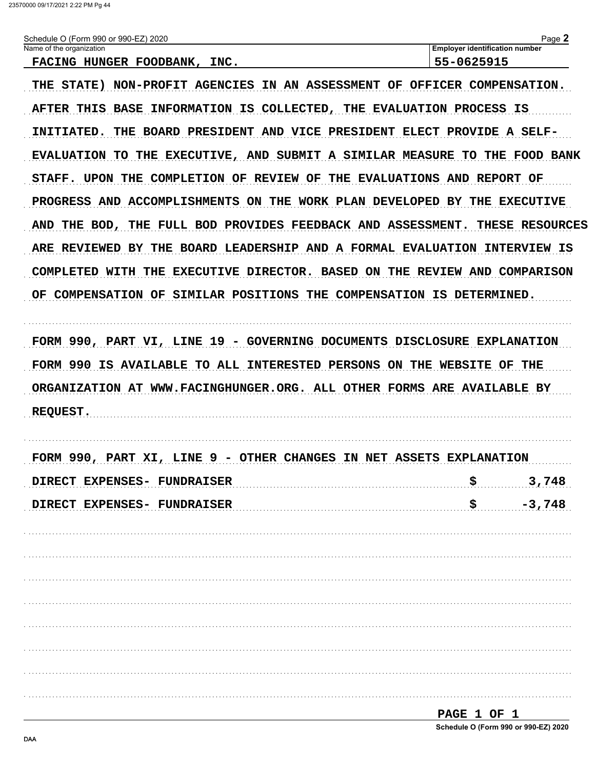| 2020                            | ەمەد                                  |
|---------------------------------|---------------------------------------|
| Schedule O (Form 990 or 990-EZ) | auc                                   |
| Name of the organization        | <b>Employer identification number</b> |
| TNC.                            | 069E01E                               |
| FACTNG                          | $-$                                   |
| <b>HUNGER</b>                   | ''''''''                              |
| <b>FOODBANK</b>                 | .                                     |

THE STATE) NON-PROFIT AGENCIES IN AN ASSESSMENT OF OFFICER COMPENSATION. AFTER THIS BASE INFORMATION IS COLLECTED, THE EVALUATION PROCESS IS INITIATED. THE BOARD PRESIDENT AND VICE PRESIDENT ELECT PROVIDE A SELF-EVALUATION TO THE EXECUTIVE, AND SUBMIT A SIMILAR MEASURE TO THE FOOD BANK STAFF. UPON THE COMPLETION OF REVIEW OF THE EVALUATIONS AND REPORT OF PROGRESS AND ACCOMPLISHMENTS ON THE WORK PLAN DEVELOPED BY THE EXECUTIVE AND THE BOD, THE FULL BOD PROVIDES FEEDBACK AND ASSESSMENT. THESE RESOURCES ARE REVIEWED BY THE BOARD LEADERSHIP AND A FORMAL EVALUATION INTERVIEW IS COMPLETED WITH THE EXECUTIVE DIRECTOR. BASED ON THE REVIEW AND COMPARISON OF COMPENSATION OF SIMILAR POSITIONS THE COMPENSATION IS DETERMINED.

FORM 990, PART VI, LINE 19 - GOVERNING DOCUMENTS DISCLOSURE EXPLANATION FORM 990 IS AVAILABLE TO ALL INTERESTED PERSONS ON THE WEBSITE OF THE ORGANIZATION AT WWW.FACINGHUNGER.ORG. ALL OTHER FORMS ARE AVAILABLE BY REQUEST.

| FORM 990, PART XI, LINE 9 - OTHER CHANGES IN NET ASSETS EXPLANATION |                           |          |
|---------------------------------------------------------------------|---------------------------|----------|
| DIRECT EXPENSES- FUNDRAISER                                         |                           | \$748    |
| DIRECT EXPENSES- FUNDRAISER                                         | $\boldsymbol{\mathsf{S}}$ | $-3,748$ |
|                                                                     |                           |          |
|                                                                     |                           |          |
|                                                                     |                           |          |
|                                                                     |                           |          |
|                                                                     |                           |          |
|                                                                     |                           |          |
|                                                                     |                           |          |
|                                                                     |                           |          |
|                                                                     |                           |          |

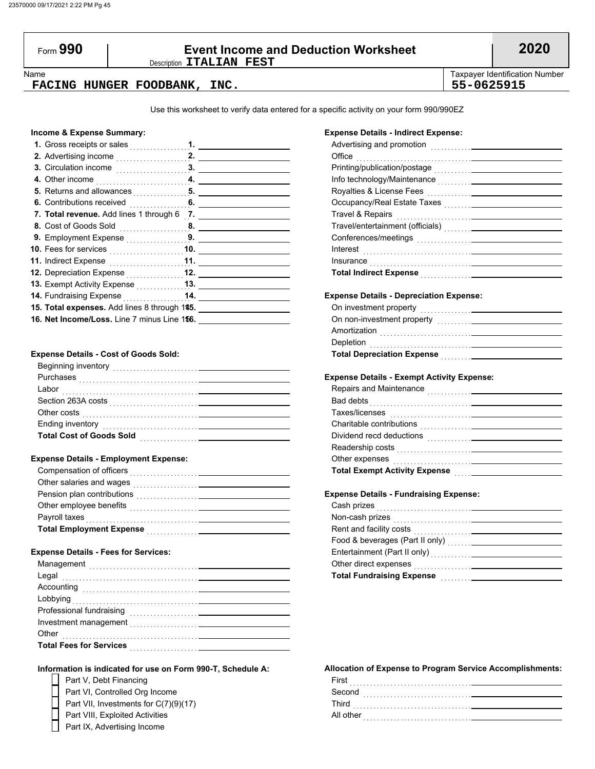### Description **ITALIAN FEST** Form **990 Event Income and Deduction Worksheet 2020**

#### FACING HUNGER FOODBANK, INC. 55-0625915

Name Taxpayer Identification Number

Use this worksheet to verify data entered for a specific activity on your form 990/990EZ

#### **Income & Expense Summary:**

| 2. Advertising income 2.                                      |  |
|---------------------------------------------------------------|--|
| 3. Circulation income $\begin{array}{ccc} 3. & 1 \end{array}$ |  |
|                                                               |  |
|                                                               |  |
|                                                               |  |
| 7. Total revenue. Add lines 1 through 6 7.                    |  |
|                                                               |  |
| 9. Employment Expense 9.                                      |  |
|                                                               |  |
|                                                               |  |
| 12. Depreciation Expense 12.                                  |  |
| 13. Exempt Activity Expense 113.                              |  |
| 14. Fundraising Expense  14.                                  |  |
| 15. Total expenses. Add lines 8 through 145.                  |  |
| 16. Net Income/Loss. Line 7 minus Line 156.                   |  |

#### **Expense Details - Cost of Goods Sold:**

| Beginning inventory             |  |
|---------------------------------|--|
| Purchases                       |  |
| Labor                           |  |
| Section 263A costs              |  |
| Other costs                     |  |
| Ending inventory                |  |
| <b>Total Cost of Goods Sold</b> |  |
|                                 |  |

#### **Expense Details - Employment Expense:**

| Compensation of officers        |  |
|---------------------------------|--|
| Other salaries and wages        |  |
| Pension plan contributions      |  |
| Other employee benefits         |  |
| Payroll taxes                   |  |
| <b>Total Employment Expense</b> |  |

#### **Expense Details - Fees for Services:**

| Management                                               |
|----------------------------------------------------------|
|                                                          |
|                                                          |
|                                                          |
| Professional fundraising <sub>………………</sub> _____________ |
| Investment management                                    |
| Other                                                    |
| <b>Total Fees for Services</b>                           |
|                                                          |

#### **Information is indicated for use on Form 990-T, Schedule A:**

Part V, Debt Financing Part IX, Advertising Income Part VIII, Exploited Activities Part VI, Controlled Org Income Part VII, Investments for C(7)(9)(17)

#### **Expense Details - Indirect Expense:**

| Advertising and promotion with the control of the control of the control of the control of the control of the control of the control of the control of the control of the control of the control of the control of the control         |
|----------------------------------------------------------------------------------------------------------------------------------------------------------------------------------------------------------------------------------------|
| Office                                                                                                                                                                                                                                 |
|                                                                                                                                                                                                                                        |
|                                                                                                                                                                                                                                        |
|                                                                                                                                                                                                                                        |
|                                                                                                                                                                                                                                        |
|                                                                                                                                                                                                                                        |
|                                                                                                                                                                                                                                        |
|                                                                                                                                                                                                                                        |
|                                                                                                                                                                                                                                        |
|                                                                                                                                                                                                                                        |
|                                                                                                                                                                                                                                        |
|                                                                                                                                                                                                                                        |
|                                                                                                                                                                                                                                        |
| <b>Expense Details - Depreciation Expense:</b>                                                                                                                                                                                         |
|                                                                                                                                                                                                                                        |
| On investment property with the control of the control of the control of the control of the control of the control of the control of the control of the control of the control of the control of the control of the control of         |
| On non-investment property<br><u> and the contract of the contract of the contract of the contract of the contract of the contract of the contract of the contract of the contract of the contract of the contract of the contract</u> |
|                                                                                                                                                                                                                                        |
| Total Depreciation Expense [1989] [1989] [1989] [1989] [1989] [1989] [1989] [1989] [1989] [1989] [1989] [1989]                                                                                                                         |
|                                                                                                                                                                                                                                        |
| <b>Expense Details - Exempt Activity Expense:</b>                                                                                                                                                                                      |
|                                                                                                                                                                                                                                        |
|                                                                                                                                                                                                                                        |
|                                                                                                                                                                                                                                        |
|                                                                                                                                                                                                                                        |
|                                                                                                                                                                                                                                        |
|                                                                                                                                                                                                                                        |

#### **Expense Details - Fundraising Expense:**

| Other direct expenses            |
|----------------------------------|
| <b>Total Fundraising Expense</b> |
|                                  |

**Total Exempt Activity Expense** . . . . .

Other expenses . . . . . . . . . . . . . . . . . . . . . . .

| First<br>.                      |  |
|---------------------------------|--|
| Second<br>.                     |  |
| <b>Third</b><br>$\cdot$ $\cdot$ |  |
| All other<br>.                  |  |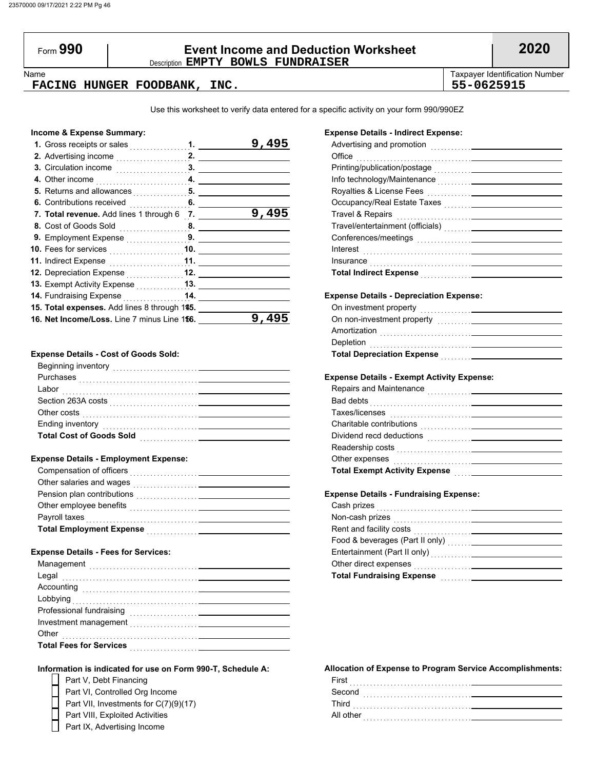### Description **EMPTY BOWLS FUNDRAISER** Form **990 Event Income and Deduction Worksheet 2020**

Name **Taxpayer Identification Number** Number 1 and Taxpayer Identification Number

### FACING HUNGER FOODBANK, INC. 55-0625915

Use this worksheet to verify data entered for a specific activity on your form 990/990EZ

#### **Income & Expense Summary:**

| 1. Gross receipts or sales <b>constants</b>                                                                                                                                                                                         | 1.  |       |
|-------------------------------------------------------------------------------------------------------------------------------------------------------------------------------------------------------------------------------------|-----|-------|
|                                                                                                                                                                                                                                     |     |       |
| 3. Circulation income                                                                                                                                                                                                               | 3.  |       |
| 4. Other income                                                                                                                                                                                                                     |     |       |
| 5. Returns and allowances 5.                                                                                                                                                                                                        |     |       |
| <b>6.</b> Contributions received<br>.                                                                                                                                                                                               | 6.  |       |
| 7. Total revenue. Add lines 1 through 6 7.                                                                                                                                                                                          |     | 9,495 |
|                                                                                                                                                                                                                                     |     |       |
| 9. Employment Expense 9.                                                                                                                                                                                                            |     |       |
| 10. Fees for services <b>10.</b> 10.                                                                                                                                                                                                |     |       |
| 11. Indirect Expense <b>Production</b> in the sense in the sense in the sense in the sense in the sense in the sense in the sense in the sense in the sense in the sense in the sense in the sense in the sense in the sense in the | 11. |       |
| 12. Depreciation Expense 12.                                                                                                                                                                                                        |     |       |
| 13. Exempt Activity Expense 13.                                                                                                                                                                                                     |     |       |
| 14. Fundraising Expense <b>Constantine 14.</b>                                                                                                                                                                                      |     |       |
| 15. Total expenses. Add lines 8 through 145.                                                                                                                                                                                        |     |       |
| 16. Net Income/Loss. Line 7 minus Line 156.                                                                                                                                                                                         |     |       |

#### **Expense Details - Cost of Goods Sold:**

| Beginning inventory             |
|---------------------------------|
| Purchases                       |
| Labor                           |
| Section 263A costs              |
| Other costs                     |
| Ending inventory                |
| <b>Total Cost of Goods Sold</b> |
|                                 |

#### **Expense Details - Employment Expense:**

| Compensation of officers        |  |
|---------------------------------|--|
| Other salaries and wages        |  |
| Pension plan contributions<br>. |  |
| Other employee benefits         |  |
| Payroll taxes<br>.              |  |
| <b>Total Employment Expense</b> |  |

#### **Expense Details - Fees for Services:**

| Professional fundraising       |
|--------------------------------|
|                                |
| Other                          |
| <b>Total Fees for Services</b> |
|                                |

#### **Information is indicated for use on Form 990-T, Schedule A:**

Part V, Debt Financing Part IX, Advertising Income Part VIII, Exploited Activities Part VI, Controlled Org Income Part VII, Investments for C(7)(9)(17)

#### **Expense Details - Indirect Expense:**

| Office                                                                                                                     |  |
|----------------------------------------------------------------------------------------------------------------------------|--|
|                                                                                                                            |  |
|                                                                                                                            |  |
|                                                                                                                            |  |
|                                                                                                                            |  |
|                                                                                                                            |  |
|                                                                                                                            |  |
|                                                                                                                            |  |
|                                                                                                                            |  |
|                                                                                                                            |  |
| Total Indirect Expense <b>Construction of the Construction of the Construction of the Construction of the Construction</b> |  |
|                                                                                                                            |  |
| <b>Expense Details - Depreciation Expense:</b>                                                                             |  |
|                                                                                                                            |  |
|                                                                                                                            |  |
|                                                                                                                            |  |
|                                                                                                                            |  |
|                                                                                                                            |  |
| <b>Expense Details - Exempt Activity Expense:</b>                                                                          |  |
| Repairs and Maintenance <sub>……………</sub> ___________                                                                       |  |
|                                                                                                                            |  |
|                                                                                                                            |  |
|                                                                                                                            |  |
|                                                                                                                            |  |
|                                                                                                                            |  |
|                                                                                                                            |  |
| Total Exempt Activity Expense [111] [2000] [2000] [2000] [2000] [2000] [2000] [2000] [2000] [2000] [                       |  |
|                                                                                                                            |  |
| <b>Expense Details - Fundraising Expense:</b>                                                                              |  |
|                                                                                                                            |  |
|                                                                                                                            |  |
|                                                                                                                            |  |
|                                                                                                                            |  |
|                                                                                                                            |  |
|                                                                                                                            |  |
|                                                                                                                            |  |

| Second         |
|----------------|
| .              |
| Third<br>.     |
| All other<br>. |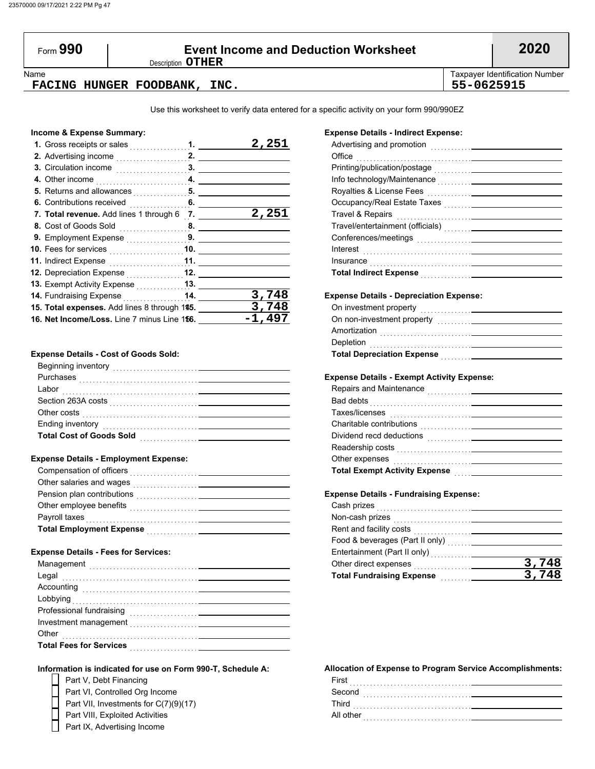## Form **990 Event Income and Deduction Worksheet 2020**

# Description **OTHER**

Name **Taxpayer Identification Number** Number 1 and Taxpayer Identification Number

#### FACING HUNGER FOODBANK, INC. 55-0625915

Use this worksheet to verify data entered for a specific activity on your form 990/990EZ

#### **Income & Expense Summary:**

| 1. Gross receipts or sales                     | 1.  | 2,251  |
|------------------------------------------------|-----|--------|
|                                                |     |        |
| 3. Circulation income                          | 3.  |        |
| 4. Other income                                |     |        |
| 5. Returns and allowances 5.                   |     |        |
| <b>6.</b> Contributions received<br>.          | 6.  |        |
| 7. Total revenue. Add lines 1 through 6        |     | 2,251  |
| 8. Cost of Goods Sold 8.                       |     |        |
| <b>9.</b> Employment Expense $\ldots$          |     |        |
| 10. Fees for services <b>container and 10.</b> |     |        |
| 11. Indirect Expense                           | 11. |        |
| 12. Depreciation Expense 12.                   |     |        |
| 13. Exempt Activity Expense [11, 13. 13.       |     |        |
| 14. Fundraising Expense <b>Marshall</b> 14.    |     | 3,748  |
| 15. Total expenses. Add lines 8 through 145.   |     | 3,748  |
| 16. Net Income/Loss. Line 7 minus Line 156.    |     | -1,497 |

#### **Expense Details - Cost of Goods Sold:**

| Beginning inventory                |  |
|------------------------------------|--|
| Purchases                          |  |
| Labor                              |  |
| Section 263A costs<br>. <u>. .</u> |  |
| Other costs                        |  |
| Ending inventory                   |  |
| <b>Total Cost of Goods Sold</b>    |  |
|                                    |  |

#### **Expense Details - Employment Expense:**

| Compensation of officers        |  |
|---------------------------------|--|
| Other salaries and wages        |  |
| Pension plan contributions      |  |
| Other employee benefits         |  |
| Payroll taxes<br>. <u>.</u>     |  |
| <b>Total Employment Expense</b> |  |

#### **Expense Details - Fees for Services:**

| Management                     |  |
|--------------------------------|--|
|                                |  |
|                                |  |
|                                |  |
| Professional fundraising       |  |
| Investment management          |  |
| Other                          |  |
| <b>Total Fees for Services</b> |  |
|                                |  |

#### **Information is indicated for use on Form 990-T, Schedule A:**

Part V, Debt Financing Part VIII, Exploited Activities Part VI, Controlled Org Income Part VII, Investments for C(7)(9)(17)

#### Part IX, Advertising Income

#### **Expense Details - Indirect Expense:**

| Interest                                                |
|---------------------------------------------------------|
|                                                         |
| Total Indirect Expense <b>Construction Construction</b> |
|                                                         |
|                                                         |

#### **Expense Details - Depreciation Expense:**

| <b>Total Depreciation Expense</b> |  |
|-----------------------------------|--|
| Depletion                         |  |
| Amortization                      |  |
| On non-investment property        |  |
| On investment property            |  |

#### **Expense Details - Exempt Activity Expense:**

| Repairs and Maintenance              |
|--------------------------------------|
| <b>Bad debts</b>                     |
| Taxes/licenses                       |
| Charitable contributions             |
| Dividend recd deductions             |
| Readership costs                     |
| Other expenses                       |
| <b>Total Exempt Activity Expense</b> |
|                                      |

#### **Expense Details - Fundraising Expense:**

|                                              | 3,748 |
|----------------------------------------------|-------|
| <b>Total Fundraising Expense</b><br><u>.</u> | 3.748 |
|                                              |       |

| First<br>.     |  |
|----------------|--|
| Second<br>.    |  |
| Third<br>.     |  |
| All other<br>. |  |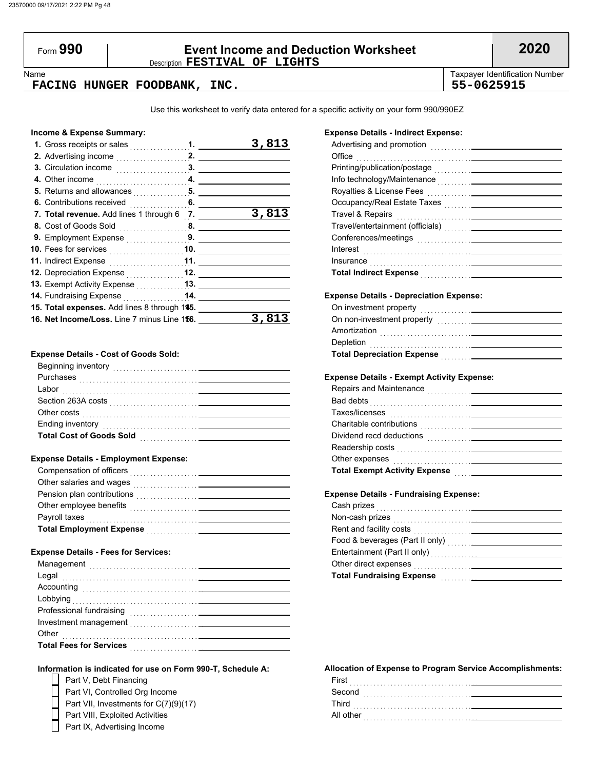### Description **FESTIVAL OF LIGHTS** Form **990 Event Income and Deduction Worksheet 2020**

Name **Taxpayer Identification Number** Number 1 and Taxpayer Identification Number FACING HUNGER FOODBANK, INC. 55-0625915

Use this worksheet to verify data entered for a specific activity on your form 990/990EZ

#### **Income & Expense Summary:**

| 1. Gross receipts or sales <b>constants</b>                                                                                                                                                                                         | 1.  | 3,813 |
|-------------------------------------------------------------------------------------------------------------------------------------------------------------------------------------------------------------------------------------|-----|-------|
| 2. Advertising income 2.                                                                                                                                                                                                            |     |       |
| 3. Circulation income                                                                                                                                                                                                               | 3.  |       |
| 4. Other income                                                                                                                                                                                                                     |     |       |
| 5. Returns and allowances                                                                                                                                                                                                           |     |       |
| <b>6.</b> Contributions received<br>للتنبيذ                                                                                                                                                                                         | 6.  |       |
| 7. Total revenue. Add lines 1 through 6                                                                                                                                                                                             | 7.  | 3,813 |
| 8. Cost of Goods Sold <b>Community</b> of Sold <b>Bulleting</b>                                                                                                                                                                     | 8.  |       |
| 9. Employment Expense 9.                                                                                                                                                                                                            |     |       |
| <b>10.</b> Fees for services <b>constants 10.</b>                                                                                                                                                                                   |     |       |
| 11. Indirect Expense <b>[10]</b> [11. Intervalue of the sense of the sense of the sense of the sense of the sense of the sense of the sense of the sense of the sense of the sense of the sense of the sense of the sense of the se | 11. |       |
| 12. Depreciation Expense 12.                                                                                                                                                                                                        |     |       |
| 13. Exempt Activity Expense 113.                                                                                                                                                                                                    |     |       |
| 14. Fundraising Expense <b>Marshall</b> 14.                                                                                                                                                                                         |     |       |
| 15. Total expenses. Add lines 8 through 145.                                                                                                                                                                                        |     |       |
| 16. Net Income/Loss. Line 7 minus Line 156.                                                                                                                                                                                         |     |       |

#### **Expense Details - Cost of Goods Sold:**

| Beginning inventory             |  |
|---------------------------------|--|
| Purchases                       |  |
| I abor                          |  |
| Section 263A costs              |  |
| Other costs                     |  |
| <b>Ending inventory</b>         |  |
| <b>Total Cost of Goods Sold</b> |  |
|                                 |  |

#### **Expense Details - Employment Expense:**

| Compensation of officers                 |  |
|------------------------------------------|--|
| Other salaries and wages                 |  |
| Pension plan contributions<br>. <u>.</u> |  |
| Other employee benefits                  |  |
| Payroll taxes                            |  |
| <b>Total Employment Expense</b>          |  |

#### **Expense Details - Fees for Services:**

| Management                                               |
|----------------------------------------------------------|
|                                                          |
|                                                          |
|                                                          |
| Professional fundraising <sub>………………</sub> _____________ |
| Investment management                                    |
| Other                                                    |
| <b>Total Fees for Services</b>                           |
|                                                          |

#### **Information is indicated for use on Form 990-T, Schedule A:**

Part V, Debt Financing Part IX, Advertising Income Part VIII, Exploited Activities Part VI, Controlled Org Income Part VII, Investments for C(7)(9)(17)

#### **Expense Details - Indirect Expense:**

| Office                                                                                                        |  |
|---------------------------------------------------------------------------------------------------------------|--|
|                                                                                                               |  |
|                                                                                                               |  |
|                                                                                                               |  |
|                                                                                                               |  |
|                                                                                                               |  |
|                                                                                                               |  |
|                                                                                                               |  |
| Interest<br><sub>1</sub>                                                                                      |  |
|                                                                                                               |  |
|                                                                                                               |  |
|                                                                                                               |  |
| <b>Expense Details - Depreciation Expense:</b>                                                                |  |
|                                                                                                               |  |
| On non-investment property<br><u> and the manuscription of the manuscription</u>                              |  |
|                                                                                                               |  |
|                                                                                                               |  |
|                                                                                                               |  |
| <b>Expense Details - Exempt Activity Expense:</b>                                                             |  |
|                                                                                                               |  |
|                                                                                                               |  |
|                                                                                                               |  |
|                                                                                                               |  |
|                                                                                                               |  |
|                                                                                                               |  |
| Other expenses with the control of the control of the control of the control of the control of the control of |  |
|                                                                                                               |  |
|                                                                                                               |  |
| <b>Expense Details - Fundraising Expense:</b>                                                                 |  |
|                                                                                                               |  |
|                                                                                                               |  |
|                                                                                                               |  |
|                                                                                                               |  |
|                                                                                                               |  |
|                                                                                                               |  |
| Total Fundraising Expense <b>Construct Construct Construct Construct</b>                                      |  |

| First<br>.        |  |
|-------------------|--|
| Second<br>.       |  |
| <b>Third</b><br>. |  |
| All other<br>.    |  |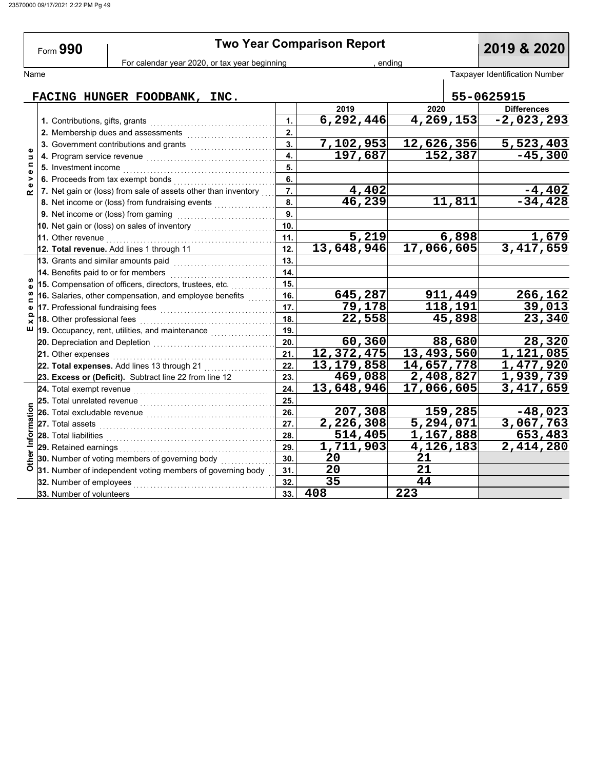| Form $990$ | <b>Two Year Comparison Report</b>             | 2019 & 2020 |                                       |
|------------|-----------------------------------------------|-------------|---------------------------------------|
|            | For calendar year 2020, or tax year beginning | ending      |                                       |
| Name       |                                               |             | <b>Taxpayer Identification Number</b> |
|            |                                               |             |                                       |

|                             | FACING HUNGER FOODBANK, INC.                                          |                           |                            |                            |         | 55-0625915             |
|-----------------------------|-----------------------------------------------------------------------|---------------------------|----------------------------|----------------------------|---------|------------------------|
|                             |                                                                       |                           | 2019                       | 2020                       |         | <b>Differences</b>     |
|                             | 1. Contributions, gifts, grants                                       | $\mathbf 1$ .             | 6,292,446                  | 4, 269, 153                |         | $-2,023,293$           |
|                             | 2. Membership dues and assessments                                    | $\overline{2}$ .          |                            |                            |         |                        |
|                             | 3. Government contributions and grants                                | $\overline{\mathbf{3}}$ . | $\overline{7,}102,953$     | 12,626,356                 |         | 5,523,403              |
| Φ<br>Ξ                      |                                                                       | $\overline{4}$            | 197,687                    |                            | 152,387 | $-45,300$              |
| $\blacksquare$<br>$\bullet$ | 5. Investment income                                                  | 5.                        |                            |                            |         |                        |
| >                           | 6. Proceeds from tax exempt bonds                                     | 6.                        |                            |                            |         |                        |
| Φ<br>≃                      | 7. Net gain or (loss) from sale of assets other than inventory        | 7.                        | 4,402                      |                            |         | $-4,402$               |
|                             | 8. Net income or (loss) from fundraising events                       | 8.                        | 46,239                     |                            | 11,811  | $-34, 428$             |
|                             | 9. Net income or (loss) from gaming                                   | 9.                        |                            |                            |         |                        |
|                             | 10. Net gain or (loss) on sales of inventory                          | 10.                       |                            |                            |         |                        |
|                             | 11. Other revenue <b>contract the Community of the Community of A</b> | 11.                       | 5,219                      |                            | 6,898   | 1,679                  |
|                             | 12. Total revenue. Add lines 1 through 11                             | 12.                       | $\overline{13}$ , 648, 946 | $\overline{17}$ , 066, 605 |         | 3,417,659              |
|                             | 13. Grants and similar amounts paid                                   | 13.                       |                            |                            |         |                        |
|                             | 14. Benefits paid to or for members                                   | 14.                       |                            |                            |         |                        |
| <b>S</b><br>Φ               | 15. Compensation of officers, directors, trustees, etc.               | 15.                       |                            |                            |         |                        |
| <b>S</b><br>$\mathbf{C}$    | 16. Salaries, other compensation, and employee benefits               | 16.                       | 645,287                    |                            | 911,449 | 266,162                |
| Φ                           | 17. Professional fundraising fees                                     | 17.                       | 79,178                     |                            | 118,191 | 39,013                 |
| $\Omega$<br>×               | 18. Other professional fees                                           | 18.                       | 22,558                     |                            | 45,898  | 23,340                 |
| ш                           | 19. Occupancy, rent, utilities, and maintenance                       | 19.                       |                            |                            |         |                        |
|                             | 20. Depreciation and Depletion                                        | 20.                       | 60,360                     |                            | 88,680  | 28,320                 |
|                             | 21. Other expenses                                                    | 21.                       | 12,372,475                 | 13,493,560                 |         | 1,121,085              |
|                             | 22. Total expenses. Add lines 13 through 21                           | 22.                       | $\overline{13}$ , 179, 858 | 14,657,778                 |         | 1,477,920              |
|                             | 23. Excess or (Deficit). Subtract line 22 from line 12                | 23.                       | $\overline{4}69,088$       | 2,408,827                  |         | 1,939,739              |
|                             | 24. Total exempt revenue                                              | 24.                       | 13,648,946                 | 17,066,605                 |         | $\overline{3,417,659}$ |
|                             | 25. Total unrelated revenue                                           | 25.                       |                            |                            |         |                        |
|                             | 26. Total excludable revenue                                          | 26.                       | 207,308                    |                            | 159,285 | $-48,023$              |
|                             | 27. Total assets                                                      | 27.                       | 2,226,308                  | $\overline{5,294,071}$     |         | 3,067,763              |
|                             | 28. Total liabilities                                                 | 28.                       | 514,405                    | 1,167,888                  |         | $\overline{6}$ 53, 483 |
|                             | 29. Retained earnings                                                 | 29.                       | 1,711,903                  | 4,126,183                  |         | 2,414,280              |
| Other Information           | 30. Number of voting members of governing body                        | 30.                       | 20                         | 21                         |         |                        |
|                             | 31. Number of independent voting members of governing body            | 31.                       | 20                         | 21                         |         |                        |
|                             | 32. Number of employees                                               | 32.                       | 35                         | 44                         |         |                        |
|                             | 33. Number of volunteers                                              | 33.                       | 408                        | 223                        |         |                        |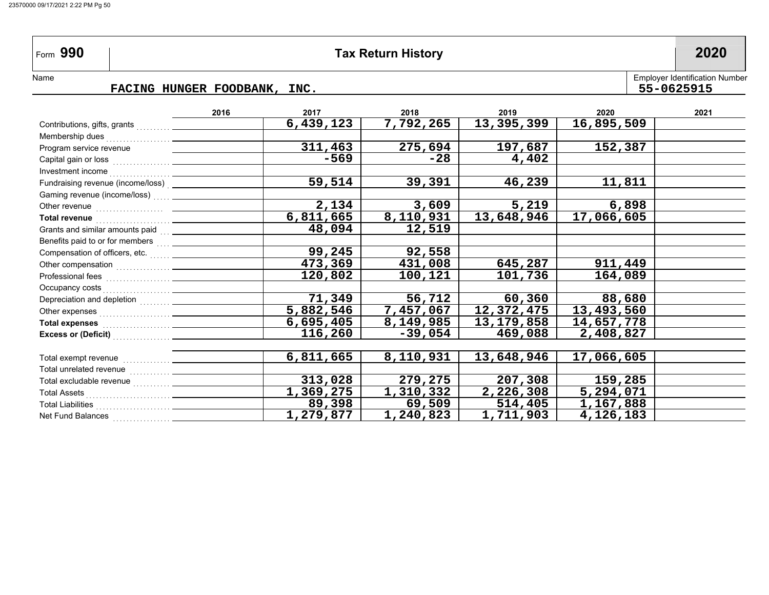$F<sub>orm</sub>$  990

Name

#### FACING HUNGER FOODBANK, INC.

| $\sf{Contributions},$ $\sf{gifts},$ $\sf{grants}$ $\sf{}$<br>Membership dues | 6,439,123 | 7,792,265   | 13,395,399       | 16,895,509     |  |
|------------------------------------------------------------------------------|-----------|-------------|------------------|----------------|--|
|                                                                              |           |             |                  |                |  |
|                                                                              |           |             |                  |                |  |
| Program service revenue                                                      | 311,463   | 275,694     | 197,687          | 152,387        |  |
| Capital gain or loss $\frac{1}{2}$                                           | $-569$    | $-28$       | 4,402            |                |  |
| Investment income                                                            |           |             |                  |                |  |
| Fundraising revenue (income/loss) <sub>.</sub> ____                          | 59,514    | 39,391      | 46,239           | 11,811         |  |
|                                                                              |           |             |                  |                |  |
|                                                                              | 2,134     | 3,609       | 5,219            | 6,898          |  |
|                                                                              | 6,811,665 | 8, 110, 931 | 13,648,946       | 17,066,605     |  |
| Grants and similar amounts paid <sub>.</sub> <sub>.</sub> ______             | 48,094    | 12,519      |                  |                |  |
| Benefits paid to or for members <sub>……</sub> ________                       |           |             |                  |                |  |
| Compensation of officers, etc. ______ <del>_______</del>                     | 99,245    | 92,558      |                  |                |  |
| Other compensation <sub>………………</sub> _______                                 | 473,369   | 431,008     | 645,287          | 911,449        |  |
|                                                                              | 120,802   | 100,121     | 101,736          | <u>164,089</u> |  |
|                                                                              |           |             |                  |                |  |
| Depreciation and depletion <sub>…………</sub> _______                           | 71,349    | 56,712      | 60,360           | 88,680         |  |
| Other expenses <sub>…………………</sub> _____                                      | 5,882,546 | 7, 457, 067 | 12,372,475       | 13,493,560     |  |
|                                                                              | 6,695,405 | 8,149,985   | 13, 179, 858     | 14,657,778     |  |
|                                                                              | 116,260   | $-39,054$   | 469,088          | 2,408,827      |  |
|                                                                              |           |             |                  |                |  |
| Total exempt revenue <sub>……………</sub> _                                      | 6,811,665 | 8,110,931   | 13,648,946       | 17,066,605     |  |
| Total unrelated revenue $\begin{array}{ c c c }\hline \end{array}$           |           |             |                  |                |  |
| Total excludable revenue <sub>.</sub> <u>_____</u>                           | 313,028   | 279,275     | 207,308          | 159,285        |  |
| Total Assets                                                                 | 1,369,275 | 1,310,332   | 2,226,308        | 5,294,071      |  |
| Total Liabilities<br>the contract of the contract of the contract of the     | 89,398    | 69,509      | 514,405          | 1,167,888      |  |
| Net Fund Balances                                                            | 1,279,877 | 1,240,823   | <u>1,711,903</u> | 4, 126, 183    |  |

Employer Identification Number<br>55-0625915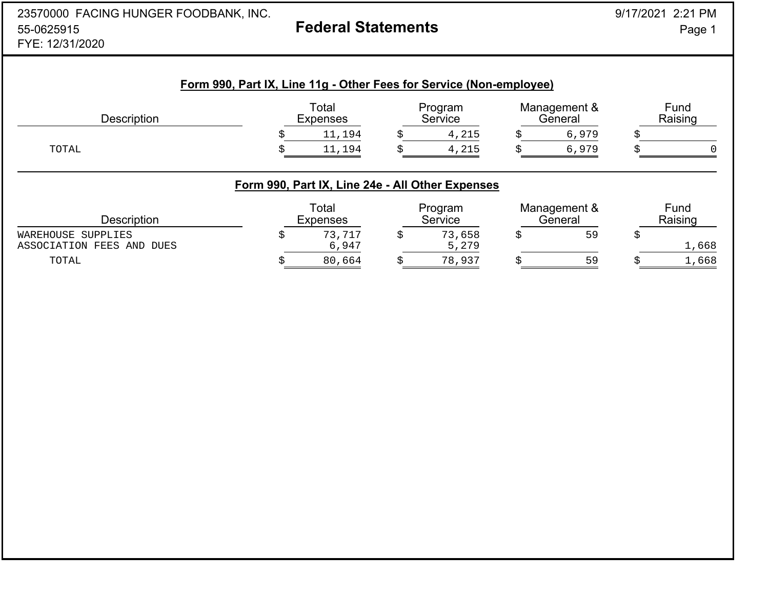| 23570000 FACING HUNGER FOODBANK, INC.<br>55-0625915<br>FYE: 12/31/2020 | 9/17/2021 2:21 PM<br>Page 1 |                                                  |                         |                 |  |  |
|------------------------------------------------------------------------|-----------------------------|--------------------------------------------------|-------------------------|-----------------|--|--|
| Form 990, Part IX, Line 11g - Other Fees for Service (Non-employee)    |                             |                                                  |                         |                 |  |  |
| <b>Description</b>                                                     | Total<br><b>Expenses</b>    | Program<br>Service                               | Management &<br>General | Fund<br>Raising |  |  |
|                                                                        | 11,194                      | 4,215<br>Ŝ                                       | 6,979                   |                 |  |  |
| TOTAL                                                                  | 11,194                      | 4,215                                            | 6,979                   |                 |  |  |
|                                                                        |                             | Form 990, Part IX, Line 24e - All Other Expenses |                         |                 |  |  |
| <b>Description</b>                                                     | Total<br><b>Expenses</b>    | Program<br>Service                               | Management &<br>General | Fund<br>Raising |  |  |
| WAREHOUSE SUPPLIES<br>ASSOCIATION FEES AND DUES                        | 73,717<br>6,947             | \$<br>73,658<br>5,279                            | 59<br>\$                | 1,668           |  |  |
| TOTAL                                                                  | 80,664                      | 78,937                                           | 59                      | 1,668           |  |  |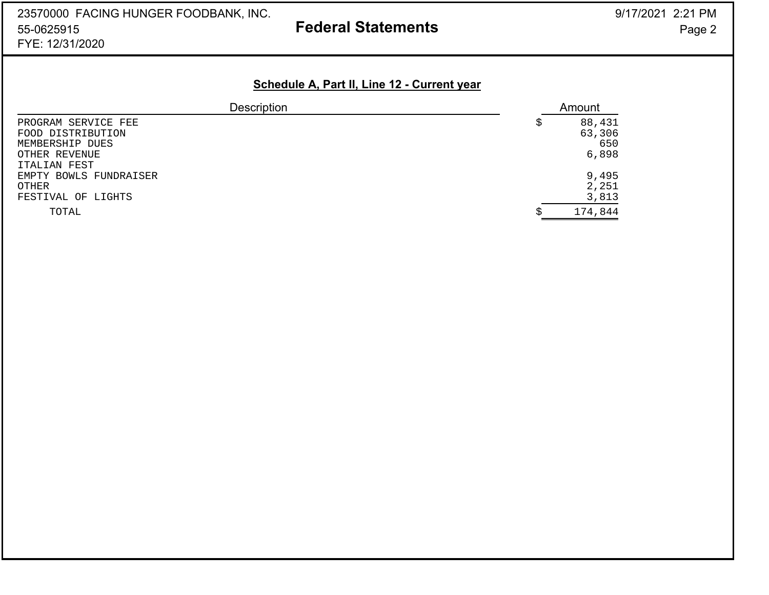### 23570000 FACING HUNGER FOODBANK, INC. 9/17/2021 2:21 PM 55-0625915FYE: 12/31/2020

# **Federal Statements** Page 2

## **Schedule A, Part II, Line 12 - Current year**

| <b>Description</b>                                                           | Amount                                 |
|------------------------------------------------------------------------------|----------------------------------------|
| PROGRAM SERVICE FEE<br>FOOD DISTRIBUTION<br>MEMBERSHIP DUES<br>OTHER REVENUE | 88,431<br>\$<br>63,306<br>650<br>6,898 |
| ITALIAN FEST<br>EMPTY BOWLS FUNDRAISER<br>OTHER<br>FESTIVAL OF LIGHTS        | 9,495<br>2,251<br>3,813                |
| TOTAL                                                                        | 174,844                                |